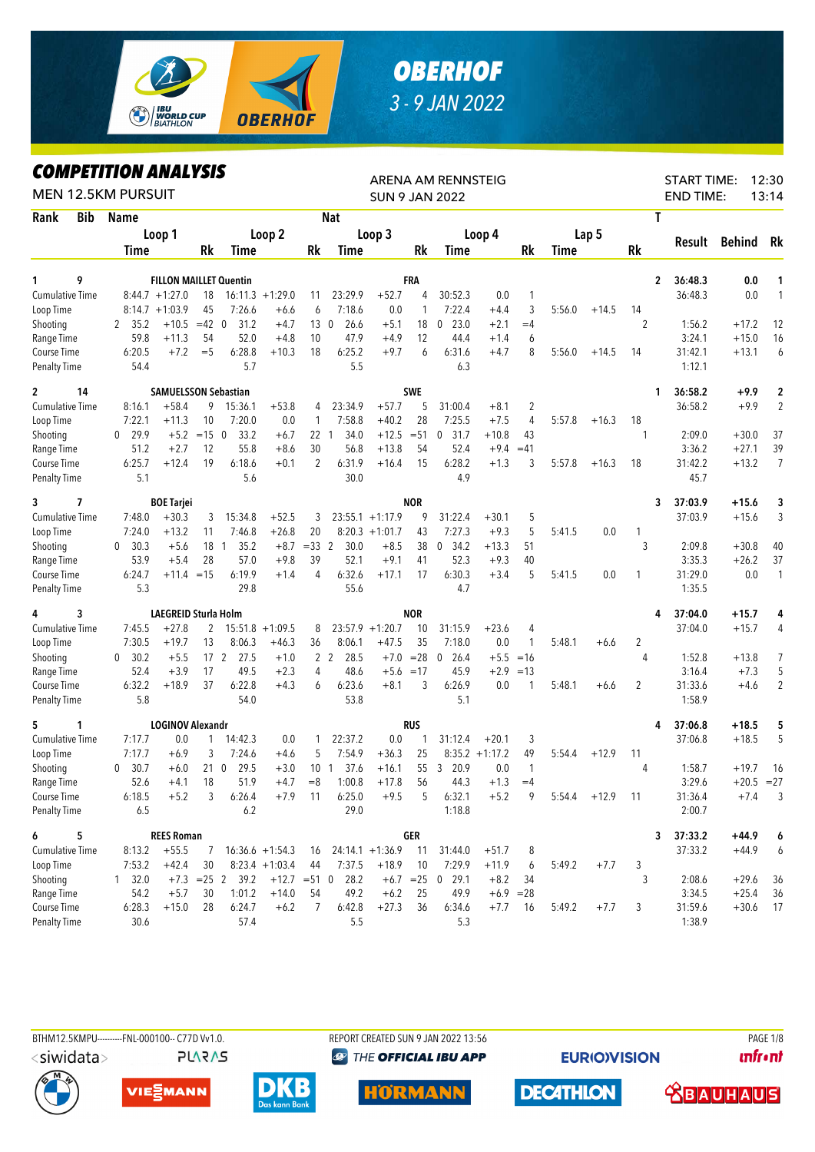

## *OBERHOF 3 - 9 JAN 2022*

## *COMPETITION ANALYSIS*

| <b>MEN 12.5KM PURSUIT</b> |            | LUMPEIIIIUN ANALTƏIƏ |                             |         |                               |                    |                 |                        |                    |            | ARENA AM RENNSTEIG<br><b>SUN 9 JAN 2022</b> |                  |                |             |         |                | <b>START TIME:</b><br><b>END TIME:</b> |              | 12:30<br>13:14    |
|---------------------------|------------|----------------------|-----------------------------|---------|-------------------------------|--------------------|-----------------|------------------------|--------------------|------------|---------------------------------------------|------------------|----------------|-------------|---------|----------------|----------------------------------------|--------------|-------------------|
| Rank                      | <b>Bib</b> | <b>Name</b>          |                             |         |                               |                    |                 | <b>Nat</b>             |                    |            |                                             |                  |                |             |         | T              |                                        |              |                   |
|                           |            |                      | Loop 1                      |         |                               | Loop 2             |                 |                        | Loop 3             |            |                                             | Loop 4           |                |             | Lap 5   |                |                                        |              |                   |
|                           |            | <b>Time</b>          |                             | Rk      | Time                          |                    | Rk              | Time                   |                    | Rk         | Time                                        |                  | Rk             | <b>Time</b> |         | <b>Rk</b>      | Result                                 | Behind       | Rk                |
| 1                         | 9          |                      |                             |         |                               |                    |                 |                        |                    |            |                                             |                  |                |             |         |                |                                        |              |                   |
| <b>Cumulative Time</b>    |            |                      | $8:44.7 + 1:27.0$           | 18      | <b>FILLON MAILLET Quentin</b> | $16:11.3 + 1:29.0$ | 11              | 23:29.9                | $+52.7$            | FRA<br>4   | 30:52.3                                     | 0.0              | 1              |             |         | 2              | 36:48.3<br>36:48.3                     | 0.0<br>0.0   | 1<br>$\mathbf{1}$ |
| Loop Time                 |            | 8:14.7               | $+1:03.9$                   | 45      | 7:26.6                        | $+6.6$             | 6               | 7:18.6                 | 0.0                | 1          | 7:22.4                                      | $+4.4$           | 3              | 5:56.0      | $+14.5$ | 14             |                                        |              |                   |
| Shooting                  |            | 35.2<br>2            | $+10.5$                     | $=42$ 0 | 31.2                          | $+4.7$             | 13 <sub>0</sub> | 26.6                   | $+5.1$             | 18         | 23.0<br>0                                   | $+2.1$           | $=4$           |             |         | 2              | 1:56.2                                 | $+17.2$      | 12                |
| Range Time                |            | 59.8                 | $+11.3$                     | 54      | 52.0                          | $+4.8$             | 10              | 47.9                   | $+4.9$             | 12         | 44.4                                        | $+1.4$           | 6              |             |         |                | 3:24.1                                 | $+15.0$      | 16                |
| Course Time               |            | 6:20.5               | $+7.2$                      | $=$ 5   | 6:28.8                        | $+10.3$            | 18              | 6:25.2                 | $+9.7$             | 6          | 6:31.6                                      | $+4.7$           | 8              | 5:56.0      | $+14.5$ | 14             | 31:42.1                                | $+13.1$      | 6                 |
| <b>Penalty Time</b>       |            | 54.4                 |                             |         | 5.7                           |                    |                 | 5.5                    |                    |            | 6.3                                         |                  |                |             |         |                | 1:12.1                                 |              |                   |
| $\overline{c}$            | 14         |                      | <b>SAMUELSSON Sebastian</b> |         |                               |                    |                 |                        |                    | <b>SWE</b> |                                             |                  |                |             |         | 1              | 36:58.2                                | $+9.9$       | 2                 |
| <b>Cumulative Time</b>    |            | 8:16.1               | $+58.4$                     | 9       | 15:36.1                       | $+53.8$            | 4               | 23:34.9                | $+57.7$            | 5          | 31:00.4                                     | $+8.1$           | $\overline{2}$ |             |         |                | 36:58.2                                | $+9.9$       | $\overline{2}$    |
| Loop Time                 |            | 7:22.1               | $+11.3$                     | 10      | 7:20.0                        | 0.0                | 1               | 7:58.8                 | $+40.2$            | 28         | 7:25.5                                      | $+7.5$           | 4              | 5:57.8      | $+16.3$ | 18             |                                        |              |                   |
| Shooting                  |            | 29.9<br>$\mathbf{0}$ | $+5.2$                      | $=15$ 0 | 33.2                          | $+6.7$             | 22              | 34.0<br>$\overline{1}$ | $+12.5$            | $= 51$     | 31.7<br>$\mathbf 0$                         | $+10.8$          | 43             |             |         | $\mathbf{1}$   | 2:09.0                                 | $+30.0$      | 37                |
| Range Time                |            | 51.2                 | $+2.7$                      | 12      | 55.8                          | $+8.6$             | 30              | 56.8                   | $+13.8$            | 54         | 52.4                                        | $+9.4$           | $=41$          |             |         |                | 3:36.2                                 | $+27.1$      | 39                |
| Course Time               |            | 6:25.7               | $+12.4$                     | 19      | 6:18.6                        | $+0.1$             | $\overline{2}$  | 6:31.9                 | $+16.4$            | 15         | 6:28.2                                      | $+1.3$           | 3              | 5:57.8      | $+16.3$ | 18             | 31:42.2                                | $+13.2$      | 7                 |
| <b>Penalty Time</b>       |            | 5.1                  |                             |         | 5.6                           |                    |                 | 30.0                   |                    |            | 4.9                                         |                  |                |             |         |                | 45.7                                   |              |                   |
| 7<br>3                    |            |                      | <b>BOE Tarjei</b>           |         |                               |                    |                 |                        |                    | <b>NOR</b> |                                             |                  |                |             |         | 3              | 37:03.9                                | $+15.6$      | 3                 |
| Cumulative Time           |            | 7:48.0               | $+30.3$                     | 3       | 15:34.8                       | $+52.5$            | 3               |                        | $23:55.1 + 1:17.9$ | 9          | 31:22.4                                     | $+30.1$          | 5              |             |         |                | 37:03.9                                | $+15.6$      | 3                 |
| Loop Time                 |            | 7:24.0               | $+13.2$                     | 11      | 7:46.8                        | $+26.8$            | 20              |                        | $8:20.3 +1:01.7$   | 43         | 7:27.3                                      | $+9.3$           | 5              | 5:41.5      | 0.0     | $\mathbf{1}$   |                                        |              |                   |
| Shooting                  |            | 30.3<br>$\mathbf{0}$ | $+5.6$                      | 18 1    | 35.2                          | $+8.7$             | $=33$ 2         | 30.0                   | $+8.5$             | 38         | 34.2<br>0                                   | $+13.3$          | 51             |             |         | 3              | 2:09.8                                 | $+30.8$      | 40                |
| Range Time                |            | 53.9                 | $+5.4$                      | 28      | 57.0                          | $+9.8$             | 39              | 52.1                   | $+9.1$             | 41         | 52.3                                        | $+9.3$           | 40             |             |         |                | 3:35.3                                 | $+26.2$      | 37                |
| Course Time               |            | 6:24.7               | $+11.4 = 15$                |         | 6:19.9                        | $+1.4$             | 4               | 6:32.6                 | $+17.1$            | 17         | 6:30.3                                      | $+3.4$           | 5              | 5:41.5      | 0.0     | 1              | 31:29.0                                | 0.0          | $\mathbf{1}$      |
| <b>Penalty Time</b>       |            | 5.3                  |                             |         | 29.8                          |                    |                 | 55.6                   |                    |            | 4.7                                         |                  |                |             |         |                | 1:35.5                                 |              |                   |
| 4                         | 3          |                      | LAEGREID Sturla Holm        |         |                               |                    |                 |                        |                    | <b>NOR</b> |                                             |                  |                |             |         | 4              | 37:04.0                                | $+15.7$      | 4                 |
| <b>Cumulative Time</b>    |            | 7:45.5               | $+27.8$                     | 2       |                               | $15:51.8 + 1:09.5$ | 8               |                        | $23:57.9 +1:20.7$  | 10         | 31:15.9                                     | $+23.6$          | 4              |             |         |                | 37:04.0                                | $+15.7$      | 4                 |
| Loop Time                 |            | 7:30.5               | $+19.7$                     | 13      | 8:06.3                        | $+46.3$            | 36              | 8:06.1                 | $+47.5$            | 35         | 7:18.0                                      | 0.0              | 1              | 5:48.1      | $+6.6$  | 2              |                                        |              |                   |
| Shooting                  |            | 30.2<br>$\mathbf{0}$ | $+5.5$                      |         | 17 <sup>2</sup><br>27.5       | $+1.0$             |                 | 2 <sub>2</sub><br>28.5 | $+7.0$             | $= 28$     | 26.4<br>$\mathbf 0$                         | $+5.5$           | $=16$          |             |         | 4              | 1:52.8                                 | +13.8        | 7                 |
| Range Time                |            | 52.4                 | $+3.9$                      | 17      | 49.5                          | $+2.3$             | 4               | 48.6                   | $+5.6 = 17$        |            | 45.9                                        | $+2.9$           | $=13$          |             |         |                | 3:16.4                                 | $+7.3$       | 5                 |
| Course Time               |            | 6:32.2               | $+18.9$                     | 37      | 6:22.8                        | $+4.3$             | 6               | 6:23.6                 | $+8.1$             | 3          | 6:26.9                                      | 0.0              | 1              | 5:48.1      | $+6.6$  | $\overline{2}$ | 31:33.6                                | $+4.6$       | $\overline{2}$    |
| <b>Penalty Time</b>       |            | 5.8                  |                             |         | 54.0                          |                    |                 | 53.8                   |                    |            | 5.1                                         |                  |                |             |         |                | 1:58.9                                 |              |                   |
| 5<br>1                    |            |                      | <b>LOGINOV Alexandr</b>     |         |                               |                    |                 |                        |                    | <b>RUS</b> |                                             |                  |                |             |         | 4              | 37:06.8                                | $+18.5$      | 5                 |
| <b>Cumulative Time</b>    |            | 7:17.7               | 0.0                         | 1       | 14:42.3                       | 0.0                | 1               | 22:37.2                | 0.0                | 1          | 31:12.4                                     | $+20.1$          | 3              |             |         |                | 37:06.8                                | $+18.5$      | 5                 |
| Loop Time                 |            | 7:17.7               | $+6.9$                      | 3       | 7:24.6                        | $+4.6$             | 5               | 7:54.9                 | $+36.3$            | 25         |                                             | $8:35.2 +1:17.2$ | 49             | 5:54.4      | $+12.9$ | 11             |                                        |              |                   |
| Shooting                  |            | 30.7<br>0            | $+6.0$                      |         | 29.5<br>21 <sub>0</sub>       | $+3.0$             | 10 <sub>1</sub> | 37.6                   | $+16.1$            | 55         | 20.9<br>3                                   | 0.0              | $\mathbf{1}$   |             |         | 4              | 1:58.7                                 | $+19.7$      | 16                |
| Range Time                |            | 52.6                 | $+4.1$                      | 18      | 51.9                          | $+4.7$             | $=8$            | 1:00.8                 | $+17.8$            | 56         | 44.3                                        | $+1.3$           | $=4$           |             |         |                | 3:29.6                                 | $+20.5 = 27$ |                   |
| Course Time               |            | 6:18.5               | $+5.2$                      | 3       | 6:26.4                        | $+7.9$             | 11              | 6:25.0                 | $+9.5$             | 5          | 6:32.1                                      | $+5.2$           | 9              | 5:54.4      | $+12.9$ | 11             | 31:36.4                                | $+7.4$       | 3                 |
| <b>Penalty Time</b>       |            | 6.5                  |                             |         | 6.2                           |                    |                 | 29.0                   |                    |            | 1:18.8                                      |                  |                |             |         |                | 2:00.7                                 |              |                   |
| 6<br>5                    |            |                      | <b>REES Roman</b>           |         |                               |                    |                 |                        |                    | GER        |                                             |                  |                |             |         |                | 37:33.2<br>3                           | $+44.9$      | 6                 |
| <b>Cumulative Time</b>    |            | 8:13.2               | $+55.5$                     | 7       |                               | $16:36.6 + 1:54.3$ | 16              |                        | $24:14.1 + 1:36.9$ | 11         | 31:44.0                                     | $+51.7$          | 8              |             |         |                | 37:33.2                                | $+44.9$      | 6                 |
| Loop Time                 |            | 7:53.2               | $+42.4$                     | 30      |                               | $8:23.4 +1:03.4$   | 44              | 7:37.5                 | $+18.9$            | 10         | 7:29.9                                      | $+11.9$          | 6              | 5:49.2      | $+7.7$  | 3              |                                        |              |                   |
| Shooting                  |            | $1 \quad 32.0$       |                             |         | $+7.3 = 25$ 2 39.2            | $+12.7$ = 51 0     |                 | 28.2                   |                    |            | $+6.7$ = 25 0 29.1                          | $+8.2$           | 34             |             |         | 3              | 2:08.6                                 | $+29.6$      | 36                |
| Range Time                |            | 54.2                 | $+5.7$                      | 30      | 1:01.2                        | $+14.0$            | 54              | 49.2                   | $+6.2$             | 25         | 49.9                                        |                  | $+6.9 = 28$    |             |         |                | 3:34.5                                 | $+25.4$      | 36                |
| Course Time               |            | 6:28.3<br>30.6       | $+15.0$                     | 28      | 6:24.7<br>57.4                | $+6.2$             | 7               | 6:42.8<br>5.5          | $+27.3$            | 36         | 6:34.6<br>5.3                               | $+7.7$           | 16             | 5:49.2      | $+7.7$  | 3              | 31:59.6<br>1:38.9                      | $+30.6$      | 17                |
| Penalty Time              |            |                      |                             |         |                               |                    |                 |                        |                    |            |                                             |                  |                |             |         |                |                                        |              |                   |



BTHM12.5KMPU---------FNL-000100-- C77D W1.0. REPORT CREATED SUN 9 JAN 2022 13:56 PAGE 1/8 **@ THE OFFICIAL IBU APP** 

**EURIO)VISION** 

**unfront** 





**PLARAS** 







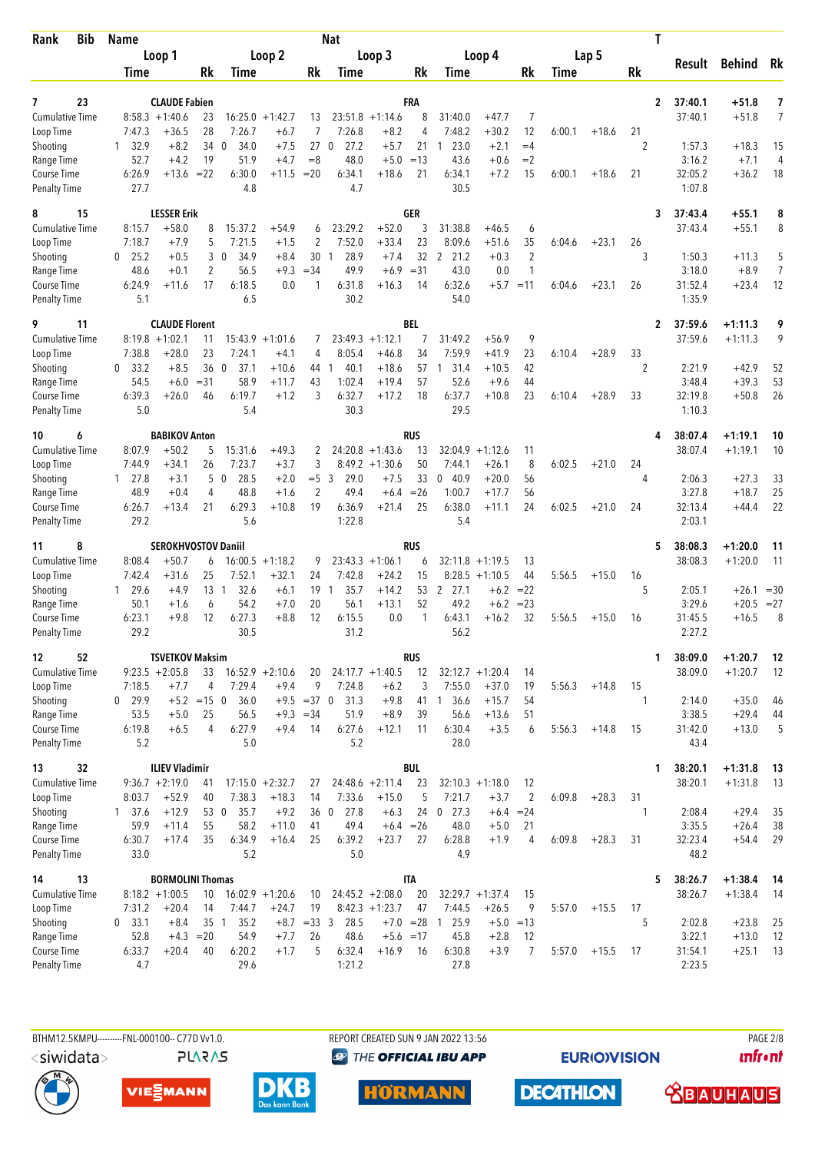| <b>Bib</b><br>Rank        | <b>Name</b>                    |                            |                 |                                  |                    |                                 | <b>Nat</b>                     |                        |                |                                |                    |                      |             |         | T              |                   |                         |                |
|---------------------------|--------------------------------|----------------------------|-----------------|----------------------------------|--------------------|---------------------------------|--------------------------------|------------------------|----------------|--------------------------------|--------------------|----------------------|-------------|---------|----------------|-------------------|-------------------------|----------------|
|                           |                                | Loop 1                     |                 |                                  | Loop <sub>2</sub>  |                                 |                                | Loop 3                 |                |                                | Loop 4             |                      |             | Lap 5   |                | Result            | <b>Behind</b>           | Rk             |
|                           | Time                           |                            | Rk              | <b>Time</b>                      |                    | Rk                              | Time                           |                        | Rk             | Time                           |                    | Rk                   | <b>Time</b> |         | Rk             |                   |                         |                |
| 23<br>7                   |                                | <b>CLAUDE Fabien</b>       |                 |                                  |                    |                                 |                                |                        | FRA            |                                |                    |                      |             |         | $\overline{2}$ | 37:40.1           | $+51.8$                 | 7              |
| Cumulative Time           |                                | $8:58.3 +1:40.6$           | 23              |                                  | $16:25.0 + 1:42.7$ | 13                              | 23:51.8                        | $+1:14.6$              | 8              | 31:40.0                        | $+47.7$            | 7                    |             |         |                | 37:40.1           | $+51.8$                 | 7              |
| Loop Time                 | 7:47.3                         | $+36.5$                    | 28              | 7:26.7                           | $+6.7$             | $\overline{7}$                  | 7:26.8                         | $+8.2$                 | $\overline{4}$ | 7:48.2                         | $+30.2$            | 12                   | 6:00.1      | $+18.6$ | 21             |                   |                         |                |
| Shooting<br>Range Time    | 32.9<br>$\mathbf{1}$<br>52.7   | $+8.2$<br>$+4.2$           | 34 0<br>19      | 34.0<br>51.9                     | $+7.5$<br>$+4.7$   | 27<br>$=8$                      | $\overline{0}$<br>27.2<br>48.0 | $+5.7$<br>$+5.0$       | 21<br>$=13$    | 23.0<br>1<br>43.6              | $+2.1$<br>$+0.6$   | $=4$<br>$=2$         |             |         | 2              | 1:57.3<br>3:16.2  | $+18.3$<br>$+7.1$       | 15<br>4        |
| Course Time               | 6:26.9                         | $+13.6 = 22$               |                 | 6:30.0                           | $+11.5$            | $= 20$                          | 6:34.1                         | $+18.6$                | 21             | 6:34.1                         | $+7.2$             | 15                   | 6:00.1      | $+18.6$ | 21             | 32:05.2           | $+36.2$                 | 18             |
| <b>Penalty Time</b>       | 27.7                           |                            |                 | 4.8                              |                    |                                 | 4.7                            |                        |                | 30.5                           |                    |                      |             |         |                | 1:07.8            |                         |                |
| 15<br>8                   |                                | <b>LESSER Erik</b>         |                 |                                  |                    |                                 |                                |                        | <b>GER</b>     |                                |                    |                      |             |         | 3              | 37:43.4           | $+55.1$                 | 8              |
| <b>Cumulative Time</b>    | 8:15.7                         | $+58.0$                    | 8               | 15:37.2                          | $+54.9$            | 6                               | 23:29.2                        | $+52.0$                | 3              | 31:38.8                        | $+46.5$            | 6                    |             |         |                | 37:43.4           | $+55.1$                 | 8              |
| Loop Time                 | 7:18.7<br>25.2<br>$\mathbf{0}$ | $+7.9$<br>$+0.5$           | 5<br>3          | 7:21.5<br>34.9<br>$\overline{0}$ | $+1.5$<br>$+8.4$   | 2<br>30                         | 7:52.0<br>28.9<br>1            | $+33.4$<br>$+7.4$      | 23<br>32       | 8:09.6<br>21.2<br>$\mathbf{2}$ | $+51.6$<br>$+0.3$  | 35<br>$\overline{2}$ | 6:04.6      | $+23.1$ | 26<br>3        | 1:50.3            | $+11.3$                 | 5              |
| Shooting<br>Range Time    | 48.6                           | $+0.1$                     | 2               | 56.5                             | $+9.3$             | $= 34$                          | 49.9                           | $+6.9$                 | $= 31$         | 43.0                           | 0.0                | $\mathbf{1}$         |             |         |                | 3:18.0            | $+8.9$                  | $\overline{7}$ |
| Course Time               | 6:24.9                         | $+11.6$                    | 17              | 6:18.5                           | 0.0                | 1                               | 6:31.8                         | $+16.3$                | 14             | 6:32.6                         |                    | $+5.7 = 11$          | 6:04.6      | $+23.1$ | 26             | 31:52.4           | $+23.4$                 | 12             |
| <b>Penalty Time</b>       | 5.1                            |                            |                 | 6.5                              |                    |                                 | 30.2                           |                        |                | 54.0                           |                    |                      |             |         |                | 1:35.9            |                         |                |
| 9<br>11                   |                                | <b>CLAUDE Florent</b>      |                 |                                  |                    |                                 |                                |                        | BEL            |                                |                    |                      |             |         | $\mathbf{2}$   | 37:59.6           | $+1:11.3$               | 9              |
| Cumulative Time           |                                | $8:19.8 + 1:02.1$          | 11              | 15:43.9                          | $+1:01.6$          | 7                               | 23:49.3                        | $+1:12.1$              | 7              | 31:49.2                        | $+56.9$            | 9                    |             |         |                | 37:59.6           | $+1:11.3$               | 9              |
| Loop Time                 | 7:38.8                         | $+28.0$                    | 23              | 7:24.1                           | $+4.1$             | 4                               | 8:05.4                         | $+46.8$                | 34             | 7:59.9                         | $+41.9$            | 23                   | 6:10.4      | $+28.9$ | 33             |                   |                         |                |
| Shooting<br>Range Time    | 33.2<br>0<br>54.5              | $+8.5$<br>$+6.0$           | 36 0<br>$= 31$  | 37.1<br>58.9                     | $+10.6$<br>$+11.7$ | 44<br>43                        | 40.1<br>-1<br>1:02.4           | $+18.6$<br>$+19.4$     | 57<br>57       | 31.4<br>$\mathbf{1}$<br>52.6   | $+10.5$<br>$+9.6$  | 42<br>44             |             |         | $\overline{2}$ | 2:21.9<br>3:48.4  | $+42.9$<br>$+39.3$      | 52<br>53       |
| Course Time               | 6:39.3                         | $+26.0$                    | 46              | 6:19.7                           | $+1.2$             | 3                               | 6:32.7                         | $+17.2$                | 18             | 6:37.7                         | $+10.8$            | 23                   | 6:10.4      | $+28.9$ | 33             | 32:19.8           | $+50.8$                 | 26             |
| <b>Penalty Time</b>       | 5.0                            |                            |                 | 5.4                              |                    |                                 | 30.3                           |                        |                | 29.5                           |                    |                      |             |         |                | 1:10.3            |                         |                |
| 6<br>10                   |                                | <b>BABIKOV Anton</b>       |                 |                                  |                    |                                 |                                |                        | <b>RUS</b>     |                                |                    |                      |             |         | 4              | 38:07.4           | $+1:19.1$               | 10             |
| <b>Cumulative Time</b>    | 8:07.9                         | $+50.2$                    | 5               | 15:31.6                          | $+49.3$            | 2                               |                                | $24:20.8 +1:43.6$      | 13             | 32:04.9                        | $+1:12.6$          | 11                   |             |         |                | 38:07.4           | $+1:19.1$               | 10             |
| Loop Time                 | 7:44.9                         | $+34.1$                    | 26              | 7:23.7                           | $+3.7$             | 3                               | 8:49.2                         | $+1:30.6$              | 50             | 7:44.1                         | $+26.1$            | 8                    | 6:02.5      | $+21.0$ | 24             |                   |                         |                |
| Shooting<br>Range Time    | $1 \t27.8$<br>48.9             | $+3.1$<br>$+0.4$           | 4               | 28.5<br>5 0<br>48.8              | $+2.0$<br>$+1.6$   | $= 5 \quad 3$<br>$\overline{2}$ | 29.0<br>49.4                   | $+7.5$<br>$+6.4$       | 33<br>$=26$    | 40.9<br>0<br>1:00.7            | $+20.0$<br>$+17.7$ | 56<br>56             |             |         | 4              | 2:06.3<br>3:27.8  | $+27.3$<br>$+18.7$      | 33<br>25       |
| Course Time               | 6:26.7                         | $+13.4$                    | 21              | 6:29.3                           | $+10.8$            | 19                              | 6:36.9                         | $+21.4$                | 25             | 6:38.0                         | $+11.1$            | 24                   | 6:02.5      | $+21.0$ | 24             | 32:13.4           | $+44.4$                 | 22             |
| <b>Penalty Time</b>       | 29.2                           |                            |                 | 5.6                              |                    |                                 | 1:22.8                         |                        |                | 5.4                            |                    |                      |             |         |                | 2:03.1            |                         |                |
| 8<br>11                   |                                | <b>SEROKHVOSTOV Daniil</b> |                 |                                  |                    |                                 |                                |                        | <b>RUS</b>     |                                |                    |                      |             |         | 5              | 38:08.3           | $+1:20.0$               | 11             |
| <b>Cumulative Time</b>    | 8:08.4                         | $+50.7$                    | 6               |                                  | $16:00.5 +1:18.2$  | 9                               |                                | $23:43.3 +1:06.1$      | 6              | 32:11.8                        | $+1:19.5$          | 13                   |             |         |                | 38:08.3           | $+1:20.0$               | 11             |
| Loop Time                 | 7:42.4                         | $+31.6$                    | 25              | 7:52.1                           | $+32.1$            | 24                              | 7:42.8                         | $+24.2$                | 15             |                                | $8:28.5 +1:10.5$   | 44                   | 5:56.5      | $+15.0$ | 16             |                   |                         |                |
| Shooting<br>Range Time    | 29.6<br>$\mathbf{1}$<br>50.1   | $+4.9$<br>$+1.6$           | $13-1$<br>6     | 32.6<br>54.2                     | $+6.1$<br>$+7.0$   | $19-1$<br>20                    | 35.7<br>56.1                   | $+14.2$<br>$+13.1$     | 53<br>52       | 2<br>27.1<br>49.2              | $+6.2$<br>$+6.2$   | $= 22$<br>$= 23$     |             |         | 5              | 2:05.1<br>3:29.6  | $+26.1 = 30$<br>$+20.5$ | $=27$          |
| Course Time               | 6:23.1                         | $+9.8$                     | 12              | 6:27.3                           | $+8.8$             | 12                              | 6:15.5                         | 0.0                    | 1              | 6:43.1                         | $+16.2$            | 32                   | 5:56.5      | $+15.0$ | 16             | 31:45.5           | $+16.5$                 | 8              |
| <b>Penalty Time</b>       | 29.2                           |                            |                 | 30.5                             |                    |                                 | 31.2                           |                        |                | 56.2                           |                    |                      |             |         |                | 2:27.2            |                         |                |
| 52<br>12                  |                                | <b>TSVETKOV Maksim</b>     |                 |                                  |                    |                                 |                                |                        | rus            |                                |                    |                      |             |         | 1              | 38:09.0           | $+1:20.7$               | 12             |
| Cumulative Time           |                                | $9:23.5 +2:05.8$           | 33              |                                  | $16:52.9 + 2:10.6$ | 20                              |                                | $24:17.7 + 1:40.5$     | 12             |                                | $32:12.7 + 1:20.4$ | 14                   |             |         |                | 38:09.0           | $+1:20.7$               | -12            |
| Loop Time                 | 7:18.5                         | $+7.7$                     | 4               | 7:29.4                           | $+9.4$             | 9                               | 7:24.8                         | $+6.2$                 | 3              | 7:55.0                         | $+37.0$            | 19                   | 5:56.3      | $+14.8$ | 15             |                   |                         |                |
| Shooting<br>Range Time    | $0$ 29.9<br>53.5               | $+5.2 = 15$ 0<br>$+5.0$    | 25              | 36.0<br>56.5                     |                    | $+9.5 = 370$<br>$+9.3 = 34$     | 31.3<br>51.9                   | $+9.8$<br>$+8.9$       | 39             | 41 1 36.6<br>56.6              | $+15.7$<br>$+13.6$ | 54<br>51             |             |         | 1              | 2:14.0<br>3:38.5  | $+35.0$<br>$+29.4$      | 46<br>44       |
| Course Time               | 6:19.8                         | $+6.5$                     | 4               | 6:27.9                           | $+9.4$             | 14                              | 6:27.6                         | $+12.1$                | 11             | 6:30.4                         | $+3.5$             | 6                    | 5:56.3      | $+14.8$ | 15             | 31:42.0           | $+13.0$                 | 5              |
| <b>Penalty Time</b>       | 5.2                            |                            |                 | 5.0                              |                    |                                 | 5.2                            |                        |                | 28.0                           |                    |                      |             |         |                | 43.4              |                         |                |
| 32<br>13                  |                                | <b>ILIEV Vladimir</b>      |                 |                                  |                    |                                 |                                |                        | <b>BUL</b>     |                                |                    |                      |             |         | 1              | 38:20.1           | $+1:31.8$               | -13            |
| <b>Cumulative Time</b>    |                                | $9:36.7 +2:19.0$           | 41              |                                  | $17:15.0 + 2:32.7$ | 27                              |                                | $24:48.6 + 2:11.4$     | 23             |                                | $32:10.3 +1:18.0$  | 12                   |             |         |                | 38:20.1           | $+1:31.8$               | 13             |
| Loop Time                 | 8:03.7                         | $+52.9$                    | 40              | 7:38.3                           | $+18.3$            | 14                              | 7:33.6                         | $+15.0$                | 5              | 7:21.7                         | $+3.7$             | $\overline{2}$       | 6:09.8      | $+28.3$ | 31             |                   |                         |                |
| Shooting                  | $1 \quad 37.6$                 | $+12.9$                    | 53 0            | 35.7                             | $+9.2$             | 360                             | 27.8                           | $+6.3$                 | 24             | 27.3<br>$\mathbf 0$            | $+6.4$             | $= 24$               |             |         | 1              | 2:08.4            | $+29.4$                 | 35             |
| Range Time<br>Course Time | 59.9<br>6:30.7                 | $+11.4$<br>$+17.4$         | 55<br>35        | 58.2<br>6:34.9                   | $+11.0$<br>$+16.4$ | 41<br>25                        | 49.4<br>6:39.2                 | $+6.4 = 26$<br>$+23.7$ | 27             | 48.0<br>6:28.8                 | $+5.0$<br>$+1.9$   | 21<br>4              | 6:09.8      | $+28.3$ | 31             | 3:35.5<br>32:23.4 | $+26.4$<br>$+54.4$      | 38<br>29       |
| <b>Penalty Time</b>       | 33.0                           |                            |                 | 5.2                              |                    |                                 | 5.0                            |                        |                | 4.9                            |                    |                      |             |         |                | 48.2              |                         |                |
| 13<br>14                  |                                | <b>BORMOLINI Thomas</b>    |                 |                                  |                    |                                 |                                |                        | <b>ITA</b>     |                                |                    |                      |             |         | 5              | 38:26.7           | $+1:38.4$               | -14            |
| <b>Cumulative Time</b>    |                                | $8:18.2 +1:00.5$           | 10              |                                  | $16:02.9 + 1:20.6$ | 10                              |                                | $24:45.2 + 2:08.0$     | 20             |                                | $32:29.7 + 1:37.4$ | 15                   |             |         |                | 38:26.7           | $+1:38.4$               | -14            |
| Loop Time                 | 7:31.2                         | $+20.4$                    | 14              | 7:44.7                           | $+24.7$            | 19                              |                                | $8:42.3 +1:23.7$       | 47             | 7:44.5                         | $+26.5$            | 9                    | 5:57.0      | $+15.5$ | 17             |                   |                         |                |
| Shooting                  | 33.1<br>0                      | $+8.4$                     | 35 <sub>1</sub> | 35.2                             | $+8.7$             | $=333$                          | 28.5                           |                        | $+7.0 = 28$    | 1 25.9                         |                    | $+5.0 = 13$          |             |         | 5              | 2:02.8            | $+23.8$                 | 25             |
| Range Time<br>Course Time | 52.8<br>6:33.7                 | $+4.3 = 20$<br>$+20.4$     | 40              | 54.9<br>6:20.2                   | $+7.7$<br>$+1.7$   | 26<br>5                         | 48.6<br>6:32.4                 | $+5.6 = 17$<br>$+16.9$ | 16             | 45.8<br>6:30.8                 | $+2.8$<br>$+3.9$   | 12<br>7              | 5:57.0      | $+15.5$ | 17             | 3:22.1<br>31:54.1 | $+13.0$<br>$+25.1$      | 12<br>13       |
| <b>Penalty Time</b>       | 4.7                            |                            |                 | 29.6                             |                    |                                 | 1:21.2                         |                        |                | 27.8                           |                    |                      |             |         |                | 2:23.5            |                         |                |
|                           |                                |                            |                 |                                  |                    |                                 |                                |                        |                |                                |                    |                      |             |         |                |                   |                         |                |

**PLARAS** 

BTHM12.5KMPU---------FNL-000100-- C77D Vv1.0. REPORT CREATED SUN 9 JAN 2022 13:56 PAGE 2/8 **<sup><sup>3</sup>** THE OFFICIAL IBU APP</sup>

**EURIOVISION** 

**unfront** 







**HORMANN** 

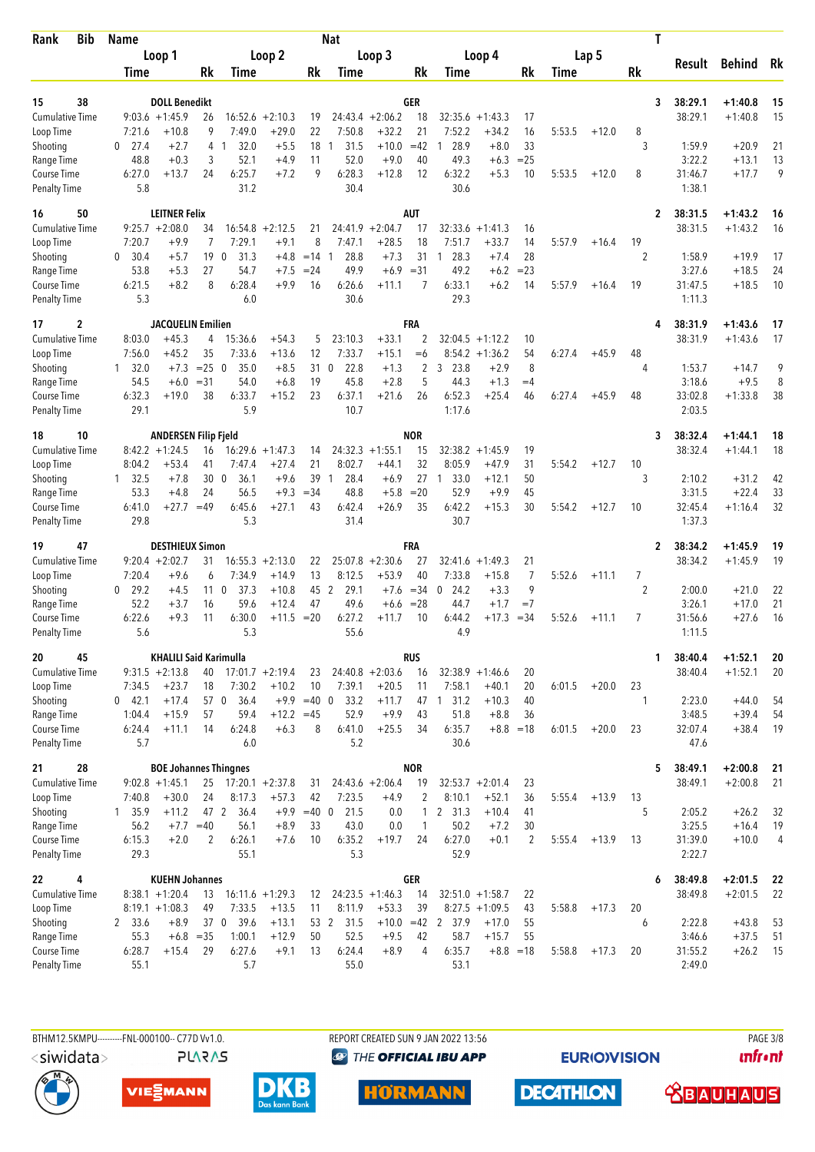| <b>Bib</b><br>Rank                        | <b>Name</b>       |                                        |                 |                                |                               |                   | <b>Nat</b>          |                               |                        |                                |                                        |              |        |         |                | T            |                   |                    |          |
|-------------------------------------------|-------------------|----------------------------------------|-----------------|--------------------------------|-------------------------------|-------------------|---------------------|-------------------------------|------------------------|--------------------------------|----------------------------------------|--------------|--------|---------|----------------|--------------|-------------------|--------------------|----------|
|                                           |                   | Loop 1                                 |                 |                                | Loop 2                        |                   |                     | Loop 3                        |                        |                                | Loop 4                                 |              |        | Lap 5   |                |              | Result            | <b>Behind</b>      | Rk       |
|                                           | Time              |                                        | Rk              | Time                           |                               | Rk                | Time                |                               | Rk                     | Time                           |                                        | Rk           | Time   |         | Rk             |              |                   |                    |          |
| 38<br>15                                  |                   | <b>DOLL Benedikt</b>                   |                 |                                |                               |                   |                     |                               | GER                    |                                |                                        |              |        |         |                | 3            | 38:29.1           | $+1:40.8$          | 15       |
| <b>Cumulative Time</b>                    |                   | $9:03.6 +1:45.9$                       | 26              | 16:52.6                        | $+2:10.3$                     | 19                |                     | $24:43.4 +2:06.2$             | 18                     | 32:35.6                        | $+1:43.3$                              | 17           |        |         |                |              | 38:29.1           | $+1:40.8$          | 15       |
| Loop Time                                 | 7:21.6            | $+10.8$                                | 9               | 7:49.0                         | $+29.0$                       | 22                | 7:50.8              | $+32.2$                       | 21                     | 7:52.2                         | $+34.2$                                | 16           | 5:53.5 | $+12.0$ | 8              |              |                   |                    |          |
| Shooting                                  | 27.4<br>0         | $+2.7$                                 | 4               | 32.0<br>$\mathbf{1}$           | $+5.5$                        | 18                | 31.5<br>1           | $+10.0$                       | $=42$                  | 28.9<br>1                      | $+8.0$                                 | 33           |        |         | 3              |              | 1:59.9            | $+20.9$            | 21       |
| Range Time                                | 48.8<br>6:27.0    | $+0.3$<br>$+13.7$                      | 3<br>24         | 52.1<br>6:25.7                 | $+4.9$<br>$+7.2$              | 11<br>9           | 52.0<br>6:28.3      | $+9.0$<br>$+12.8$             | 40<br>12               | 49.3<br>6:32.2                 | $+6.3$<br>$+5.3$                       | $= 25$<br>10 | 5:53.5 | $+12.0$ | 8              |              | 3:22.2<br>31:46.7 | $+13.1$<br>$+17.7$ | 13<br>9  |
| <b>Course Time</b><br><b>Penalty Time</b> | 5.8               |                                        |                 | 31.2                           |                               |                   | 30.4                |                               |                        | 30.6                           |                                        |              |        |         |                |              | 1:38.1            |                    |          |
| 50<br>16                                  |                   | <b>LEITNER Felix</b>                   |                 |                                |                               |                   |                     |                               | <b>AUT</b>             |                                |                                        |              |        |         |                | $\mathbf{2}$ | 38:31.5           | $+1:43.2$          | 16       |
| <b>Cumulative Time</b>                    |                   | $9:25.7 + 2:08.0$                      | 34              | 16:54.8                        | $+2:12.5$                     | 21                | 24:41.9             | $+2:04.7$                     | 17                     | 32:33.6                        | $+1:41.3$                              | 16           |        |         |                |              | 38:31.5           | $+1:43.2$          | 16       |
| Loop Time                                 | 7:20.7            | $+9.9$                                 | 7               | 7:29.1                         | $+9.1$                        | 8                 | 7:47.1              | $+28.5$                       | 18                     | 7:51.7                         | $+33.7$                                | 14           | 5:57.9 | $+16.4$ | 19             |              |                   |                    |          |
| Shooting<br>Range Time                    | 30.4<br>0<br>53.8 | $+5.7$<br>$+5.3$                       | 19<br>27        | 31.3<br>$\mathbf{0}$<br>54.7   | $+4.8$<br>$+7.5$              | $=14$ 1<br>$= 24$ | 28.8<br>49.9        | $+7.3$<br>$+6.9$              | 31<br>$= 31$           | 28.3<br>$\overline{1}$<br>49.2 | +7.4<br>$+6.2$                         | 28<br>$= 23$ |        |         | $\overline{2}$ |              | 1:58.9<br>3:27.6  | $+19.9$<br>$+18.5$ | 17<br>24 |
| Course Time                               | 6:21.5            | $+8.2$                                 | 8               | 6:28.4                         | $+9.9$                        | 16                | 6:26.6              | $+11.1$                       | 7                      | 6:33.1                         | $+6.2$                                 | 14           | 5:57.9 | $+16.4$ | 19             |              | 31:47.5           | $+18.5$            | 10       |
| <b>Penalty Time</b>                       | 5.3               |                                        |                 | 6.0                            |                               |                   | 30.6                |                               |                        | 29.3                           |                                        |              |        |         |                |              | 1:11.3            |                    |          |
| 2<br>17                                   |                   | <b>JACQUELIN Emilien</b>               |                 |                                |                               |                   |                     |                               | FRA                    |                                |                                        |              |        |         |                |              | 38:31.9           | $+1:43.6$          | 17       |
| <b>Cumulative Time</b><br>Loop Time       | 8:03.0<br>7:56.0  | $+45.3$<br>$+45.2$                     | 4<br>35         | 15:36.6<br>7:33.6              | $+54.3$<br>$+13.6$            | 5<br>12           | 23:10.3<br>7:33.7   | $+33.1$<br>$+15.1$            | $\overline{2}$<br>$=6$ | 32:04.5                        | $+1:12.2$<br>$8:54.2 +1:36.2$          | 10<br>54     | 6:27.4 | $+45.9$ | 48             |              | 38:31.9           | $+1:43.6$          | 17       |
| Shooting                                  | 32.0<br>1         | $+7.3$                                 | $=25$           | $\overline{0}$<br>35.0         | $+8.5$                        | 31                | 22.8<br>$\mathbf 0$ | $+1.3$                        | 2                      | 23.8<br>3                      | $+2.9$                                 | 8            |        |         | 4              |              | 1:53.7            | $+14.7$            | 9        |
| Range Time                                | 54.5              | $+6.0$                                 | $= 31$          | 54.0                           | $+6.8$                        | 19                | 45.8                | $+2.8$                        | 5                      | 44.3                           | $+1.3$                                 | $=4$         |        |         |                |              | 3:18.6            | $+9.5$             | 8        |
| Course Time                               | 6:32.3            | $+19.0$                                | 38              | 6:33.7                         | $+15.2$                       | 23                | 6:37.1              | $+21.6$                       | 26                     | 6:52.3                         | $+25.4$                                | 46           | 6:27.4 | $+45.9$ | 48             |              | 33:02.8           | $+1:33.8$          | 38       |
| <b>Penalty Time</b>                       | 29.1              |                                        |                 | 5.9                            |                               |                   | 10.7                |                               |                        | 1:17.6                         |                                        |              |        |         |                |              | 2:03.5            |                    |          |
| 10<br>18                                  |                   | <b>ANDERSEN Filip Fjeld</b>            |                 |                                |                               |                   |                     |                               | <b>NOR</b>             |                                |                                        |              |        |         |                | 3            | 38:32.4           | $+1:44.1$          | 18       |
| <b>Cumulative Time</b>                    | 8:04.2            | $8:42.2 + 1:24.5$<br>$+53.4$           | 16<br>41        | 7:47.4                         | $16:29.6 + 1:47.3$<br>$+27.4$ | 14<br>21          | 8:02.7              | $24:32.3 +1:55.1$<br>$+44.1$  | 15<br>32               | 32:38.2<br>8:05.9              | $+1:45.9$<br>$+47.9$                   | 19<br>31     | 5:54.2 | $+12.7$ | 10             |              | 38:32.4           | $+1:44.1$          | 18       |
| Loop Time<br>Shooting                     | $1 \quad 32.5$    | $+7.8$                                 | 30 <sub>0</sub> | 36.1                           | $+9.6$                        | 39                | 28.4<br>-1          | $+6.9$                        | 27                     | 33.0<br>-1                     | $+12.1$                                | 50           |        |         | 3              |              | 2:10.2            | $+31.2$            | 42       |
| Range Time                                | 53.3              | $+4.8$                                 | 24              | 56.5                           | $+9.3$                        | $= 34$            | 48.8                | $+5.8$                        | $=20$                  | 52.9                           | $+9.9$                                 | 45           |        |         |                |              | 3:31.5            | $+22.4$            | 33       |
| Course Time                               | 6:41.0            | $+27.7$                                | $=49$           | 6:45.6                         | $+27.1$                       | 43                | 6:42.4              | $+26.9$                       | 35                     | 6:42.2                         | $+15.3$                                | 30           | 5:54.2 | $+12.7$ | 10             |              | 32:45.4           | $+1:16.4$          | 32       |
| <b>Penalty Time</b>                       | 29.8              |                                        |                 | 5.3                            |                               |                   | 31.4                |                               |                        | 30.7                           |                                        |              |        |         |                |              | 1:37.3            |                    |          |
| 47<br>19                                  |                   | <b>DESTHIEUX Simon</b>                 |                 |                                |                               |                   |                     |                               | FRA                    |                                |                                        |              |        |         |                | 2            | 38:34.2           | $+1:45.9$          | 19       |
| Cumulative Time<br>Loop Time              | 7:20.4            | $9:20.4 +2:02.7$<br>$+9.6$             | 31<br>6         | 16:55.3<br>7:34.9              | $+2:13.0$<br>$+14.9$          | 22<br>13          | 25:07.8<br>8:12.5   | $+2:30.6$<br>$+53.9$          | 27<br>40               | 32:41.6<br>7:33.8              | $+1:49.3$<br>$+15.8$                   | 21<br>7      | 5:52.6 | $+11.1$ | 7              |              | 38:34.2           | $+1:45.9$          | 19       |
| Shooting                                  | 29.2<br>0         | $+4.5$                                 | 11 <sub>0</sub> | 37.3                           | $+10.8$                       | 45                | 2<br>29.1           | $+7.6$                        | $=34$                  | 24.2<br>0                      | $+3.3$                                 | 9            |        |         | $\overline{2}$ |              | 2:00.0            | $+21.0$            | 22       |
| Range Time                                | 52.2              | $+3.7$                                 | 16              | 59.6                           | $+12.4$                       | 47                | 49.6                | $+6.6$                        | $= 28$                 | 44.7                           | $+1.7$                                 | $=7$         |        |         |                |              | 3:26.1            | $+17.0$            | 21       |
| <b>Course Time</b>                        | 6:22.6            | $+9.3$                                 | 11              | 6:30.0                         | $+11.5$                       | $=20$             | 6:27.2              | $+11.7$                       | 10                     | 6:44.2                         | $+17.3$                                | $=34$        | 5:52.6 | $+11.1$ | 7              |              | 31:56.6           | $+27.6$            | 16       |
| <b>Penalty Time</b>                       | 5.6               |                                        |                 | 5.3                            |                               |                   | 55.6                |                               |                        | 4.9                            |                                        |              |        |         |                |              | 1:11.5            |                    |          |
| 45<br>20                                  |                   | <b>KHALILI Said Karimulla</b>          |                 |                                |                               |                   |                     |                               | RUS                    |                                |                                        |              |        |         |                | 1            | 38:40.4           | $+1:52.1$          | 20       |
| <b>Cumulative Time</b><br>Loop Time       | 7:34.5            | $9:31.5 +2:13.8$<br>$+23.7$            | 40<br>18        | 7:30.2                         | $17:01.7 +2:19.4$<br>$+10.2$  | 23<br>10          | 7:39.1              | $24:40.8 + 2:03.6$<br>$+20.5$ | 16<br>11               | 7:58.1                         | $32:38.9 +1:46.6$<br>$+40.1$           | 20<br>20     | 6:01.5 | $+20.0$ | 23             |              | 38:40.4           | $+1:52.1$          | 20       |
| Shooting                                  | $0$ 42.1          | $+17.4$                                | 57 0            | 36.4                           |                               | $+9.9 = 40 0$     | 33.2                | $+11.7$                       |                        | 47 1 31.2                      | $+10.3$                                | 40           |        |         | 1              |              | 2:23.0            | $+44.0$            | 54       |
| Range Time                                | 1:04.4            | $+15.9$                                | 57              | 59.4                           | $+12.2 = 45$                  |                   | 52.9                | $+9.9$                        | 43                     | 51.8                           | $+8.8$                                 | 36           |        |         |                |              | 3:48.5            | $+39.4$            | 54       |
| Course Time                               | 6:24.4            | $+11.1$                                | 14              | 6:24.8                         | $+6.3$                        | 8                 | 6:41.0              | $+25.5$                       | 34                     | 6:35.7                         |                                        | $+8.8 = 18$  | 6:01.5 | $+20.0$ | 23             |              | 32:07.4           | $+38.4$            | 19       |
| <b>Penalty Time</b>                       | 5.7               |                                        |                 | 6.0                            |                               |                   | 5.2                 |                               |                        | 30.6                           |                                        |              |        |         |                |              | 47.6              |                    |          |
| 28<br>21                                  |                   | <b>BOE Johannes Thingnes</b>           |                 |                                |                               |                   |                     |                               | <b>NOR</b>             |                                |                                        |              |        |         |                | 5            | 38:49.1           | $+2:00.8$          | 21       |
| Cumulative Time<br>Loop Time              | 7:40.8            | $9:02.8 +1:45.1$<br>$+30.0$            | 24              | $25$ 17:20.1 +2:37.8<br>8:17.3 | $+57.3$                       | 31<br>42          | 7:23.5              | $24:43.6 + 2:06.4$<br>$+4.9$  | 19<br>2                | 8:10.1                         | $32:53.7 + 2:01.4$<br>$+52.1$          | 23<br>36     | 5:55.4 | $+13.9$ | 13             |              | 38:49.1           | $+2:00.8$          | 21       |
| Shooting                                  | 1, 35.9           | $+11.2$                                | 47 2            | 36.4                           | $+9.9$                        | $=40$ 0           | 21.5                | 0.0                           | $\mathbf{1}$           | 2 31.3                         | $+10.4$                                | 41           |        |         | 5              |              | 2:05.2            | $+26.2$            | 32       |
| Range Time                                | 56.2              | $+7.7 = 40$                            |                 | 56.1                           | $+8.9$                        | 33                | 43.0                | 0.0                           | 1                      | 50.2                           | $+7.2$                                 | 30           |        |         |                |              | 3:25.5            | $+16.4$            | 19       |
| Course Time                               | 6:15.3            | $+2.0$                                 | 2               | 6:26.1                         | $+7.6$                        | 10                | 6:35.2              | $+19.7$                       | 24                     | 6:27.0                         | $+0.1$                                 | 2            | 5:55.4 | $+13.9$ | 13             |              | 31:39.0           | $+10.0$            | 4        |
| <b>Penalty Time</b>                       | 29.3              |                                        |                 | 55.1                           |                               |                   | 5.3                 |                               |                        | 52.9                           |                                        |              |        |         |                |              | 2:22.7            |                    |          |
| 4<br>22                                   |                   | <b>KUEHN Johannes</b>                  |                 |                                |                               |                   |                     |                               | <b>GER</b>             |                                |                                        |              |        |         |                | 6            | 38:49.8           | $+2:01.5$          | 22       |
| <b>Cumulative Time</b><br>Loop Time       |                   | $8:38.1 + 1:20.4$<br>$8:19.1 + 1:08.3$ | 13<br>49        | 7:33.5                         | $16:11.6 + 1:29.3$<br>$+13.5$ | 12<br>11          | 8:11.9              | $24:23.5 +1:46.3$<br>$+53.3$  | 14<br>39               |                                | $32:51.0 + 1:58.7$<br>$8:27.5 +1:09.5$ | 22<br>43     | 5:58.8 | $+17.3$ | 20             |              | 38:49.8           | $+2:01.5$          | 22       |
| Shooting                                  | 2 33.6            | $+8.9$                                 |                 | 37 0 39.6                      | $+13.1$                       |                   | 53 2<br>31.5        | $+10.0$                       | $=42$                  | 2 37.9                         | $+17.0$                                | 55           |        |         | 6              |              | 2:22.8            | $+43.8$            | 53       |
| Range Time                                | 55.3              |                                        | $+6.8 = 35$     | 1:00.1                         | $+12.9$                       | 50                | 52.5                | $+9.5$                        | 42                     | 58.7                           | $+15.7$                                | 55           |        |         |                |              | 3:46.6            | $+37.5$            | 51       |
| Course Time                               | 6:28.7            | $+15.4$                                | 29              | 6:27.6                         | $+9.1$                        | 13                | 6:24.4              | $+8.9$                        | 4                      | 6:35.7                         | $+8.8 = 18$                            |              | 5:58.8 | $+17.3$ | 20             |              | 31:55.2           | $+26.2$            | -15      |
| <b>Penalty Time</b>                       | 55.1              |                                        |                 | 5.7                            |                               |                   | 55.0                |                               |                        | 53.1                           |                                        |              |        |         |                |              | 2:49.0            |                    |          |

**PLARAS** 

BTHM12.5KMPU---------FNL-000100-- C77D Vv1.0. REPORT CREATED SUN 9 JAN 2022 13:56 PAGE 3/8 **<sup><sup>3</sup>** THE OFFICIAL IBU APP</sup>

**HORMANN** 

**EURIOVISION** 

*<u><u>Infront</u>*</u>







**DECATHLON** 

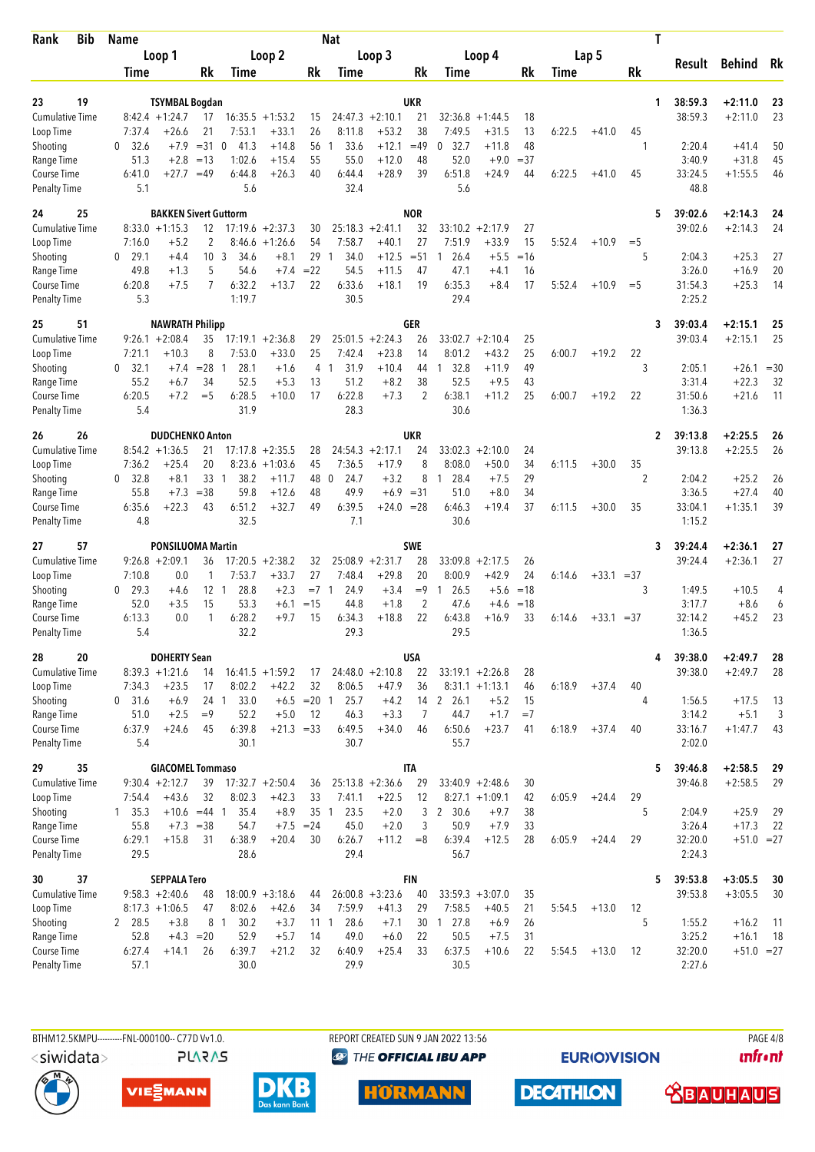| Rank                               | <b>Bib</b> | <b>Name</b>                  |                                            |                      |                        |                              |                     | <b>Nat</b>          |                               |                  |                              |                      |             |        |              |       | Т |                    |                        |          |
|------------------------------------|------------|------------------------------|--------------------------------------------|----------------------|------------------------|------------------------------|---------------------|---------------------|-------------------------------|------------------|------------------------------|----------------------|-------------|--------|--------------|-------|---|--------------------|------------------------|----------|
|                                    |            |                              | Loop 1                                     |                      |                        | Loop 2                       |                     |                     | Loop 3                        |                  |                              | Loop 4               |             |        | Lap 5        |       |   | Result             | Behind Rk              |          |
|                                    |            | Time                         |                                            | Rk                   | Time                   |                              | Rk                  | Time                |                               | Rk               | Time                         |                      | Rk          | Time   |              | Rk    |   |                    |                        |          |
|                                    |            |                              |                                            |                      |                        |                              |                     |                     |                               |                  |                              |                      |             |        |              |       |   |                    |                        |          |
| 23<br><b>Cumulative Time</b>       | 19         |                              | <b>TSYMBAL Bogdan</b><br>$8:42.4 + 1:24.7$ | 17                   |                        | $16:35.5 + 1:53.2$           | 15                  |                     | $24:47.3 + 2:10.1$            | UKR<br>21        | 32:36.8                      | $+1:44.5$            | 18          |        |              |       | 1 | 38:59.3<br>38:59.3 | $+2:11.0$<br>$+2:11.0$ | 23<br>23 |
| Loop Time                          |            | 7:37.4                       | +26.6                                      | 21                   | 7:53.1                 | $+33.1$                      | 26                  | 8:11.8              | $+53.2$                       | 38               | 7:49.5                       | $+31.5$              | 13          | 6:22.5 | $+41.0$      | 45    |   |                    |                        |          |
| Shooting                           |            | 32.6<br>0                    | $+7.9$                                     | $= 31$               | $\mathbf{0}$<br>41.3   | $+14.8$                      | 56                  | 33.6<br>1           | $+12.1$                       | $=49$            | 32.7<br>0                    | $+11.8$              | 48          |        |              |       |   | 2:20.4             | $+41.4$                | 50       |
| Range Time                         |            | 51.3                         | $+2.8$                                     | $=13$                | 1:02.6                 | $+15.4$                      | 55                  | 55.0                | $+12.0$                       | 48               | 52.0                         | $+9.0$               | $= 37$      |        |              |       |   | 3:40.9             | $+31.8$                | 45       |
| Course Time                        |            | 6:41.0                       | $+27.7$                                    | $=49$                | 6:44.8                 | $+26.3$                      | 40                  | 6:44.4              | $+28.9$                       | 39               | 6:51.8                       | $+24.9$              | 44          | 6:22.5 | $+41.0$      | 45    |   | 33:24.5            | $+1:55.5$              | 46       |
| <b>Penalty Time</b>                |            | 5.1                          |                                            |                      | 5.6                    |                              |                     | 32.4                |                               |                  | 5.6                          |                      |             |        |              |       |   | 48.8               |                        |          |
| 24                                 | 25         |                              | <b>BAKKEN Sivert Guttorm</b>               |                      |                        |                              |                     |                     |                               | <b>NOR</b>       |                              |                      |             |        |              |       | 5 | 39:02.6            | $+2:14.3$              | 24       |
| <b>Cumulative Time</b>             |            |                              | $8:33.0 +1:15.3$                           | 12                   |                        | $17:19.6 + 2:37.3$           | 30                  |                     | $25:18.3 + 2:41.1$            | 32               |                              | $33:10.2 +2:17.9$    | 27          |        |              |       |   | 39:02.6            | $+2:14.3$              | 24       |
| Loop Time                          |            | 7:16.0                       | $+5.2$                                     | 2                    |                        | $8:46.6 + 1:26.6$            | 54                  | 7:58.7              | $+40.1$                       | 27               | 7:51.9                       | $+33.9$              | 15          | 5:52.4 | $+10.9$      | $=$ 5 |   |                    |                        |          |
| Shooting<br>Range Time             |            | 29.1<br>$\mathbf{0}$<br>49.8 | $+4.4$<br>$+1.3$                           | 10 <sub>3</sub><br>5 | 34.6<br>54.6           | $+8.1$<br>$+7.4$             | 29<br>$=22$         | 34.0<br>1<br>54.5   | $+12.5$<br>$+11.5$            | $= 51$<br>47     | 26.4<br>$\mathbf{1}$<br>47.1 | $+5.5$<br>$+4.1$     | $=16$<br>16 |        |              | 5     |   | 2:04.3<br>3:26.0   | $+25.3$<br>$+16.9$     | 27<br>20 |
| Course Time                        |            | 6:20.8                       | $+7.5$                                     | 7                    | 6:32.2                 | $+13.7$                      | 22                  | 6:33.6              | $+18.1$                       | 19               | 6:35.3                       | $+8.4$               | 17          | 5:52.4 | $+10.9$      | $=$ 5 |   | 31:54.3            | $+25.3$                | 14       |
| <b>Penalty Time</b>                |            | 5.3                          |                                            |                      | 1:19.7                 |                              |                     | 30.5                |                               |                  | 29.4                         |                      |             |        |              |       |   | 2:25.2             |                        |          |
| 25                                 | 51         |                              | <b>NAWRATH Philipp</b>                     |                      |                        |                              |                     |                     |                               | GER              |                              |                      |             |        |              |       | 3 | 39:03.4            | $+2:15.1$              | 25       |
| <b>Cumulative Time</b>             |            |                              | $9:26.1 + 2:08.4$                          | 35                   | 17:19.1                | $+2:36.8$                    | 29                  | 25:01.5             | $+2:24.3$                     | 26               | 33:02.7                      | $+2:10.4$            | 25          |        |              |       |   | 39:03.4            | $+2:15.1$              | 25       |
| Loop Time                          |            | 7:21.1                       | $+10.3$                                    | 8                    | 7:53.0                 | $+33.0$                      | 25                  | 7:42.4              | $+23.8$                       | 14               | 8:01.2                       | $+43.2$              | 25          | 6:00.7 | $+19.2$      | 22    |   |                    |                        |          |
| Shooting                           |            | 32.1<br>0                    | $+7.4$                                     | $= 28$               | 28.1<br>1              | $+1.6$                       | 4                   | 31.9<br>1           | $+10.4$                       | 44               | 32.8<br>$\mathbf{1}$         | $+11.9$              | 49          |        |              | 3     |   | 2:05.1             | $+26.1$                | $=30$    |
| Range Time                         |            | 55.2                         | $+6.7$                                     | 34                   | 52.5                   | $+5.3$                       | 13                  | 51.2                | $+8.2$                        | 38               | 52.5                         | $+9.5$               | 43          |        |              |       |   | 3:31.4             | $+22.3$                | 32       |
| Course Time<br><b>Penalty Time</b> |            | 6:20.5<br>5.4                | $+7.2$                                     | $=$ 5                | 6:28.5<br>31.9         | $+10.0$                      | 17                  | 6:22.8<br>28.3      | $+7.3$                        | $\overline{c}$   | 6:38.1<br>30.6               | $+11.2$              | 25          | 6:00.7 | $+19.2$      | 22    |   | 31:50.6<br>1:36.3  | $+21.6$                | 11       |
|                                    |            |                              |                                            |                      |                        |                              |                     |                     |                               |                  |                              |                      |             |        |              |       |   |                    |                        |          |
| 26<br><b>Cumulative Time</b>       | 26         |                              | <b>DUDCHENKO Anton</b><br>$8:54.2 +1:36.5$ | 21                   |                        | $17:17.8 + 2:35.5$           | 28                  |                     | $24:54.3 +2:17.1$             | <b>UKR</b><br>24 |                              | $33:02.3 + 2:10.0$   | 24          |        |              |       | 2 | 39:13.8<br>39:13.8 | $+2:25.5$<br>$+2:25.5$ | 26<br>26 |
| Loop Time                          |            | 7:36.2                       | $+25.4$                                    | 20                   |                        | $8:23.6 +1:03.6$             | 45                  | 7:36.5              | $+17.9$                       | 8                | 8:08.0                       | $+50.0$              | 34          | 6:11.5 | $+30.0$      | 35    |   |                    |                        |          |
| Shooting                           |            | 0 32.8                       | $+8.1$                                     | 33                   | 38.2<br>$\overline{1}$ | $+11.7$                      | 48                  | 24.7<br>$\mathbf 0$ | $+3.2$                        | 8                | 28.4<br>1                    | $+7.5$               | 29          |        |              | 2     |   | 2:04.2             | $+25.2$                | 26       |
| Range Time                         |            | 55.8                         | $+7.3$                                     | $= 38$               | 59.8                   | $+12.6$                      | 48                  | 49.9                | $+6.9$                        | $= 31$           | 51.0                         | $+8.0$               | 34          |        |              |       |   | 3:36.5             | $+27.4$                | 40       |
| Course Time                        |            | 6:35.6                       | $+22.3$                                    | 43                   | 6:51.2                 | $+32.7$                      | 49                  | 6:39.5              | $+24.0 = 28$                  |                  | 6:46.3                       | $+19.4$              | 37          | 6:11.5 | $+30.0$      | 35    |   | 33:04.1            | $+1:35.1$              | 39       |
| <b>Penalty Time</b>                |            | 4.8                          |                                            |                      | 32.5                   |                              |                     | 7.1                 |                               |                  | 30.6                         |                      |             |        |              |       |   | 1:15.2             |                        |          |
| 27                                 | 57         |                              | <b>PONSILUOMA Martin</b>                   |                      |                        |                              |                     |                     |                               | <b>SWE</b>       |                              |                      |             |        |              |       | 3 | 39:24.4            | $+2:36.1$              | 27       |
| <b>Cumulative Time</b>             |            | 7:10.8                       | $9:26.8 + 2:09.1$<br>0.0                   | 36<br>1              | 7:53.7                 | $17:20.5 +2:38.2$<br>$+33.7$ | 32<br>27            | 7:48.4              | $25:08.9 + 2:31.7$<br>$+29.8$ | 28<br>20         | 33:09.8<br>8:00.9            | $+2:17.5$<br>$+42.9$ | 26<br>24    |        | $+33.1 = 37$ |       |   | 39:24.4            | $+2:36.1$              | 27       |
| Loop Time<br>Shooting              |            | 29.3<br>0                    | $+4.6$                                     | $12-1$               | 28.8                   | $+2.3$                       | $= 7 \quad 1$       | 24.9                | $+3.4$                        | $=9$             | 26.5<br>1                    | $+5.6$               | $=18$       | 6:14.6 |              | 3     |   | 1:49.5             | $+10.5$                | 4        |
| Range Time                         |            | 52.0                         | $+3.5$                                     | 15                   | 53.3                   | $+6.1$                       | $=15$               | 44.8                | $+1.8$                        | 2                | 47.6                         | $+4.6$               | $=18$       |        |              |       |   | 3:17.7             | $+8.6$                 | 6        |
| Course Time                        |            | 6:13.3                       | 0.0                                        | 1                    | 6:28.2                 | $+9.7$                       | 15                  | 6:34.3              | $+18.8$                       | 22               | 6:43.8                       | $+16.9$              | 33          | 6:14.6 | $+33.1 = 37$ |       |   | 32:14.2            | $+45.2$                | 23       |
| <b>Penalty Time</b>                |            | 5.4                          |                                            |                      | 32.2                   |                              |                     | 29.3                |                               |                  | 29.5                         |                      |             |        |              |       |   | 1:36.5             |                        |          |
| 28                                 | 20         |                              | <b>DOHERTY Sean</b>                        |                      |                        |                              |                     |                     |                               | <b>USA</b>       |                              |                      |             |        |              |       | 4 | 39:38.0            | $+2:49.7$              | 28       |
| Cumulative Time                    |            |                              | $8:39.3 +1:21.6$                           | 14                   |                        | $16:41.5 + 1:59.2$           | 17                  |                     | $24:48.0 + 2:10.8$            | 22               |                              | $33:19.1 + 2:26.8$   | 28          |        |              |       |   | 39:38.0            | $+2:49.7$              | 28       |
| Loop Time                          |            | 7:34.3                       | $+23.5$                                    | 17                   | 8:02.2                 | $+42.2$                      | 32                  | 8:06.5              | $+47.9$                       | 36               |                              | $8:31.1 + 1:13.1$    | 46          | 6:18.9 | $+37.4$      | 40    |   |                    |                        |          |
| Shooting                           |            | $0$ 31.6                     | $+6.9$<br>$+2.5$                           | 24 1<br>$=9$         | 33.0<br>52.2           | $+5.0$                       | $+6.5 = 20$ 1<br>12 | 25.7<br>46.3        | $+4.2$<br>$+3.3$              | 7                | 14 2 26.1<br>44.7            | $+5.2$<br>$+1.7$     | 15<br>$=7$  |        |              | 4     |   | 1:56.5<br>3:14.2   | $+17.5$<br>$+5.1$      | -13<br>3 |
| Range Time<br>Course Time          |            | 51.0<br>6:37.9               | $+24.6$                                    | 45                   | 6:39.8                 | $+21.3 = 33$                 |                     | 6:49.5              | $+34.0$                       | 46               | 6:50.6                       | $+23.7$              | 41          | 6:18.9 | $+37.4$      | 40    |   | 33:16.7            | $+1:47.7$              | 43       |
| <b>Penalty Time</b>                |            | 5.4                          |                                            |                      | 30.1                   |                              |                     | 30.7                |                               |                  | 55.7                         |                      |             |        |              |       |   | 2:02.0             |                        |          |
| 29                                 | 35         |                              | <b>GIACOMEL Tommaso</b>                    |                      |                        |                              |                     |                     |                               | <b>ITA</b>       |                              |                      |             |        |              |       | 5 | 39:46.8            | $+2:58.5$              | 29       |
| <b>Cumulative Time</b>             |            |                              | $9:30.4 +2:12.7$                           | 39                   |                        | $17:32.7 + 2:50.4$           | 36                  |                     | $25:13.8 + 2:36.6$            | 29               |                              | $33:40.9 +2:48.6$    | 30          |        |              |       |   | 39:46.8            | $+2:58.5$              | 29       |
| Loop Time                          |            | 7:54.4                       | $+43.6$                                    | 32                   | 8:02.3                 | $+42.3$                      | 33                  | 7:41.1              | $+22.5$                       | 12               |                              | $8:27.1 +1:09.1$     | 42          | 6:05.9 | $+24.4$      | 29    |   |                    |                        |          |
| Shooting                           |            | $1 \quad 35.3$               | $+10.6 = 44$ 1                             |                      | 35.4                   | $+8.9$                       | 35 <sub>1</sub>     | 23.5                | $+2.0$                        | 3                | 2 30.6                       | $+9.7$               | 38          |        |              | 5     |   | 2:04.9             | $+25.9$                | 29       |
| Range Time                         |            | 55.8                         |                                            | $+7.3 = 38$          | 54.7                   |                              | $+7.5 = 24$         | 45.0                | $+2.0$                        | 3                | 50.9                         | $+7.9$               | 33          |        |              |       |   | 3:26.4             | $+17.3$                | 22       |
| Course Time<br><b>Penalty Time</b> |            | 6:29.1<br>29.5               | $+15.8$                                    | 31                   | 6:38.9<br>28.6         | $+20.4$                      | 30                  | 6:26.7<br>29.4      | $+11.2$                       | $=8$             | 6:39.4<br>56.7               | $+12.5$              | 28          | 6:05.9 | $+24.4$      | 29    |   | 32:20.0<br>2:24.3  | $+51.0 = 27$           |          |
| 30                                 | 37         |                              | <b>SEPPALA Tero</b>                        |                      |                        |                              |                     |                     |                               | <b>FIN</b>       |                              |                      |             |        |              |       | 5 | 39:53.8            | $+3:05.5$              | 30       |
| <b>Cumulative Time</b>             |            |                              | $9:58.3 +2:40.6$                           | 48                   |                        | $18:00.9 + 3:18.6$           | 44                  |                     | $26:00.8 + 3:23.6$            | 40               |                              | $33:59.3 + 3:07.0$   | 35          |        |              |       |   | 39:53.8            | $+3:05.5$              | 30       |
| Loop Time                          |            |                              | $8:17.3 +1:06.5$                           | 47                   | 8:02.6                 | $+42.6$                      | 34                  | 7:59.9              | $+41.3$                       | 29               | 7:58.5                       | $+40.5$              | 21          | 5:54.5 | $+13.0$      | 12    |   |                    |                        |          |
| Shooting                           |            | 2 28.5                       | $+3.8$                                     | 8                    | 30.2<br>$\overline{1}$ | $+3.7$                       | 11 1                | 28.6                | $+7.1$                        | 30               | 1 27.8                       | $+6.9$               | 26          |        |              | 5     |   | 1:55.2             | $+16.2$                | -11      |
| Range Time                         |            | 52.8                         |                                            | $+4.3 = 20$          | 52.9                   | $+5.7$                       | 14                  | 49.0                | $+6.0$                        | 22               | 50.5                         | $+7.5$               | 31          |        |              |       |   | 3:25.2             | $+16.1$                | 18       |
| Course Time                        |            | 6:27.4                       | $+14.1$                                    | 26                   | 6:39.7                 | $+21.2$                      | 32                  | 6:40.9              | $+25.4$                       | 33               | 6:37.5                       | $+10.6$              | 22          | 5:54.5 | $+13.0$      | -12   |   | 32:20.0            | $+51.0 = 27$           |          |
| <b>Penalty Time</b>                |            | 57.1                         |                                            |                      | 30.0                   |                              |                     | 29.9                |                               |                  | 30.5                         |                      |             |        |              |       |   | 2:27.6             |                        |          |

**PLARAS** 

BTHM12.5KMPU---------FNL-000100-- C77D Vv1.0. REPORT CREATED SUN 9 JAN 2022 13:56 PAGE 4/8 **<sup><sup>3</sup>** THE OFFICIAL IBU APP</sup>

**HORMANN** 

**EURIOVISION** 

**DECATHLON** 

*<u><u>Infront</u>*</u>





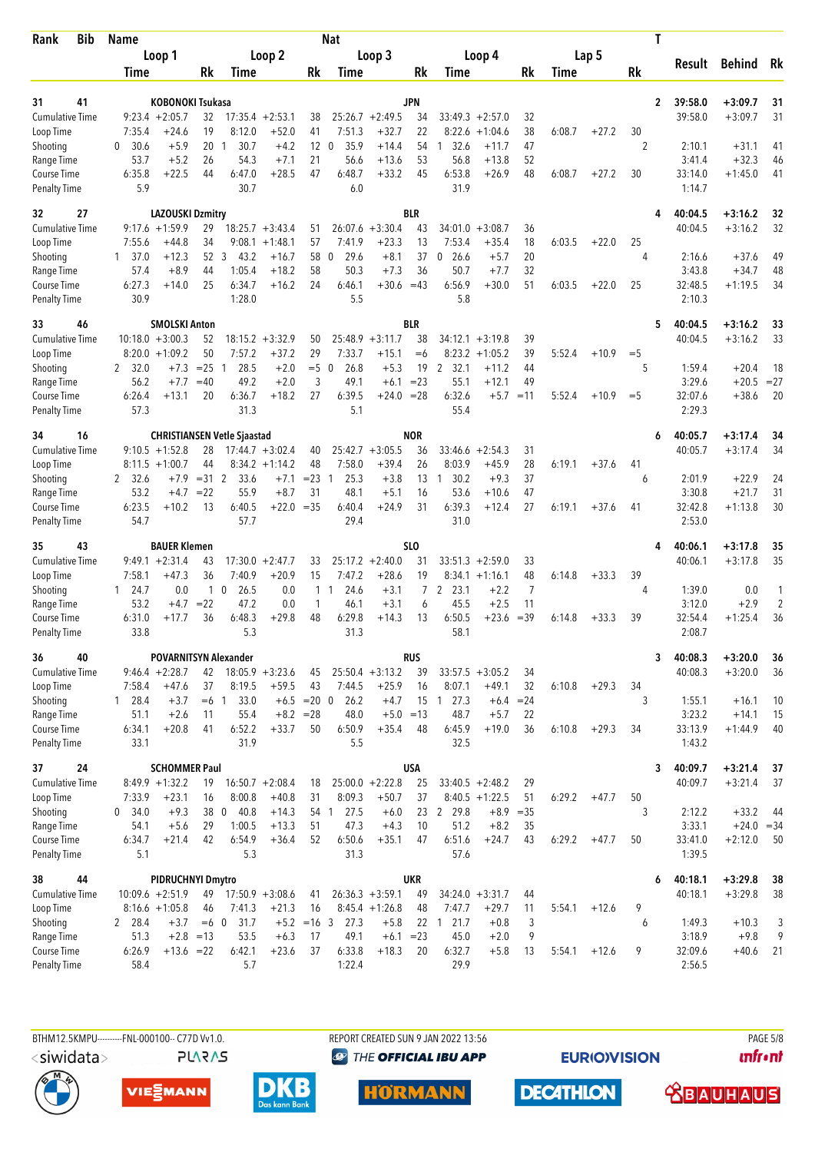| <b>Bib</b><br>Rank                  | <b>Name</b>     |                                         |                 |                                    |                               |               | Nat                         |                                        |              |                      |                                       |                |        |         |         | Τ                       |                    |              |
|-------------------------------------|-----------------|-----------------------------------------|-----------------|------------------------------------|-------------------------------|---------------|-----------------------------|----------------------------------------|--------------|----------------------|---------------------------------------|----------------|--------|---------|---------|-------------------------|--------------------|--------------|
|                                     |                 | Loop 1                                  |                 |                                    | Loop 2                        |               |                             | Loop 3                                 |              |                      | Loop 4                                |                |        | Lap 5   |         | Result                  | Behind             | Rk           |
|                                     | Time            |                                         | Rk              | <b>Time</b>                        |                               | Rk            | Time                        |                                        | Rk           | Time                 |                                       | Rk             | Time   |         | Rk      |                         |                    |              |
| 41<br>31                            |                 | KOBONOKI Tsukasa                        |                 |                                    |                               |               |                             |                                        | <b>JPN</b>   |                      |                                       |                |        |         |         | 39:58.0<br>$\mathbf{2}$ | $+3:09.7$          | 31           |
| <b>Cumulative Time</b>              |                 | $9:23.4 +2:05.7$                        | 32              | 17:35.4                            | $+2:53.1$                     | 38            |                             | $25:26.7 + 2:49.5$                     | 34           |                      | $33:49.3 + 2:57.0$                    | 32             |        |         |         | 39:58.0                 | $+3:09.7$          | 31           |
| Loop Time                           | 7:35.4          | $+24.6$                                 | 19              | 8:12.0                             | $+52.0$                       | 41            | 7:51.3                      | $+32.7$                                | 22           | 8:22.6               | $+1:04.6$                             | 38             | 6:08.7 | $+27.2$ | 30      |                         |                    |              |
| Shooting                            | 30.6<br>0       | $+5.9$                                  | 20              | 30.7<br>-1                         | $+4.2$                        | 12            | $\mathbf{0}$<br>35.9        | $+14.4$                                | 54           | 32.6<br>1            | $+11.7$                               | 47             |        |         | 2       | 2:10.1                  | $+31.1$            | 41           |
| Range Time                          | 53.7            | $+5.2$                                  | 26              | 54.3                               | $+7.1$                        | 21            | 56.6                        | $+13.6$                                | 53           | 56.8                 | $+13.8$                               | 52             |        |         |         | 3:41.4                  | $+32.3$            | 46           |
| Course Time<br><b>Penalty Time</b>  | 6:35.8<br>5.9   | $+22.5$                                 | 44              | 6:47.0<br>30.7                     | $+28.5$                       | 47            | 6:48.7<br>6.0               | $+33.2$                                | 45           | 6:53.8<br>31.9       | $+26.9$                               | 48             | 6:08.7 | $+27.2$ | 30      | 33:14.0<br>1:14.7       | $+1:45.0$          | 41           |
| 32<br>27                            |                 | <b>LAZOUSKI Dzmitry</b>                 |                 |                                    |                               |               |                             |                                        | <b>BLR</b>   |                      |                                       |                |        |         |         | 40:04.5<br>4            | $+3:16.2$          | 32           |
| Cumulative Time                     |                 | $9:17.6 + 1:59.9$                       | 29              |                                    | $18:25.7 + 3:43.4$            | 51            |                             | $26:07.6 + 3:30.4$                     | 43           | 34:01.0              | $+3:08.7$                             | 36             |        |         |         | 40:04.5                 | $+3:16.2$          | 32           |
| Loop Time                           | 7:55.6          | $+44.8$                                 | 34              | 9:08.1                             | $+1:48.1$                     | 57            | 7:41.9                      | $+23.3$                                | 13           | 7:53.4               | $+35.4$                               | 18             | 6:03.5 | $+22.0$ | 25      |                         |                    |              |
| Shooting                            | $1 \quad 37.0$  | $+12.3$                                 | 52 3            | 43.2                               | $+16.7$                       | 58            | 29.6<br>$\mathbf 0$         | $+8.1$                                 | 37           | $\mathbf{0}$<br>26.6 | $+5.7$                                | 20             |        |         | 4       | 2:16.6                  | $+37.6$            | 49           |
| Range Time                          | 57.4            | $+8.9$                                  | 44              | 1:05.4                             | $+18.2$                       | 58            | 50.3                        | $+7.3$                                 | 36           | 50.7                 | $+7.7$<br>$+30.0$                     | 32             |        |         |         | 3:43.8                  | $+34.7$            | 48           |
| Course Time<br><b>Penalty Time</b>  | 6:27.3<br>30.9  | $+14.0$                                 | 25              | 6:34.7<br>1:28.0                   | $+16.2$                       | 24            | 6:46.1<br>5.5               | $+30.6 = 43$                           |              | 6:56.9<br>5.8        |                                       | 51             | 6:03.5 | $+22.0$ | 25      | 32:48.5<br>2:10.3       | $+1:19.5$          | 34           |
| 33<br>46                            |                 | <b>SMOLSKI Anton</b>                    |                 |                                    |                               |               |                             |                                        | <b>BLR</b>   |                      |                                       |                |        |         |         | 40:04.5<br>5            | $+3:16.2$          | 33           |
| <b>Cumulative Time</b>              |                 | $10:18.0 + 3:00.3$                      | 52              | 18:15.2                            | $+3:32.9$                     | 50            | 25:48.9                     | $+3:11.7$                              | 38           | 34:12.1              | $+3:19.8$                             | 39             |        |         |         | 40:04.5                 | $+3:16.2$          | 33           |
| Loop Time                           |                 | $8:20.0 +1:09.2$                        | 50              | 7:57.2                             | $+37.2$                       | 29            | 7:33.7                      | $+15.1$                                | $= 6$        | 8:23.2               | $+1:05.2$                             | 39             | 5:52.4 | $+10.9$ | $=$ 5   |                         |                    |              |
| Shooting<br>Range Time              | 2, 32.0<br>56.2 | $+7.3$<br>$+7.7$                        | $= 25$<br>$=40$ | 28.5<br>-1<br>49.2                 | $+2.0$<br>$+2.0$              | $=$ 5<br>3    | 26.8<br>$\mathbf 0$<br>49.1 | $+5.3$<br>$+6.1$                       | 19<br>$= 23$ | 2 32.1<br>55.1       | $+11.2$<br>$+12.1$                    | 44<br>49       |        |         | 5       | 1:59.4<br>3:29.6        | $+20.4$<br>$+20.5$ | 18<br>$= 27$ |
| <b>Course Time</b>                  | 6:26.4          | $+13.1$                                 | 20              | 6:36.7                             | $+18.2$                       | 27            | 6:39.5                      | $+24.0$                                | $= 28$       | 6:32.6               | $+5.7$                                | $=11$          | 5:52.4 | $+10.9$ | $=$ 5   | 32:07.6                 | $+38.6$            | 20           |
| <b>Penalty Time</b>                 | 57.3            |                                         |                 | 31.3                               |                               |               | 5.1                         |                                        |              | 55.4                 |                                       |                |        |         |         | 2:29.3                  |                    |              |
| 16<br>34                            |                 |                                         |                 | <b>CHRISTIANSEN Vetle Sjaastad</b> |                               |               |                             |                                        | <b>NOR</b>   |                      |                                       |                |        |         |         | 40:05.7<br>6            | $+3:17.4$          | 34           |
| <b>Cumulative Time</b>              |                 | $9:10.5 + 1:52.8$                       | 28              |                                    | $17:44.7 + 3:02.4$            | 40            |                             | $25:42.7 + 3:05.5$                     | 36           |                      | $33:46.6 + 2:54.3$                    | 31             |        |         |         | 40:05.7                 | $+3:17.4$          | 34           |
| Loop Time                           |                 | $8:11.5 + 1:00.7$<br>$+7.9$             | 44<br>$=31$ 2   | 33.6                               | $8:34.2 +1:14.2$<br>$+7.1$    | 48<br>$= 23$  | 7:58.0<br>25.3<br>-1        | $+39.4$<br>$+3.8$                      | 26<br>13     | 8:03.9<br>30.2<br>-1 | $+45.9$<br>$+9.3$                     | 28<br>37       | 6:19.1 | $+37.6$ | 41<br>6 | 2:01.9                  | $+22.9$            | 24           |
| Shooting<br>Range Time              | 2 32.6<br>53.2  | $+4.7$                                  | $= 22$          | 55.9                               | $+8.7$                        | 31            | 48.1                        | $+5.1$                                 | 16           | 53.6                 | $+10.6$                               | 47             |        |         |         | 3:30.8                  | $+21.7$            | 31           |
| Course Time                         | 6:23.5          | $+10.2$                                 | 13              | 6:40.5                             | $+22.0 = 35$                  |               | 6:40.4                      | $+24.9$                                | 31           | 6:39.3               | $+12.4$                               | 27             | 6:19.1 | $+37.6$ | 41      | 32:42.8                 | $+1:13.8$          | 30           |
| <b>Penalty Time</b>                 | 54.7            |                                         |                 | 57.7                               |                               |               | 29.4                        |                                        |              | 31.0                 |                                       |                |        |         |         | 2:53.0                  |                    |              |
| 43<br>35                            |                 | <b>BAUER Klemen</b>                     |                 |                                    |                               |               |                             |                                        | SLO          |                      |                                       |                |        |         |         | 40:06.1<br>4            | $+3:17.8$          | 35           |
| <b>Cumulative Time</b><br>Loop Time | 7:58.1          | $9:49.1 + 2:31.4$<br>$+47.3$            | 43<br>36        | 17:30.0<br>7:40.9                  | $+2:47.7$<br>$+20.9$          | 33<br>15      | 7:47.2                      | $25:17.2 + 2:40.0$<br>$+28.6$          | 31<br>19     | 33:51.3              | $+2:59.0$<br>$8:34.1 +1:16.1$         | 33<br>48       | 6:14.8 | $+33.3$ | 39      | 40:06.1                 | $+3:17.8$          | 35           |
| Shooting                            | $1 \quad 24.7$  | 0.0                                     | $\mathbf{1}$    | $\mathbf 0$<br>26.5                | 0.0                           | $\mathbf{1}$  | 24.6<br>$\mathbf{1}$        | $+3.1$                                 | $7^{\circ}$  | $\mathbf{2}$<br>23.1 | $+2.2$                                | $\overline{7}$ |        |         | 4       | 1:39.0                  | 0.0                | 1            |
| Range Time                          | 53.2            | $+4.7$                                  | $= 22$          | 47.2                               | 0.0                           | 1             | 46.1                        | $+3.1$                                 | 6            | 45.5                 | $+2.5$                                | 11             |        |         |         | 3:12.0                  | $+2.9$             | 2            |
| <b>Course Time</b>                  | 6:31.0          | $+17.7$                                 | 36              | 6:48.3                             | $+29.8$                       | 48            | 6:29.8                      | $+14.3$                                | 13           | 6:50.5               | $+23.6$                               | $=39$          | 6:14.8 | $+33.3$ | 39      | 32:54.4                 | $+1:25.4$          | 36           |
| <b>Penalty Time</b>                 | 33.8            |                                         |                 | 5.3                                |                               |               | 31.3                        |                                        |              | 58.1                 |                                       |                |        |         |         | 2:08.7                  |                    |              |
| 36<br>40                            |                 |                                         |                 | <b>POVARNITSYN Alexander</b>       |                               |               |                             |                                        | <b>RUS</b>   |                      |                                       |                |        |         |         | 40:08.3<br>3            | $+3:20.0$          | 36           |
| <b>Cumulative Time</b>              | 7:58.4          | $9:46.4 + 2:28.7$<br>$+47.6$            | 42<br>37        | 8:19.5                             | $18:05.9 + 3:23.6$<br>$+59.5$ | 45<br>43      | 7:44.5                      | $25:50.4 +3:13.2$                      | 39           | 8:07.1               | $33:57.5 + 3:05.2$<br>$+49.1$         | 34             | 6:10.8 | $+29.3$ | 34      | 40:08.3                 | $+3:20.0$          | 36           |
| Loop Time<br>Shooting               | $1 \quad 28.4$  | $+3.7$                                  | $=6$ 1          | 33.0                               |                               | $+6.5 = 20 0$ | 26.2                        | $+25.9$<br>$+4.7$                      | 16           | 15 1 27.3            | $+6.4$                                | 32<br>$= 24$   |        |         | 3       | 1:55.1                  | $+16.1$            | 10           |
| Range Time                          | 51.1            | $+2.6$                                  | 11              | 55.4                               | $+8.2$                        | $= 28$        | 48.0                        | $+5.0$                                 | $=13$        | 48.7                 | $+5.7$                                | 22             |        |         |         | 3:23.2                  | $+14.1$            | 15           |
| Course Time                         | 6:34.1          | $+20.8$                                 | 41              | 6:52.2                             | $+33.7$                       | 50            | 6:50.9                      | $+35.4$                                | 48           | 6:45.9               | $+19.0$                               | 36             | 6:10.8 | $+29.3$ | 34      | 33:13.9                 | $+1:44.9$          | 40           |
| <b>Penalty Time</b>                 | 33.1            |                                         |                 | 31.9                               |                               |               | 5.5                         |                                        |              | 32.5                 |                                       |                |        |         |         | 1:43.2                  |                    |              |
| 24<br>37                            |                 | <b>SCHOMMER Paul</b>                    |                 |                                    |                               |               |                             |                                        | <b>USA</b>   |                      |                                       |                |        |         |         | 40:09.7<br>3            | $+3:21.4$          | 37           |
| <b>Cumulative Time</b><br>Loop Time | 7:33.9          | $8:49.9 +1:32.2$<br>$+23.1$             | 19<br>16        | 8:00.8                             | $16:50.7 + 2:08.4$<br>$+40.8$ | 18<br>31      | 8:09.3                      | $25:00.0 + 2:22.8$<br>$+50.7$          | 25<br>37     |                      | $33:40.5 +2:48.2$<br>$8:40.5 +1:22.5$ | 29<br>51       | 6:29.2 | $+47.7$ | 50      | 40:09.7                 | $+3:21.4$          | 37           |
| Shooting                            | 0<br>34.0       | $+9.3$                                  | 38 0            | 40.8                               | $+14.3$                       |               | 54 1<br>27.5                | $+6.0$                                 | 23           | 2 29.8               |                                       | $+8.9 = 35$    |        |         | 3       | 2:12.2                  | $+33.2$            | 44           |
| Range Time                          | 54.1            | $+5.6$                                  | 29              | 1:00.5                             | $+13.3$                       | 51            | 47.3                        | $+4.3$                                 | 10           | 51.2                 | $+8.2$                                | 35             |        |         |         | 3:33.1                  | $+24.0 = 34$       |              |
| Course Time                         | 6:34.7          | $+21.4$                                 | 42              | 6:54.9                             | $+36.4$                       | 52            | 6:50.6                      | $+35.1$                                | 47           | 6:51.6               | $+24.7$                               | 43             | 6:29.2 | $+47.7$ | 50      | 33:41.0                 | $+2:12.0$          | 50           |
| <b>Penalty Time</b>                 | 5.1             |                                         |                 | 5.3                                |                               |               | 31.3                        |                                        |              | 57.6                 |                                       |                |        |         |         | 1:39.5                  |                    |              |
| 44<br>38                            |                 | <b>PIDRUCHNYI Dmytro</b>                |                 |                                    |                               |               |                             |                                        | <b>UKR</b>   |                      |                                       |                |        |         |         | 40:18.1<br>6            | $+3:29.8$          | 38           |
| <b>Cumulative Time</b><br>Loop Time |                 | $10:09.6 + 2:51.9$<br>$8:16.6 + 1:05.8$ | 49<br>46        | 7:41.3                             | $17:50.9 + 3:08.6$<br>$+21.3$ | 41<br>16      |                             | $26:36.3 + 3:59.1$<br>$8:45.4 +1:26.8$ | 49<br>48     | 7:47.7               | $34:24.0 + 3:31.7$<br>$+29.7$         | 44             | 5:54.1 | $+12.6$ | 9       | 40:18.1                 | $+3:29.8$          | 38           |
| Shooting                            | 2 28.4          | $+3.7$                                  | $=6$ 0          | 31.7                               |                               | $+5.2 = 16$ 3 | 27.3                        | $+5.8$                                 |              | 22 1 21.7            | $+0.8$                                | 11<br>3        |        |         | 6       | 1:49.3                  | $+10.3$            | 3            |
| Range Time                          | 51.3            |                                         | $+2.8 = 13$     | 53.5                               | $+6.3$                        | 17            | 49.1                        | $+6.1 = 23$                            |              | 45.0                 | $+2.0$                                | 9              |        |         |         | 3:18.9                  | $+9.8$             | 9            |
| Course Time                         | 6:26.9          | $+13.6 = 22$                            |                 | 6:42.1                             | $+23.6$                       | 37            | 6:33.8                      | $+18.3$                                | 20           | 6:32.7               | $+5.8$                                | 13             | 5:54.1 | $+12.6$ | 9       | 32:09.6                 | $+40.6$            | 21           |
| <b>Penalty Time</b>                 | 58.4            |                                         |                 | 5.7                                |                               |               | 1:22.4                      |                                        |              | 29.9                 |                                       |                |        |         |         | 2:56.5                  |                    |              |



**PLARAS** 

BTHM12.5KMPU---------FNL-000100-- C77D Vv1.0. REPORT CREATED SUN 9 JAN 2022 13:56 PAGE 5/8 **<sup><sup>3</sup>** THE OFFICIAL IBU APP</sup>

**EURIOVISION** 

**unfront** 







**DECATHLON HORMANN** 

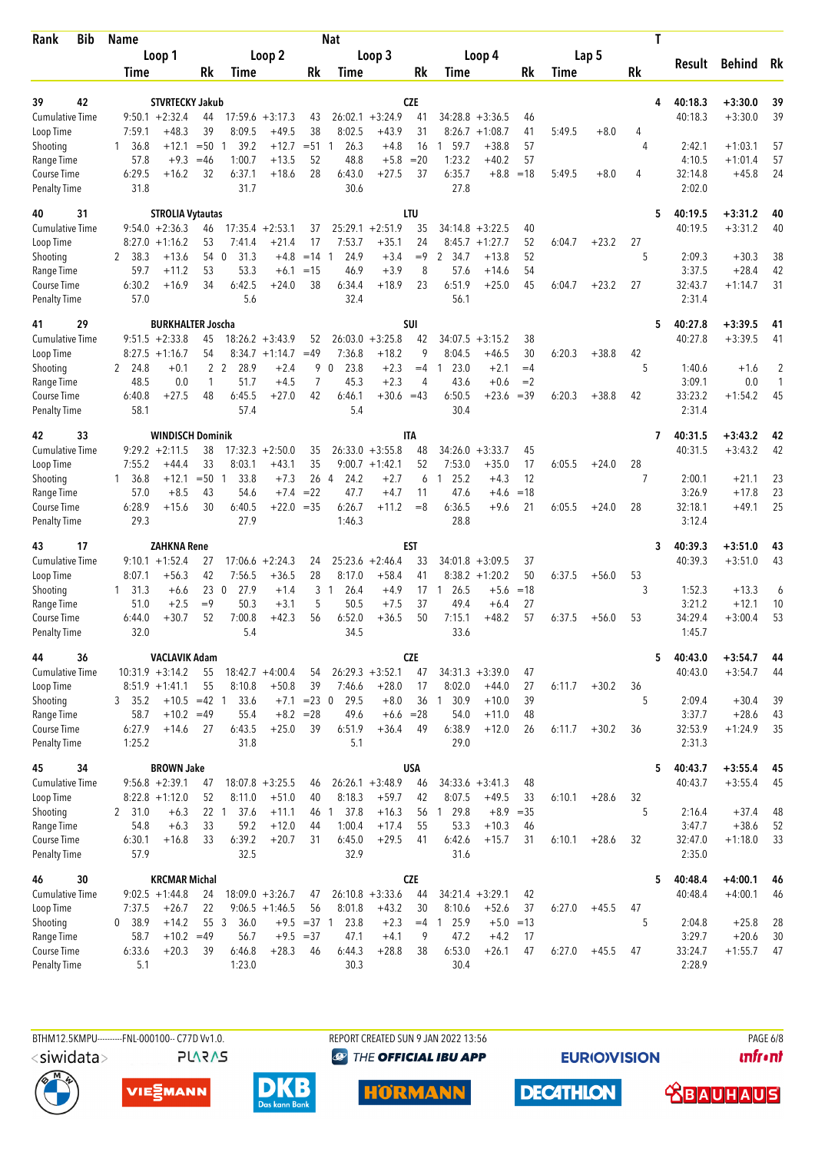| Loop 1<br>Loop 2<br>Loop 3<br>Loop 4<br>Lap 5<br>Result<br>Behind<br>Rk<br>Rk<br>Rk<br>Rk<br>Rk<br>Rk<br>Time<br>Time<br>Time<br>Time<br>Time<br>42<br><b>STVRTECKY Jakub</b><br><b>CZE</b><br>40:18.3<br>$+3:30.0$<br>39<br>39<br>4<br>$+3:24.9$<br><b>Cumulative Time</b><br>$9:50.1 + 2:32.4$<br>17:59.6<br>26:02.1<br>41<br>$34:28.8 + 3:36.5$<br>40:18.3<br>$+3:30.0$<br>39<br>44<br>$+3:17.3$<br>43<br>46<br>39<br>38<br>31<br>7:59.1<br>$+48.3$<br>8:09.5<br>$+49.5$<br>8:02.5<br>$+43.9$<br>8:26.7<br>$+1:08.7$<br>5:49.5<br>$+8.0$<br>Loop Time<br>41<br>4<br>$+12.1$<br>$=50$<br>39.2<br>$+12.7$<br>$= 51$<br>26.3<br>$+4.8$<br>16<br>59.7<br>$+38.8$<br>57<br>2:42.1<br>$+1:03.1$<br>57<br>Shooting<br>36.8<br>1<br>1<br>4<br>$+9.3$<br>1:00.7<br>$+13.5$<br>52<br>48.8<br>$+5.8$<br>$=20$<br>1:23.2<br>$+40.2$<br>57<br>4:10.5<br>57<br>Range Time<br>57.8<br>$=46$<br>$+1:01.4$<br>$+27.5$<br>6:35.7<br>6:29.5<br>$+16.2$<br>32<br>6:37.1<br>$+18.6$<br>28<br>6:43.0<br>37<br>$+8.8$<br>32:14.8<br>$+45.8$<br>24<br>Course Time<br>$=18$<br>5:49.5<br>$+8.0$<br>4<br>31.7<br>27.8<br>31.8<br>30.6<br>2:02.0<br><b>Penalty Time</b><br>LTU<br>31<br><b>STROLIA Vytautas</b><br>40:19.5<br>$+3:31.2$<br>40<br>5<br>40<br>$9:54.0 +2:36.3$<br>17:35.4<br>$+2:53.1$<br>25:29.1<br>$+2:51.9$<br>35<br>40<br>40:19.5<br>$+3:31.2$<br>40<br><b>Cumulative Time</b><br>46<br>37<br>34:14.8 +3:22.5<br>53<br>17<br>7:53.7<br>$+35.1$<br>24<br>$+1:27.7$<br>52<br>$+23.2$<br>27<br>Loop Time<br>8:27.0<br>$+1:16.2$<br>7:41.4<br>$+21.4$<br>8:45.7<br>6:04.7<br>52<br>2 38.3<br>$+13.6$<br>54 0<br>31.3<br>$+4.8$<br>$=14$<br>24.9<br>$+3.4$<br>$=9$<br>2<br>34.7<br>$+13.8$<br>5<br>2:09.3<br>$+30.3$<br>38<br>Shooting<br>$\mathbf{1}$<br>53<br>8<br>57.6<br>59.7<br>53.3<br>$=15$<br>46.9<br>$+3.9$<br>$+14.6$<br>54<br>3:37.5<br>$+28.4$<br>42<br>Range Time<br>$+11.2$<br>$+6.1$<br>6:51.9<br>6:30.2<br>6:42.5<br>38<br>6:34.4<br>$+18.9$<br>23<br>$+25.0$<br>45<br>32:43.7<br>31<br>Course Time<br>$+16.9$<br>34<br>$+24.0$<br>6:04.7<br>$+23.2$<br>27<br>$+1:14.7$<br>57.0<br>5.6<br>32.4<br>56.1<br>2:31.4<br><b>Penalty Time</b><br>29<br><b>BURKHALTER Joscha</b><br>SUI<br>40:27.8<br>$+3:39.5$<br>41<br>5<br>41<br><b>Cumulative Time</b><br>$9:51.5 +2:33.8$<br>45<br>$18:26.2 + 3:43.9$<br>26:03.0<br>$+3:25.8$<br>42<br>34:07.5<br>$+3:15.2$<br>38<br>40:27.8<br>$+3:39.5$<br>41<br>52<br>54<br>9<br>8:34.7<br>$=49$<br>7:36.8<br>$+18.2$<br>8:04.5<br>30<br>6:20.3<br>$+38.8$<br>Loop Time<br>$8:27.5 +1:16.7$<br>$+1:14.7$<br>$+46.5$<br>42<br>$+2.3$<br>2 24.8<br>$+0.1$<br>2 <sub>2</sub><br>28.9<br>$+2.4$<br>9<br>$\mathbf{0}$<br>23.8<br>23.0<br>$+2.1$<br>$=4$<br>5<br>1:40.6<br>2<br>Shooting<br>$=4$<br>$+1.6$<br>$\mathbf{1}$<br>51.7<br>7<br>45.3<br>$+2.3$<br>43.6<br>$+0.6$<br>$=2$<br>3:09.1<br>0.0<br>Range Time<br>48.5<br>0.0<br>1<br>$+4.5$<br>4<br>1<br>6:50.5<br>6:40.8<br>$+27.5$<br>48<br>6:45.5<br>$+27.0$<br>42<br>6:46.1<br>$+30.6 = 43$<br>$+23.6$<br>$=39$<br>6:20.3<br>$+38.8$<br>42<br>33:23.2<br>$+1:54.2$<br>45<br>Course Time<br>57.4<br>5.4<br>58.1<br>30.4<br>2:31.4<br><b>Penalty Time</b><br>33<br><b>WINDISCH Dominik</b><br><b>ITA</b><br>40:31.5<br>42<br>$+3:43.2$<br>42<br>7<br>$9:29.2 +2:11.5$<br>38<br>$17:32.3 + 2:50.0$<br>$26:33.0 + 3:55.8$<br>$34:26.0 + 3:33.7$<br>45<br>40:31.5<br>$+3:43.2$<br>42<br><b>Cumulative Time</b><br>35<br>48<br>35<br>33<br>8:03.1<br>$+43.1$<br>$9:00.7 +1:42.1$<br>52<br>7:53.0<br>$+35.0$<br>17<br>6:05.5<br>28<br>Loop Time<br>7:55.2<br>$+44.4$<br>$+24.0$<br>26 4<br>12<br>1, 36.8<br>$+12.1$<br>$=50$<br>33.8<br>$+7.3$<br>24.2<br>$+2.7$<br>25.2<br>$+4.3$<br>7<br>2:00.1<br>$+21.1$<br>23<br>Shooting<br>1<br>6<br>$\mathbf{1}$<br>47.6<br>57.0<br>$+8.5$<br>43<br>54.6<br>$+7.4$<br>$= 22$<br>47.7<br>$+4.7$<br>11<br>$=18$<br>3:26.9<br>$+17.8$<br>23<br>Range Time<br>$+4.6$<br>6:40.5<br>6:36.5<br>25<br>Course Time<br>6:28.9<br>$+15.6$<br>30<br>$+22.0 = 35$<br>6:26.7<br>$+11.2$<br>$=8$<br>$+9.6$<br>21<br>6:05.5<br>$+24.0$<br>28<br>32:18.1<br>$+49.1$<br>27.9<br>28.8<br><b>Penalty Time</b><br>29.3<br>1:46.3<br>3:12.4<br>17<br><b>ZAHKNA Rene</b><br>EST<br>40:39.3<br>$+3:51.0$<br>43<br>3<br>43<br>40:39.3<br><b>Cumulative Time</b><br>$9:10.1 + 1:52.4$<br>27<br>$+2:24.3$<br>25:23.6<br>$+2:46.4$<br>33<br>34:01.8<br>37<br>$+3:51.0$<br>43<br>17:06.6<br>24<br>$+3:09.5$<br>$+56.3$<br>42<br>7:56.5<br>$+36.5$<br>28<br>8:17.0<br>$+58.4$<br>41<br>$8:38.2 +1:20.2$<br>50<br>6:37.5<br>53<br>Loop Time<br>8:07.1<br>$+56.0$<br>$=18$<br>230<br>27.9<br>$+1.4$<br>3<br>$\overline{1}$<br>26.4<br>$+4.9$<br>26.5<br>$+5.6$<br>3<br>1:52.3<br>$+13.3$<br>6<br>Shooting<br>$1 \quad 31.3$<br>$+6.6$<br>17 1<br>$=9$<br>50.3<br>$+3.1$<br>5<br>50.5<br>$+7.5$<br>37<br>49.4<br>27<br>3:21.2<br>$+12.1$<br>10<br>Range Time<br>51.0<br>$+2.5$<br>$+6.4$<br>7:00.8<br>$+42.3$<br>56<br>6:52.0<br>$+48.2$<br>34:29.4<br>53<br>$+30.7$<br>52<br>$+36.5$<br>50<br>7:15.1<br>57<br>6:37.5<br>53<br>$+3:00.4$<br>Course Time<br>6:44.0<br>$+56.0$<br>32.0<br>5.4<br>34.5<br>33.6<br>1:45.7<br><b>Penalty Time</b><br><b>CZE</b><br>44<br>36<br><b>VACLAVIK Adam</b><br>5<br>40:43.0<br>$+3:54.7$<br>44<br>$10:31.9 + 3:14.2$<br>$18:42.7 + 4:00.4$<br>$26:29.3 + 3:52.1$<br>47<br>$34:31.3 + 3:39.0$<br>40:43.0<br>$+3:54.7$<br><b>Cumulative Time</b><br>55<br>54<br>47<br>44<br>55<br>8:10.8<br>39<br>8:02.0<br>$+44.0$<br>36<br>Loop Time<br>$8:51.9 +1:41.1$<br>$+50.8$<br>7:46.6<br>$+28.0$<br>17<br>27<br>6:11.7<br>$+30.2$<br>$+10.5 = 42$ 1<br>33.6<br>$+7.1$ = 23 0<br>29.5<br>$+8.0$<br>36<br>30.9<br>$+10.0$<br>39<br>5<br>2:09.4<br>$+30.4$<br>39<br>Shooting<br>3, 35.2<br>$\overline{1}$<br>3:37.7<br>58.7<br>$+10.2$<br>55.4<br>$+8.2 = 28$<br>49.6<br>$+6.6 = 28$<br>54.0<br>$+11.0$<br>48<br>$+28.6$<br>43<br>Range Time<br>$=49$<br>6:38.9<br>32:53.9<br>Course Time<br>6:27.9<br>$+14.6$<br>27<br>6:43.5<br>$+25.0$<br>39<br>6:51.9<br>$+36.4$<br>49<br>$+12.0$<br>26<br>6:11.7<br>$+30.2$<br>36<br>$+1:24.9$<br>35<br>1:25.2<br>31.8<br>5.1<br>29.0<br>2:31.3<br><b>Penalty Time</b><br><b>BROWN Jake</b><br><b>USA</b><br>45<br>34<br>5<br>40:43.7<br>$+3:55.4$<br>45<br>40:43.7<br><b>Cumulative Time</b><br>$9:56.8 + 2:39.1$<br>$18:07.8 + 3:25.5$<br>$26:26.1 + 3:48.9$<br>$34:33.6 + 3:41.3$<br>48<br>$+3:55.4$<br>45<br>47<br>46<br>46<br>52<br>8:18.3<br>8:07.5<br>Loop Time<br>$8:22.8 +1:12.0$<br>8:11.0<br>$+51.0$<br>40<br>$+59.7$<br>42<br>$+49.5$<br>$+28.6$<br>32<br>33<br>6:10.1<br>1 29.8<br>5<br>Shooting<br>22 <sub>1</sub><br>37.6<br>$+11.1$<br>46<br>37.8<br>$+16.3$<br>56<br>$+8.9 = 35$<br>2:16.4<br>$+37.4$<br>2, 31.0<br>$+6.3$<br>$\overline{1}$<br>48<br>Range Time<br>54.8<br>33<br>59.2<br>$+12.0$<br>44<br>1:00.4<br>$+17.4$<br>55<br>53.3<br>$+10.3$<br>3:47.7<br>$+38.6$<br>52<br>$+6.3$<br>46<br>6:39.2<br>Course Time<br>6:30.1<br>33<br>$+20.7$<br>31<br>6:45.0<br>$+29.5$<br>6:42.6<br>$+15.7$<br>6:10.1<br>$+28.6$<br>32<br>32:47.0<br>33<br>$+16.8$<br>41<br>31<br>$+1:18.0$<br><b>Penalty Time</b><br>57.9<br>32.5<br>32.9<br>31.6<br>2:35.0<br><b>CZE</b><br>30<br><b>KRCMAR Michal</b><br>46<br>5<br>40:48.4<br>$+4:00.1$<br>46<br><b>Cumulative Time</b><br>$9:02.5 +1:44.8$<br>$18:09.0 + 3:26.7$<br>$26:10.8 + 3:33.6$<br>44<br>$34:21.4 +3:29.1$<br>42<br>40:48.4<br>$+4:00.1$<br>24<br>47<br>46<br>7:37.5<br>$+26.7$<br>22<br>$9:06.5 +1:46.5$<br>56<br>8:01.8<br>$+43.2$<br>8:10.6<br>$+52.6$<br>Loop Time<br>30<br>37<br>6:27.0<br>$+45.5$<br>47<br>0, 38.9<br>55 3<br>36.0<br>$+9.5 = 37$ 1<br>23.8<br>$+2.3$<br>$=4$ 1 25.9<br>$+5.0 = 13$<br>5<br>$+25.8$<br>Shooting<br>$+14.2$<br>2:04.8<br>28<br>3:29.7<br>58.7<br>$+10.2 = 49$<br>56.7<br>$+9.5 = 37$<br>47.1<br>$+4.1$<br>9<br>47.2<br>$+4.2$<br>$+20.6$<br>30<br>Range Time<br>17<br>Course Time<br>6:33.6<br>$+20.3$<br>39<br>6:46.8<br>$+28.3$<br>6:44.3<br>$+28.8$<br>38<br>6:53.0<br>$+26.1$<br>47<br>6:27.0<br>$+45.5$<br>33:24.7<br>$+1:55.7$<br>47<br>46<br>47<br><b>Penalty Time</b><br>5.1<br>1:23.0<br>30.3<br>30.4<br>2:28.9 | <b>Bib</b><br>Rank | <b>Name</b> |  |  | <b>Nat</b> |  |  |  |  | Τ |  |  |
|-------------------------------------------------------------------------------------------------------------------------------------------------------------------------------------------------------------------------------------------------------------------------------------------------------------------------------------------------------------------------------------------------------------------------------------------------------------------------------------------------------------------------------------------------------------------------------------------------------------------------------------------------------------------------------------------------------------------------------------------------------------------------------------------------------------------------------------------------------------------------------------------------------------------------------------------------------------------------------------------------------------------------------------------------------------------------------------------------------------------------------------------------------------------------------------------------------------------------------------------------------------------------------------------------------------------------------------------------------------------------------------------------------------------------------------------------------------------------------------------------------------------------------------------------------------------------------------------------------------------------------------------------------------------------------------------------------------------------------------------------------------------------------------------------------------------------------------------------------------------------------------------------------------------------------------------------------------------------------------------------------------------------------------------------------------------------------------------------------------------------------------------------------------------------------------------------------------------------------------------------------------------------------------------------------------------------------------------------------------------------------------------------------------------------------------------------------------------------------------------------------------------------------------------------------------------------------------------------------------------------------------------------------------------------------------------------------------------------------------------------------------------------------------------------------------------------------------------------------------------------------------------------------------------------------------------------------------------------------------------------------------------------------------------------------------------------------------------------------------------------------------------------------------------------------------------------------------------------------------------------------------------------------------------------------------------------------------------------------------------------------------------------------------------------------------------------------------------------------------------------------------------------------------------------------------------------------------------------------------------------------------------------------------------------------------------------------------------------------------------------------------------------------------------------------------------------------------------------------------------------------------------------------------------------------------------------------------------------------------------------------------------------------------------------------------------------------------------------------------------------------------------------------------------------------------------------------------------------------------------------------------------------------------------------------------------------------------------------------------------------------------------------------------------------------------------------------------------------------------------------------------------------------------------------------------------------------------------------------------------------------------------------------------------------------------------------------------------------------------------------------------------------------------------------------------------------------------------------------------------------------------------------------------------------------------------------------------------------------------------------------------------------------------------------------------------------------------------------------------------------------------------------------------------------------------------------------------------------------------------------------------------------------------------------------------------------------------------------------------------------------------------------------------------------------------------------------------------------------------------------------------------------------------------------------------------------------------------------------------------------------------------------------------------------------------------------------------------------------------------------------------------------------------------------------------------------------------------------------------------------------------------------------------------------------------------------------------------------------------------------------------------------------------------------------------------------------------------------------------------------------------------------------------------------------------------------------------------------------------------------------------------------------------------------------------------------------------------------------------------------------------------------------------------------------------------------------------------------------------------------------------------------------------------------------------------------------------------------------------------------------------------------------------------------------------------------------------------------------------------------------------------------------------------------------------------------------------------------------------------------------------------------------------------------------------------------------------------------------------------------------------------------------------------------------------------------------------------------------------------------------------------------------------------------------------------------------------------------------------------------------------------------------------------------------------------------------------------------------------------------------------------------------------------------------------------------------------------------------------------------------------------------------------------------------------------------------------------------------------------------------------------------------------------------------------------------------------------------------------------------------------------------------------------------------------------------------------------------------------------------------------------------------------------------------------------------------------------------------------------------------------------------------------------------------------------------------------------|--------------------|-------------|--|--|------------|--|--|--|--|---|--|--|
|                                                                                                                                                                                                                                                                                                                                                                                                                                                                                                                                                                                                                                                                                                                                                                                                                                                                                                                                                                                                                                                                                                                                                                                                                                                                                                                                                                                                                                                                                                                                                                                                                                                                                                                                                                                                                                                                                                                                                                                                                                                                                                                                                                                                                                                                                                                                                                                                                                                                                                                                                                                                                                                                                                                                                                                                                                                                                                                                                                                                                                                                                                                                                                                                                                                                                                                                                                                                                                                                                                                                                                                                                                                                                                                                                                                                                                                                                                                                                                                                                                                                                                                                                                                                                                                                                                                                                                                                                                                                                                                                                                                                                                                                                                                                                                                                                                                                                                                                                                                                                                                                                                                                                                                                                                                                                                                                                                                                                                                                                                                                                                                                                                                                                                                                                                                                                                                                                                                                                                                                                                                                                                                                                                                                                                                                                                                                                                                                                                                                                                                                                                                                                                                                                                                                                                                                                                                                                                                                                                                                                                                                                                                                                                                                                                                                                                                                                                                                                                                                                                                                                                                                                                                                                                                                                                                                                                                                                                                                                                                                                                                                                           |                    |             |  |  |            |  |  |  |  |   |  |  |
|                                                                                                                                                                                                                                                                                                                                                                                                                                                                                                                                                                                                                                                                                                                                                                                                                                                                                                                                                                                                                                                                                                                                                                                                                                                                                                                                                                                                                                                                                                                                                                                                                                                                                                                                                                                                                                                                                                                                                                                                                                                                                                                                                                                                                                                                                                                                                                                                                                                                                                                                                                                                                                                                                                                                                                                                                                                                                                                                                                                                                                                                                                                                                                                                                                                                                                                                                                                                                                                                                                                                                                                                                                                                                                                                                                                                                                                                                                                                                                                                                                                                                                                                                                                                                                                                                                                                                                                                                                                                                                                                                                                                                                                                                                                                                                                                                                                                                                                                                                                                                                                                                                                                                                                                                                                                                                                                                                                                                                                                                                                                                                                                                                                                                                                                                                                                                                                                                                                                                                                                                                                                                                                                                                                                                                                                                                                                                                                                                                                                                                                                                                                                                                                                                                                                                                                                                                                                                                                                                                                                                                                                                                                                                                                                                                                                                                                                                                                                                                                                                                                                                                                                                                                                                                                                                                                                                                                                                                                                                                                                                                                                                           |                    |             |  |  |            |  |  |  |  |   |  |  |
|                                                                                                                                                                                                                                                                                                                                                                                                                                                                                                                                                                                                                                                                                                                                                                                                                                                                                                                                                                                                                                                                                                                                                                                                                                                                                                                                                                                                                                                                                                                                                                                                                                                                                                                                                                                                                                                                                                                                                                                                                                                                                                                                                                                                                                                                                                                                                                                                                                                                                                                                                                                                                                                                                                                                                                                                                                                                                                                                                                                                                                                                                                                                                                                                                                                                                                                                                                                                                                                                                                                                                                                                                                                                                                                                                                                                                                                                                                                                                                                                                                                                                                                                                                                                                                                                                                                                                                                                                                                                                                                                                                                                                                                                                                                                                                                                                                                                                                                                                                                                                                                                                                                                                                                                                                                                                                                                                                                                                                                                                                                                                                                                                                                                                                                                                                                                                                                                                                                                                                                                                                                                                                                                                                                                                                                                                                                                                                                                                                                                                                                                                                                                                                                                                                                                                                                                                                                                                                                                                                                                                                                                                                                                                                                                                                                                                                                                                                                                                                                                                                                                                                                                                                                                                                                                                                                                                                                                                                                                                                                                                                                                                           |                    |             |  |  |            |  |  |  |  |   |  |  |
|                                                                                                                                                                                                                                                                                                                                                                                                                                                                                                                                                                                                                                                                                                                                                                                                                                                                                                                                                                                                                                                                                                                                                                                                                                                                                                                                                                                                                                                                                                                                                                                                                                                                                                                                                                                                                                                                                                                                                                                                                                                                                                                                                                                                                                                                                                                                                                                                                                                                                                                                                                                                                                                                                                                                                                                                                                                                                                                                                                                                                                                                                                                                                                                                                                                                                                                                                                                                                                                                                                                                                                                                                                                                                                                                                                                                                                                                                                                                                                                                                                                                                                                                                                                                                                                                                                                                                                                                                                                                                                                                                                                                                                                                                                                                                                                                                                                                                                                                                                                                                                                                                                                                                                                                                                                                                                                                                                                                                                                                                                                                                                                                                                                                                                                                                                                                                                                                                                                                                                                                                                                                                                                                                                                                                                                                                                                                                                                                                                                                                                                                                                                                                                                                                                                                                                                                                                                                                                                                                                                                                                                                                                                                                                                                                                                                                                                                                                                                                                                                                                                                                                                                                                                                                                                                                                                                                                                                                                                                                                                                                                                                                           |                    |             |  |  |            |  |  |  |  |   |  |  |
|                                                                                                                                                                                                                                                                                                                                                                                                                                                                                                                                                                                                                                                                                                                                                                                                                                                                                                                                                                                                                                                                                                                                                                                                                                                                                                                                                                                                                                                                                                                                                                                                                                                                                                                                                                                                                                                                                                                                                                                                                                                                                                                                                                                                                                                                                                                                                                                                                                                                                                                                                                                                                                                                                                                                                                                                                                                                                                                                                                                                                                                                                                                                                                                                                                                                                                                                                                                                                                                                                                                                                                                                                                                                                                                                                                                                                                                                                                                                                                                                                                                                                                                                                                                                                                                                                                                                                                                                                                                                                                                                                                                                                                                                                                                                                                                                                                                                                                                                                                                                                                                                                                                                                                                                                                                                                                                                                                                                                                                                                                                                                                                                                                                                                                                                                                                                                                                                                                                                                                                                                                                                                                                                                                                                                                                                                                                                                                                                                                                                                                                                                                                                                                                                                                                                                                                                                                                                                                                                                                                                                                                                                                                                                                                                                                                                                                                                                                                                                                                                                                                                                                                                                                                                                                                                                                                                                                                                                                                                                                                                                                                                                           |                    |             |  |  |            |  |  |  |  |   |  |  |
|                                                                                                                                                                                                                                                                                                                                                                                                                                                                                                                                                                                                                                                                                                                                                                                                                                                                                                                                                                                                                                                                                                                                                                                                                                                                                                                                                                                                                                                                                                                                                                                                                                                                                                                                                                                                                                                                                                                                                                                                                                                                                                                                                                                                                                                                                                                                                                                                                                                                                                                                                                                                                                                                                                                                                                                                                                                                                                                                                                                                                                                                                                                                                                                                                                                                                                                                                                                                                                                                                                                                                                                                                                                                                                                                                                                                                                                                                                                                                                                                                                                                                                                                                                                                                                                                                                                                                                                                                                                                                                                                                                                                                                                                                                                                                                                                                                                                                                                                                                                                                                                                                                                                                                                                                                                                                                                                                                                                                                                                                                                                                                                                                                                                                                                                                                                                                                                                                                                                                                                                                                                                                                                                                                                                                                                                                                                                                                                                                                                                                                                                                                                                                                                                                                                                                                                                                                                                                                                                                                                                                                                                                                                                                                                                                                                                                                                                                                                                                                                                                                                                                                                                                                                                                                                                                                                                                                                                                                                                                                                                                                                                                           |                    |             |  |  |            |  |  |  |  |   |  |  |
|                                                                                                                                                                                                                                                                                                                                                                                                                                                                                                                                                                                                                                                                                                                                                                                                                                                                                                                                                                                                                                                                                                                                                                                                                                                                                                                                                                                                                                                                                                                                                                                                                                                                                                                                                                                                                                                                                                                                                                                                                                                                                                                                                                                                                                                                                                                                                                                                                                                                                                                                                                                                                                                                                                                                                                                                                                                                                                                                                                                                                                                                                                                                                                                                                                                                                                                                                                                                                                                                                                                                                                                                                                                                                                                                                                                                                                                                                                                                                                                                                                                                                                                                                                                                                                                                                                                                                                                                                                                                                                                                                                                                                                                                                                                                                                                                                                                                                                                                                                                                                                                                                                                                                                                                                                                                                                                                                                                                                                                                                                                                                                                                                                                                                                                                                                                                                                                                                                                                                                                                                                                                                                                                                                                                                                                                                                                                                                                                                                                                                                                                                                                                                                                                                                                                                                                                                                                                                                                                                                                                                                                                                                                                                                                                                                                                                                                                                                                                                                                                                                                                                                                                                                                                                                                                                                                                                                                                                                                                                                                                                                                                                           |                    |             |  |  |            |  |  |  |  |   |  |  |
|                                                                                                                                                                                                                                                                                                                                                                                                                                                                                                                                                                                                                                                                                                                                                                                                                                                                                                                                                                                                                                                                                                                                                                                                                                                                                                                                                                                                                                                                                                                                                                                                                                                                                                                                                                                                                                                                                                                                                                                                                                                                                                                                                                                                                                                                                                                                                                                                                                                                                                                                                                                                                                                                                                                                                                                                                                                                                                                                                                                                                                                                                                                                                                                                                                                                                                                                                                                                                                                                                                                                                                                                                                                                                                                                                                                                                                                                                                                                                                                                                                                                                                                                                                                                                                                                                                                                                                                                                                                                                                                                                                                                                                                                                                                                                                                                                                                                                                                                                                                                                                                                                                                                                                                                                                                                                                                                                                                                                                                                                                                                                                                                                                                                                                                                                                                                                                                                                                                                                                                                                                                                                                                                                                                                                                                                                                                                                                                                                                                                                                                                                                                                                                                                                                                                                                                                                                                                                                                                                                                                                                                                                                                                                                                                                                                                                                                                                                                                                                                                                                                                                                                                                                                                                                                                                                                                                                                                                                                                                                                                                                                                                           |                    |             |  |  |            |  |  |  |  |   |  |  |
|                                                                                                                                                                                                                                                                                                                                                                                                                                                                                                                                                                                                                                                                                                                                                                                                                                                                                                                                                                                                                                                                                                                                                                                                                                                                                                                                                                                                                                                                                                                                                                                                                                                                                                                                                                                                                                                                                                                                                                                                                                                                                                                                                                                                                                                                                                                                                                                                                                                                                                                                                                                                                                                                                                                                                                                                                                                                                                                                                                                                                                                                                                                                                                                                                                                                                                                                                                                                                                                                                                                                                                                                                                                                                                                                                                                                                                                                                                                                                                                                                                                                                                                                                                                                                                                                                                                                                                                                                                                                                                                                                                                                                                                                                                                                                                                                                                                                                                                                                                                                                                                                                                                                                                                                                                                                                                                                                                                                                                                                                                                                                                                                                                                                                                                                                                                                                                                                                                                                                                                                                                                                                                                                                                                                                                                                                                                                                                                                                                                                                                                                                                                                                                                                                                                                                                                                                                                                                                                                                                                                                                                                                                                                                                                                                                                                                                                                                                                                                                                                                                                                                                                                                                                                                                                                                                                                                                                                                                                                                                                                                                                                                           |                    |             |  |  |            |  |  |  |  |   |  |  |
|                                                                                                                                                                                                                                                                                                                                                                                                                                                                                                                                                                                                                                                                                                                                                                                                                                                                                                                                                                                                                                                                                                                                                                                                                                                                                                                                                                                                                                                                                                                                                                                                                                                                                                                                                                                                                                                                                                                                                                                                                                                                                                                                                                                                                                                                                                                                                                                                                                                                                                                                                                                                                                                                                                                                                                                                                                                                                                                                                                                                                                                                                                                                                                                                                                                                                                                                                                                                                                                                                                                                                                                                                                                                                                                                                                                                                                                                                                                                                                                                                                                                                                                                                                                                                                                                                                                                                                                                                                                                                                                                                                                                                                                                                                                                                                                                                                                                                                                                                                                                                                                                                                                                                                                                                                                                                                                                                                                                                                                                                                                                                                                                                                                                                                                                                                                                                                                                                                                                                                                                                                                                                                                                                                                                                                                                                                                                                                                                                                                                                                                                                                                                                                                                                                                                                                                                                                                                                                                                                                                                                                                                                                                                                                                                                                                                                                                                                                                                                                                                                                                                                                                                                                                                                                                                                                                                                                                                                                                                                                                                                                                                                           |                    |             |  |  |            |  |  |  |  |   |  |  |
|                                                                                                                                                                                                                                                                                                                                                                                                                                                                                                                                                                                                                                                                                                                                                                                                                                                                                                                                                                                                                                                                                                                                                                                                                                                                                                                                                                                                                                                                                                                                                                                                                                                                                                                                                                                                                                                                                                                                                                                                                                                                                                                                                                                                                                                                                                                                                                                                                                                                                                                                                                                                                                                                                                                                                                                                                                                                                                                                                                                                                                                                                                                                                                                                                                                                                                                                                                                                                                                                                                                                                                                                                                                                                                                                                                                                                                                                                                                                                                                                                                                                                                                                                                                                                                                                                                                                                                                                                                                                                                                                                                                                                                                                                                                                                                                                                                                                                                                                                                                                                                                                                                                                                                                                                                                                                                                                                                                                                                                                                                                                                                                                                                                                                                                                                                                                                                                                                                                                                                                                                                                                                                                                                                                                                                                                                                                                                                                                                                                                                                                                                                                                                                                                                                                                                                                                                                                                                                                                                                                                                                                                                                                                                                                                                                                                                                                                                                                                                                                                                                                                                                                                                                                                                                                                                                                                                                                                                                                                                                                                                                                                                           |                    |             |  |  |            |  |  |  |  |   |  |  |
|                                                                                                                                                                                                                                                                                                                                                                                                                                                                                                                                                                                                                                                                                                                                                                                                                                                                                                                                                                                                                                                                                                                                                                                                                                                                                                                                                                                                                                                                                                                                                                                                                                                                                                                                                                                                                                                                                                                                                                                                                                                                                                                                                                                                                                                                                                                                                                                                                                                                                                                                                                                                                                                                                                                                                                                                                                                                                                                                                                                                                                                                                                                                                                                                                                                                                                                                                                                                                                                                                                                                                                                                                                                                                                                                                                                                                                                                                                                                                                                                                                                                                                                                                                                                                                                                                                                                                                                                                                                                                                                                                                                                                                                                                                                                                                                                                                                                                                                                                                                                                                                                                                                                                                                                                                                                                                                                                                                                                                                                                                                                                                                                                                                                                                                                                                                                                                                                                                                                                                                                                                                                                                                                                                                                                                                                                                                                                                                                                                                                                                                                                                                                                                                                                                                                                                                                                                                                                                                                                                                                                                                                                                                                                                                                                                                                                                                                                                                                                                                                                                                                                                                                                                                                                                                                                                                                                                                                                                                                                                                                                                                                                           |                    |             |  |  |            |  |  |  |  |   |  |  |
|                                                                                                                                                                                                                                                                                                                                                                                                                                                                                                                                                                                                                                                                                                                                                                                                                                                                                                                                                                                                                                                                                                                                                                                                                                                                                                                                                                                                                                                                                                                                                                                                                                                                                                                                                                                                                                                                                                                                                                                                                                                                                                                                                                                                                                                                                                                                                                                                                                                                                                                                                                                                                                                                                                                                                                                                                                                                                                                                                                                                                                                                                                                                                                                                                                                                                                                                                                                                                                                                                                                                                                                                                                                                                                                                                                                                                                                                                                                                                                                                                                                                                                                                                                                                                                                                                                                                                                                                                                                                                                                                                                                                                                                                                                                                                                                                                                                                                                                                                                                                                                                                                                                                                                                                                                                                                                                                                                                                                                                                                                                                                                                                                                                                                                                                                                                                                                                                                                                                                                                                                                                                                                                                                                                                                                                                                                                                                                                                                                                                                                                                                                                                                                                                                                                                                                                                                                                                                                                                                                                                                                                                                                                                                                                                                                                                                                                                                                                                                                                                                                                                                                                                                                                                                                                                                                                                                                                                                                                                                                                                                                                                                           |                    |             |  |  |            |  |  |  |  |   |  |  |
|                                                                                                                                                                                                                                                                                                                                                                                                                                                                                                                                                                                                                                                                                                                                                                                                                                                                                                                                                                                                                                                                                                                                                                                                                                                                                                                                                                                                                                                                                                                                                                                                                                                                                                                                                                                                                                                                                                                                                                                                                                                                                                                                                                                                                                                                                                                                                                                                                                                                                                                                                                                                                                                                                                                                                                                                                                                                                                                                                                                                                                                                                                                                                                                                                                                                                                                                                                                                                                                                                                                                                                                                                                                                                                                                                                                                                                                                                                                                                                                                                                                                                                                                                                                                                                                                                                                                                                                                                                                                                                                                                                                                                                                                                                                                                                                                                                                                                                                                                                                                                                                                                                                                                                                                                                                                                                                                                                                                                                                                                                                                                                                                                                                                                                                                                                                                                                                                                                                                                                                                                                                                                                                                                                                                                                                                                                                                                                                                                                                                                                                                                                                                                                                                                                                                                                                                                                                                                                                                                                                                                                                                                                                                                                                                                                                                                                                                                                                                                                                                                                                                                                                                                                                                                                                                                                                                                                                                                                                                                                                                                                                                                           |                    |             |  |  |            |  |  |  |  |   |  |  |
|                                                                                                                                                                                                                                                                                                                                                                                                                                                                                                                                                                                                                                                                                                                                                                                                                                                                                                                                                                                                                                                                                                                                                                                                                                                                                                                                                                                                                                                                                                                                                                                                                                                                                                                                                                                                                                                                                                                                                                                                                                                                                                                                                                                                                                                                                                                                                                                                                                                                                                                                                                                                                                                                                                                                                                                                                                                                                                                                                                                                                                                                                                                                                                                                                                                                                                                                                                                                                                                                                                                                                                                                                                                                                                                                                                                                                                                                                                                                                                                                                                                                                                                                                                                                                                                                                                                                                                                                                                                                                                                                                                                                                                                                                                                                                                                                                                                                                                                                                                                                                                                                                                                                                                                                                                                                                                                                                                                                                                                                                                                                                                                                                                                                                                                                                                                                                                                                                                                                                                                                                                                                                                                                                                                                                                                                                                                                                                                                                                                                                                                                                                                                                                                                                                                                                                                                                                                                                                                                                                                                                                                                                                                                                                                                                                                                                                                                                                                                                                                                                                                                                                                                                                                                                                                                                                                                                                                                                                                                                                                                                                                                                           |                    |             |  |  |            |  |  |  |  |   |  |  |
|                                                                                                                                                                                                                                                                                                                                                                                                                                                                                                                                                                                                                                                                                                                                                                                                                                                                                                                                                                                                                                                                                                                                                                                                                                                                                                                                                                                                                                                                                                                                                                                                                                                                                                                                                                                                                                                                                                                                                                                                                                                                                                                                                                                                                                                                                                                                                                                                                                                                                                                                                                                                                                                                                                                                                                                                                                                                                                                                                                                                                                                                                                                                                                                                                                                                                                                                                                                                                                                                                                                                                                                                                                                                                                                                                                                                                                                                                                                                                                                                                                                                                                                                                                                                                                                                                                                                                                                                                                                                                                                                                                                                                                                                                                                                                                                                                                                                                                                                                                                                                                                                                                                                                                                                                                                                                                                                                                                                                                                                                                                                                                                                                                                                                                                                                                                                                                                                                                                                                                                                                                                                                                                                                                                                                                                                                                                                                                                                                                                                                                                                                                                                                                                                                                                                                                                                                                                                                                                                                                                                                                                                                                                                                                                                                                                                                                                                                                                                                                                                                                                                                                                                                                                                                                                                                                                                                                                                                                                                                                                                                                                                                           |                    |             |  |  |            |  |  |  |  |   |  |  |
|                                                                                                                                                                                                                                                                                                                                                                                                                                                                                                                                                                                                                                                                                                                                                                                                                                                                                                                                                                                                                                                                                                                                                                                                                                                                                                                                                                                                                                                                                                                                                                                                                                                                                                                                                                                                                                                                                                                                                                                                                                                                                                                                                                                                                                                                                                                                                                                                                                                                                                                                                                                                                                                                                                                                                                                                                                                                                                                                                                                                                                                                                                                                                                                                                                                                                                                                                                                                                                                                                                                                                                                                                                                                                                                                                                                                                                                                                                                                                                                                                                                                                                                                                                                                                                                                                                                                                                                                                                                                                                                                                                                                                                                                                                                                                                                                                                                                                                                                                                                                                                                                                                                                                                                                                                                                                                                                                                                                                                                                                                                                                                                                                                                                                                                                                                                                                                                                                                                                                                                                                                                                                                                                                                                                                                                                                                                                                                                                                                                                                                                                                                                                                                                                                                                                                                                                                                                                                                                                                                                                                                                                                                                                                                                                                                                                                                                                                                                                                                                                                                                                                                                                                                                                                                                                                                                                                                                                                                                                                                                                                                                                                           |                    |             |  |  |            |  |  |  |  |   |  |  |
|                                                                                                                                                                                                                                                                                                                                                                                                                                                                                                                                                                                                                                                                                                                                                                                                                                                                                                                                                                                                                                                                                                                                                                                                                                                                                                                                                                                                                                                                                                                                                                                                                                                                                                                                                                                                                                                                                                                                                                                                                                                                                                                                                                                                                                                                                                                                                                                                                                                                                                                                                                                                                                                                                                                                                                                                                                                                                                                                                                                                                                                                                                                                                                                                                                                                                                                                                                                                                                                                                                                                                                                                                                                                                                                                                                                                                                                                                                                                                                                                                                                                                                                                                                                                                                                                                                                                                                                                                                                                                                                                                                                                                                                                                                                                                                                                                                                                                                                                                                                                                                                                                                                                                                                                                                                                                                                                                                                                                                                                                                                                                                                                                                                                                                                                                                                                                                                                                                                                                                                                                                                                                                                                                                                                                                                                                                                                                                                                                                                                                                                                                                                                                                                                                                                                                                                                                                                                                                                                                                                                                                                                                                                                                                                                                                                                                                                                                                                                                                                                                                                                                                                                                                                                                                                                                                                                                                                                                                                                                                                                                                                                                           |                    |             |  |  |            |  |  |  |  |   |  |  |
|                                                                                                                                                                                                                                                                                                                                                                                                                                                                                                                                                                                                                                                                                                                                                                                                                                                                                                                                                                                                                                                                                                                                                                                                                                                                                                                                                                                                                                                                                                                                                                                                                                                                                                                                                                                                                                                                                                                                                                                                                                                                                                                                                                                                                                                                                                                                                                                                                                                                                                                                                                                                                                                                                                                                                                                                                                                                                                                                                                                                                                                                                                                                                                                                                                                                                                                                                                                                                                                                                                                                                                                                                                                                                                                                                                                                                                                                                                                                                                                                                                                                                                                                                                                                                                                                                                                                                                                                                                                                                                                                                                                                                                                                                                                                                                                                                                                                                                                                                                                                                                                                                                                                                                                                                                                                                                                                                                                                                                                                                                                                                                                                                                                                                                                                                                                                                                                                                                                                                                                                                                                                                                                                                                                                                                                                                                                                                                                                                                                                                                                                                                                                                                                                                                                                                                                                                                                                                                                                                                                                                                                                                                                                                                                                                                                                                                                                                                                                                                                                                                                                                                                                                                                                                                                                                                                                                                                                                                                                                                                                                                                                                           |                    |             |  |  |            |  |  |  |  |   |  |  |
|                                                                                                                                                                                                                                                                                                                                                                                                                                                                                                                                                                                                                                                                                                                                                                                                                                                                                                                                                                                                                                                                                                                                                                                                                                                                                                                                                                                                                                                                                                                                                                                                                                                                                                                                                                                                                                                                                                                                                                                                                                                                                                                                                                                                                                                                                                                                                                                                                                                                                                                                                                                                                                                                                                                                                                                                                                                                                                                                                                                                                                                                                                                                                                                                                                                                                                                                                                                                                                                                                                                                                                                                                                                                                                                                                                                                                                                                                                                                                                                                                                                                                                                                                                                                                                                                                                                                                                                                                                                                                                                                                                                                                                                                                                                                                                                                                                                                                                                                                                                                                                                                                                                                                                                                                                                                                                                                                                                                                                                                                                                                                                                                                                                                                                                                                                                                                                                                                                                                                                                                                                                                                                                                                                                                                                                                                                                                                                                                                                                                                                                                                                                                                                                                                                                                                                                                                                                                                                                                                                                                                                                                                                                                                                                                                                                                                                                                                                                                                                                                                                                                                                                                                                                                                                                                                                                                                                                                                                                                                                                                                                                                                           |                    |             |  |  |            |  |  |  |  |   |  |  |
|                                                                                                                                                                                                                                                                                                                                                                                                                                                                                                                                                                                                                                                                                                                                                                                                                                                                                                                                                                                                                                                                                                                                                                                                                                                                                                                                                                                                                                                                                                                                                                                                                                                                                                                                                                                                                                                                                                                                                                                                                                                                                                                                                                                                                                                                                                                                                                                                                                                                                                                                                                                                                                                                                                                                                                                                                                                                                                                                                                                                                                                                                                                                                                                                                                                                                                                                                                                                                                                                                                                                                                                                                                                                                                                                                                                                                                                                                                                                                                                                                                                                                                                                                                                                                                                                                                                                                                                                                                                                                                                                                                                                                                                                                                                                                                                                                                                                                                                                                                                                                                                                                                                                                                                                                                                                                                                                                                                                                                                                                                                                                                                                                                                                                                                                                                                                                                                                                                                                                                                                                                                                                                                                                                                                                                                                                                                                                                                                                                                                                                                                                                                                                                                                                                                                                                                                                                                                                                                                                                                                                                                                                                                                                                                                                                                                                                                                                                                                                                                                                                                                                                                                                                                                                                                                                                                                                                                                                                                                                                                                                                                                                           |                    |             |  |  |            |  |  |  |  |   |  |  |
|                                                                                                                                                                                                                                                                                                                                                                                                                                                                                                                                                                                                                                                                                                                                                                                                                                                                                                                                                                                                                                                                                                                                                                                                                                                                                                                                                                                                                                                                                                                                                                                                                                                                                                                                                                                                                                                                                                                                                                                                                                                                                                                                                                                                                                                                                                                                                                                                                                                                                                                                                                                                                                                                                                                                                                                                                                                                                                                                                                                                                                                                                                                                                                                                                                                                                                                                                                                                                                                                                                                                                                                                                                                                                                                                                                                                                                                                                                                                                                                                                                                                                                                                                                                                                                                                                                                                                                                                                                                                                                                                                                                                                                                                                                                                                                                                                                                                                                                                                                                                                                                                                                                                                                                                                                                                                                                                                                                                                                                                                                                                                                                                                                                                                                                                                                                                                                                                                                                                                                                                                                                                                                                                                                                                                                                                                                                                                                                                                                                                                                                                                                                                                                                                                                                                                                                                                                                                                                                                                                                                                                                                                                                                                                                                                                                                                                                                                                                                                                                                                                                                                                                                                                                                                                                                                                                                                                                                                                                                                                                                                                                                                           |                    |             |  |  |            |  |  |  |  |   |  |  |
|                                                                                                                                                                                                                                                                                                                                                                                                                                                                                                                                                                                                                                                                                                                                                                                                                                                                                                                                                                                                                                                                                                                                                                                                                                                                                                                                                                                                                                                                                                                                                                                                                                                                                                                                                                                                                                                                                                                                                                                                                                                                                                                                                                                                                                                                                                                                                                                                                                                                                                                                                                                                                                                                                                                                                                                                                                                                                                                                                                                                                                                                                                                                                                                                                                                                                                                                                                                                                                                                                                                                                                                                                                                                                                                                                                                                                                                                                                                                                                                                                                                                                                                                                                                                                                                                                                                                                                                                                                                                                                                                                                                                                                                                                                                                                                                                                                                                                                                                                                                                                                                                                                                                                                                                                                                                                                                                                                                                                                                                                                                                                                                                                                                                                                                                                                                                                                                                                                                                                                                                                                                                                                                                                                                                                                                                                                                                                                                                                                                                                                                                                                                                                                                                                                                                                                                                                                                                                                                                                                                                                                                                                                                                                                                                                                                                                                                                                                                                                                                                                                                                                                                                                                                                                                                                                                                                                                                                                                                                                                                                                                                                                           |                    |             |  |  |            |  |  |  |  |   |  |  |
|                                                                                                                                                                                                                                                                                                                                                                                                                                                                                                                                                                                                                                                                                                                                                                                                                                                                                                                                                                                                                                                                                                                                                                                                                                                                                                                                                                                                                                                                                                                                                                                                                                                                                                                                                                                                                                                                                                                                                                                                                                                                                                                                                                                                                                                                                                                                                                                                                                                                                                                                                                                                                                                                                                                                                                                                                                                                                                                                                                                                                                                                                                                                                                                                                                                                                                                                                                                                                                                                                                                                                                                                                                                                                                                                                                                                                                                                                                                                                                                                                                                                                                                                                                                                                                                                                                                                                                                                                                                                                                                                                                                                                                                                                                                                                                                                                                                                                                                                                                                                                                                                                                                                                                                                                                                                                                                                                                                                                                                                                                                                                                                                                                                                                                                                                                                                                                                                                                                                                                                                                                                                                                                                                                                                                                                                                                                                                                                                                                                                                                                                                                                                                                                                                                                                                                                                                                                                                                                                                                                                                                                                                                                                                                                                                                                                                                                                                                                                                                                                                                                                                                                                                                                                                                                                                                                                                                                                                                                                                                                                                                                                                           |                    |             |  |  |            |  |  |  |  |   |  |  |
|                                                                                                                                                                                                                                                                                                                                                                                                                                                                                                                                                                                                                                                                                                                                                                                                                                                                                                                                                                                                                                                                                                                                                                                                                                                                                                                                                                                                                                                                                                                                                                                                                                                                                                                                                                                                                                                                                                                                                                                                                                                                                                                                                                                                                                                                                                                                                                                                                                                                                                                                                                                                                                                                                                                                                                                                                                                                                                                                                                                                                                                                                                                                                                                                                                                                                                                                                                                                                                                                                                                                                                                                                                                                                                                                                                                                                                                                                                                                                                                                                                                                                                                                                                                                                                                                                                                                                                                                                                                                                                                                                                                                                                                                                                                                                                                                                                                                                                                                                                                                                                                                                                                                                                                                                                                                                                                                                                                                                                                                                                                                                                                                                                                                                                                                                                                                                                                                                                                                                                                                                                                                                                                                                                                                                                                                                                                                                                                                                                                                                                                                                                                                                                                                                                                                                                                                                                                                                                                                                                                                                                                                                                                                                                                                                                                                                                                                                                                                                                                                                                                                                                                                                                                                                                                                                                                                                                                                                                                                                                                                                                                                                           |                    |             |  |  |            |  |  |  |  |   |  |  |
|                                                                                                                                                                                                                                                                                                                                                                                                                                                                                                                                                                                                                                                                                                                                                                                                                                                                                                                                                                                                                                                                                                                                                                                                                                                                                                                                                                                                                                                                                                                                                                                                                                                                                                                                                                                                                                                                                                                                                                                                                                                                                                                                                                                                                                                                                                                                                                                                                                                                                                                                                                                                                                                                                                                                                                                                                                                                                                                                                                                                                                                                                                                                                                                                                                                                                                                                                                                                                                                                                                                                                                                                                                                                                                                                                                                                                                                                                                                                                                                                                                                                                                                                                                                                                                                                                                                                                                                                                                                                                                                                                                                                                                                                                                                                                                                                                                                                                                                                                                                                                                                                                                                                                                                                                                                                                                                                                                                                                                                                                                                                                                                                                                                                                                                                                                                                                                                                                                                                                                                                                                                                                                                                                                                                                                                                                                                                                                                                                                                                                                                                                                                                                                                                                                                                                                                                                                                                                                                                                                                                                                                                                                                                                                                                                                                                                                                                                                                                                                                                                                                                                                                                                                                                                                                                                                                                                                                                                                                                                                                                                                                                                           |                    |             |  |  |            |  |  |  |  |   |  |  |
|                                                                                                                                                                                                                                                                                                                                                                                                                                                                                                                                                                                                                                                                                                                                                                                                                                                                                                                                                                                                                                                                                                                                                                                                                                                                                                                                                                                                                                                                                                                                                                                                                                                                                                                                                                                                                                                                                                                                                                                                                                                                                                                                                                                                                                                                                                                                                                                                                                                                                                                                                                                                                                                                                                                                                                                                                                                                                                                                                                                                                                                                                                                                                                                                                                                                                                                                                                                                                                                                                                                                                                                                                                                                                                                                                                                                                                                                                                                                                                                                                                                                                                                                                                                                                                                                                                                                                                                                                                                                                                                                                                                                                                                                                                                                                                                                                                                                                                                                                                                                                                                                                                                                                                                                                                                                                                                                                                                                                                                                                                                                                                                                                                                                                                                                                                                                                                                                                                                                                                                                                                                                                                                                                                                                                                                                                                                                                                                                                                                                                                                                                                                                                                                                                                                                                                                                                                                                                                                                                                                                                                                                                                                                                                                                                                                                                                                                                                                                                                                                                                                                                                                                                                                                                                                                                                                                                                                                                                                                                                                                                                                                                           |                    |             |  |  |            |  |  |  |  |   |  |  |
|                                                                                                                                                                                                                                                                                                                                                                                                                                                                                                                                                                                                                                                                                                                                                                                                                                                                                                                                                                                                                                                                                                                                                                                                                                                                                                                                                                                                                                                                                                                                                                                                                                                                                                                                                                                                                                                                                                                                                                                                                                                                                                                                                                                                                                                                                                                                                                                                                                                                                                                                                                                                                                                                                                                                                                                                                                                                                                                                                                                                                                                                                                                                                                                                                                                                                                                                                                                                                                                                                                                                                                                                                                                                                                                                                                                                                                                                                                                                                                                                                                                                                                                                                                                                                                                                                                                                                                                                                                                                                                                                                                                                                                                                                                                                                                                                                                                                                                                                                                                                                                                                                                                                                                                                                                                                                                                                                                                                                                                                                                                                                                                                                                                                                                                                                                                                                                                                                                                                                                                                                                                                                                                                                                                                                                                                                                                                                                                                                                                                                                                                                                                                                                                                                                                                                                                                                                                                                                                                                                                                                                                                                                                                                                                                                                                                                                                                                                                                                                                                                                                                                                                                                                                                                                                                                                                                                                                                                                                                                                                                                                                                                           |                    |             |  |  |            |  |  |  |  |   |  |  |
|                                                                                                                                                                                                                                                                                                                                                                                                                                                                                                                                                                                                                                                                                                                                                                                                                                                                                                                                                                                                                                                                                                                                                                                                                                                                                                                                                                                                                                                                                                                                                                                                                                                                                                                                                                                                                                                                                                                                                                                                                                                                                                                                                                                                                                                                                                                                                                                                                                                                                                                                                                                                                                                                                                                                                                                                                                                                                                                                                                                                                                                                                                                                                                                                                                                                                                                                                                                                                                                                                                                                                                                                                                                                                                                                                                                                                                                                                                                                                                                                                                                                                                                                                                                                                                                                                                                                                                                                                                                                                                                                                                                                                                                                                                                                                                                                                                                                                                                                                                                                                                                                                                                                                                                                                                                                                                                                                                                                                                                                                                                                                                                                                                                                                                                                                                                                                                                                                                                                                                                                                                                                                                                                                                                                                                                                                                                                                                                                                                                                                                                                                                                                                                                                                                                                                                                                                                                                                                                                                                                                                                                                                                                                                                                                                                                                                                                                                                                                                                                                                                                                                                                                                                                                                                                                                                                                                                                                                                                                                                                                                                                                                           |                    |             |  |  |            |  |  |  |  |   |  |  |
|                                                                                                                                                                                                                                                                                                                                                                                                                                                                                                                                                                                                                                                                                                                                                                                                                                                                                                                                                                                                                                                                                                                                                                                                                                                                                                                                                                                                                                                                                                                                                                                                                                                                                                                                                                                                                                                                                                                                                                                                                                                                                                                                                                                                                                                                                                                                                                                                                                                                                                                                                                                                                                                                                                                                                                                                                                                                                                                                                                                                                                                                                                                                                                                                                                                                                                                                                                                                                                                                                                                                                                                                                                                                                                                                                                                                                                                                                                                                                                                                                                                                                                                                                                                                                                                                                                                                                                                                                                                                                                                                                                                                                                                                                                                                                                                                                                                                                                                                                                                                                                                                                                                                                                                                                                                                                                                                                                                                                                                                                                                                                                                                                                                                                                                                                                                                                                                                                                                                                                                                                                                                                                                                                                                                                                                                                                                                                                                                                                                                                                                                                                                                                                                                                                                                                                                                                                                                                                                                                                                                                                                                                                                                                                                                                                                                                                                                                                                                                                                                                                                                                                                                                                                                                                                                                                                                                                                                                                                                                                                                                                                                                           |                    |             |  |  |            |  |  |  |  |   |  |  |
|                                                                                                                                                                                                                                                                                                                                                                                                                                                                                                                                                                                                                                                                                                                                                                                                                                                                                                                                                                                                                                                                                                                                                                                                                                                                                                                                                                                                                                                                                                                                                                                                                                                                                                                                                                                                                                                                                                                                                                                                                                                                                                                                                                                                                                                                                                                                                                                                                                                                                                                                                                                                                                                                                                                                                                                                                                                                                                                                                                                                                                                                                                                                                                                                                                                                                                                                                                                                                                                                                                                                                                                                                                                                                                                                                                                                                                                                                                                                                                                                                                                                                                                                                                                                                                                                                                                                                                                                                                                                                                                                                                                                                                                                                                                                                                                                                                                                                                                                                                                                                                                                                                                                                                                                                                                                                                                                                                                                                                                                                                                                                                                                                                                                                                                                                                                                                                                                                                                                                                                                                                                                                                                                                                                                                                                                                                                                                                                                                                                                                                                                                                                                                                                                                                                                                                                                                                                                                                                                                                                                                                                                                                                                                                                                                                                                                                                                                                                                                                                                                                                                                                                                                                                                                                                                                                                                                                                                                                                                                                                                                                                                                           |                    |             |  |  |            |  |  |  |  |   |  |  |
|                                                                                                                                                                                                                                                                                                                                                                                                                                                                                                                                                                                                                                                                                                                                                                                                                                                                                                                                                                                                                                                                                                                                                                                                                                                                                                                                                                                                                                                                                                                                                                                                                                                                                                                                                                                                                                                                                                                                                                                                                                                                                                                                                                                                                                                                                                                                                                                                                                                                                                                                                                                                                                                                                                                                                                                                                                                                                                                                                                                                                                                                                                                                                                                                                                                                                                                                                                                                                                                                                                                                                                                                                                                                                                                                                                                                                                                                                                                                                                                                                                                                                                                                                                                                                                                                                                                                                                                                                                                                                                                                                                                                                                                                                                                                                                                                                                                                                                                                                                                                                                                                                                                                                                                                                                                                                                                                                                                                                                                                                                                                                                                                                                                                                                                                                                                                                                                                                                                                                                                                                                                                                                                                                                                                                                                                                                                                                                                                                                                                                                                                                                                                                                                                                                                                                                                                                                                                                                                                                                                                                                                                                                                                                                                                                                                                                                                                                                                                                                                                                                                                                                                                                                                                                                                                                                                                                                                                                                                                                                                                                                                                                           |                    |             |  |  |            |  |  |  |  |   |  |  |
|                                                                                                                                                                                                                                                                                                                                                                                                                                                                                                                                                                                                                                                                                                                                                                                                                                                                                                                                                                                                                                                                                                                                                                                                                                                                                                                                                                                                                                                                                                                                                                                                                                                                                                                                                                                                                                                                                                                                                                                                                                                                                                                                                                                                                                                                                                                                                                                                                                                                                                                                                                                                                                                                                                                                                                                                                                                                                                                                                                                                                                                                                                                                                                                                                                                                                                                                                                                                                                                                                                                                                                                                                                                                                                                                                                                                                                                                                                                                                                                                                                                                                                                                                                                                                                                                                                                                                                                                                                                                                                                                                                                                                                                                                                                                                                                                                                                                                                                                                                                                                                                                                                                                                                                                                                                                                                                                                                                                                                                                                                                                                                                                                                                                                                                                                                                                                                                                                                                                                                                                                                                                                                                                                                                                                                                                                                                                                                                                                                                                                                                                                                                                                                                                                                                                                                                                                                                                                                                                                                                                                                                                                                                                                                                                                                                                                                                                                                                                                                                                                                                                                                                                                                                                                                                                                                                                                                                                                                                                                                                                                                                                                           |                    |             |  |  |            |  |  |  |  |   |  |  |
|                                                                                                                                                                                                                                                                                                                                                                                                                                                                                                                                                                                                                                                                                                                                                                                                                                                                                                                                                                                                                                                                                                                                                                                                                                                                                                                                                                                                                                                                                                                                                                                                                                                                                                                                                                                                                                                                                                                                                                                                                                                                                                                                                                                                                                                                                                                                                                                                                                                                                                                                                                                                                                                                                                                                                                                                                                                                                                                                                                                                                                                                                                                                                                                                                                                                                                                                                                                                                                                                                                                                                                                                                                                                                                                                                                                                                                                                                                                                                                                                                                                                                                                                                                                                                                                                                                                                                                                                                                                                                                                                                                                                                                                                                                                                                                                                                                                                                                                                                                                                                                                                                                                                                                                                                                                                                                                                                                                                                                                                                                                                                                                                                                                                                                                                                                                                                                                                                                                                                                                                                                                                                                                                                                                                                                                                                                                                                                                                                                                                                                                                                                                                                                                                                                                                                                                                                                                                                                                                                                                                                                                                                                                                                                                                                                                                                                                                                                                                                                                                                                                                                                                                                                                                                                                                                                                                                                                                                                                                                                                                                                                                                           |                    |             |  |  |            |  |  |  |  |   |  |  |
|                                                                                                                                                                                                                                                                                                                                                                                                                                                                                                                                                                                                                                                                                                                                                                                                                                                                                                                                                                                                                                                                                                                                                                                                                                                                                                                                                                                                                                                                                                                                                                                                                                                                                                                                                                                                                                                                                                                                                                                                                                                                                                                                                                                                                                                                                                                                                                                                                                                                                                                                                                                                                                                                                                                                                                                                                                                                                                                                                                                                                                                                                                                                                                                                                                                                                                                                                                                                                                                                                                                                                                                                                                                                                                                                                                                                                                                                                                                                                                                                                                                                                                                                                                                                                                                                                                                                                                                                                                                                                                                                                                                                                                                                                                                                                                                                                                                                                                                                                                                                                                                                                                                                                                                                                                                                                                                                                                                                                                                                                                                                                                                                                                                                                                                                                                                                                                                                                                                                                                                                                                                                                                                                                                                                                                                                                                                                                                                                                                                                                                                                                                                                                                                                                                                                                                                                                                                                                                                                                                                                                                                                                                                                                                                                                                                                                                                                                                                                                                                                                                                                                                                                                                                                                                                                                                                                                                                                                                                                                                                                                                                                                           |                    |             |  |  |            |  |  |  |  |   |  |  |
|                                                                                                                                                                                                                                                                                                                                                                                                                                                                                                                                                                                                                                                                                                                                                                                                                                                                                                                                                                                                                                                                                                                                                                                                                                                                                                                                                                                                                                                                                                                                                                                                                                                                                                                                                                                                                                                                                                                                                                                                                                                                                                                                                                                                                                                                                                                                                                                                                                                                                                                                                                                                                                                                                                                                                                                                                                                                                                                                                                                                                                                                                                                                                                                                                                                                                                                                                                                                                                                                                                                                                                                                                                                                                                                                                                                                                                                                                                                                                                                                                                                                                                                                                                                                                                                                                                                                                                                                                                                                                                                                                                                                                                                                                                                                                                                                                                                                                                                                                                                                                                                                                                                                                                                                                                                                                                                                                                                                                                                                                                                                                                                                                                                                                                                                                                                                                                                                                                                                                                                                                                                                                                                                                                                                                                                                                                                                                                                                                                                                                                                                                                                                                                                                                                                                                                                                                                                                                                                                                                                                                                                                                                                                                                                                                                                                                                                                                                                                                                                                                                                                                                                                                                                                                                                                                                                                                                                                                                                                                                                                                                                                                           |                    |             |  |  |            |  |  |  |  |   |  |  |
|                                                                                                                                                                                                                                                                                                                                                                                                                                                                                                                                                                                                                                                                                                                                                                                                                                                                                                                                                                                                                                                                                                                                                                                                                                                                                                                                                                                                                                                                                                                                                                                                                                                                                                                                                                                                                                                                                                                                                                                                                                                                                                                                                                                                                                                                                                                                                                                                                                                                                                                                                                                                                                                                                                                                                                                                                                                                                                                                                                                                                                                                                                                                                                                                                                                                                                                                                                                                                                                                                                                                                                                                                                                                                                                                                                                                                                                                                                                                                                                                                                                                                                                                                                                                                                                                                                                                                                                                                                                                                                                                                                                                                                                                                                                                                                                                                                                                                                                                                                                                                                                                                                                                                                                                                                                                                                                                                                                                                                                                                                                                                                                                                                                                                                                                                                                                                                                                                                                                                                                                                                                                                                                                                                                                                                                                                                                                                                                                                                                                                                                                                                                                                                                                                                                                                                                                                                                                                                                                                                                                                                                                                                                                                                                                                                                                                                                                                                                                                                                                                                                                                                                                                                                                                                                                                                                                                                                                                                                                                                                                                                                                                           |                    |             |  |  |            |  |  |  |  |   |  |  |
|                                                                                                                                                                                                                                                                                                                                                                                                                                                                                                                                                                                                                                                                                                                                                                                                                                                                                                                                                                                                                                                                                                                                                                                                                                                                                                                                                                                                                                                                                                                                                                                                                                                                                                                                                                                                                                                                                                                                                                                                                                                                                                                                                                                                                                                                                                                                                                                                                                                                                                                                                                                                                                                                                                                                                                                                                                                                                                                                                                                                                                                                                                                                                                                                                                                                                                                                                                                                                                                                                                                                                                                                                                                                                                                                                                                                                                                                                                                                                                                                                                                                                                                                                                                                                                                                                                                                                                                                                                                                                                                                                                                                                                                                                                                                                                                                                                                                                                                                                                                                                                                                                                                                                                                                                                                                                                                                                                                                                                                                                                                                                                                                                                                                                                                                                                                                                                                                                                                                                                                                                                                                                                                                                                                                                                                                                                                                                                                                                                                                                                                                                                                                                                                                                                                                                                                                                                                                                                                                                                                                                                                                                                                                                                                                                                                                                                                                                                                                                                                                                                                                                                                                                                                                                                                                                                                                                                                                                                                                                                                                                                                                                           |                    |             |  |  |            |  |  |  |  |   |  |  |
|                                                                                                                                                                                                                                                                                                                                                                                                                                                                                                                                                                                                                                                                                                                                                                                                                                                                                                                                                                                                                                                                                                                                                                                                                                                                                                                                                                                                                                                                                                                                                                                                                                                                                                                                                                                                                                                                                                                                                                                                                                                                                                                                                                                                                                                                                                                                                                                                                                                                                                                                                                                                                                                                                                                                                                                                                                                                                                                                                                                                                                                                                                                                                                                                                                                                                                                                                                                                                                                                                                                                                                                                                                                                                                                                                                                                                                                                                                                                                                                                                                                                                                                                                                                                                                                                                                                                                                                                                                                                                                                                                                                                                                                                                                                                                                                                                                                                                                                                                                                                                                                                                                                                                                                                                                                                                                                                                                                                                                                                                                                                                                                                                                                                                                                                                                                                                                                                                                                                                                                                                                                                                                                                                                                                                                                                                                                                                                                                                                                                                                                                                                                                                                                                                                                                                                                                                                                                                                                                                                                                                                                                                                                                                                                                                                                                                                                                                                                                                                                                                                                                                                                                                                                                                                                                                                                                                                                                                                                                                                                                                                                                                           |                    |             |  |  |            |  |  |  |  |   |  |  |
|                                                                                                                                                                                                                                                                                                                                                                                                                                                                                                                                                                                                                                                                                                                                                                                                                                                                                                                                                                                                                                                                                                                                                                                                                                                                                                                                                                                                                                                                                                                                                                                                                                                                                                                                                                                                                                                                                                                                                                                                                                                                                                                                                                                                                                                                                                                                                                                                                                                                                                                                                                                                                                                                                                                                                                                                                                                                                                                                                                                                                                                                                                                                                                                                                                                                                                                                                                                                                                                                                                                                                                                                                                                                                                                                                                                                                                                                                                                                                                                                                                                                                                                                                                                                                                                                                                                                                                                                                                                                                                                                                                                                                                                                                                                                                                                                                                                                                                                                                                                                                                                                                                                                                                                                                                                                                                                                                                                                                                                                                                                                                                                                                                                                                                                                                                                                                                                                                                                                                                                                                                                                                                                                                                                                                                                                                                                                                                                                                                                                                                                                                                                                                                                                                                                                                                                                                                                                                                                                                                                                                                                                                                                                                                                                                                                                                                                                                                                                                                                                                                                                                                                                                                                                                                                                                                                                                                                                                                                                                                                                                                                                                           |                    |             |  |  |            |  |  |  |  |   |  |  |
|                                                                                                                                                                                                                                                                                                                                                                                                                                                                                                                                                                                                                                                                                                                                                                                                                                                                                                                                                                                                                                                                                                                                                                                                                                                                                                                                                                                                                                                                                                                                                                                                                                                                                                                                                                                                                                                                                                                                                                                                                                                                                                                                                                                                                                                                                                                                                                                                                                                                                                                                                                                                                                                                                                                                                                                                                                                                                                                                                                                                                                                                                                                                                                                                                                                                                                                                                                                                                                                                                                                                                                                                                                                                                                                                                                                                                                                                                                                                                                                                                                                                                                                                                                                                                                                                                                                                                                                                                                                                                                                                                                                                                                                                                                                                                                                                                                                                                                                                                                                                                                                                                                                                                                                                                                                                                                                                                                                                                                                                                                                                                                                                                                                                                                                                                                                                                                                                                                                                                                                                                                                                                                                                                                                                                                                                                                                                                                                                                                                                                                                                                                                                                                                                                                                                                                                                                                                                                                                                                                                                                                                                                                                                                                                                                                                                                                                                                                                                                                                                                                                                                                                                                                                                                                                                                                                                                                                                                                                                                                                                                                                                                           |                    |             |  |  |            |  |  |  |  |   |  |  |
|                                                                                                                                                                                                                                                                                                                                                                                                                                                                                                                                                                                                                                                                                                                                                                                                                                                                                                                                                                                                                                                                                                                                                                                                                                                                                                                                                                                                                                                                                                                                                                                                                                                                                                                                                                                                                                                                                                                                                                                                                                                                                                                                                                                                                                                                                                                                                                                                                                                                                                                                                                                                                                                                                                                                                                                                                                                                                                                                                                                                                                                                                                                                                                                                                                                                                                                                                                                                                                                                                                                                                                                                                                                                                                                                                                                                                                                                                                                                                                                                                                                                                                                                                                                                                                                                                                                                                                                                                                                                                                                                                                                                                                                                                                                                                                                                                                                                                                                                                                                                                                                                                                                                                                                                                                                                                                                                                                                                                                                                                                                                                                                                                                                                                                                                                                                                                                                                                                                                                                                                                                                                                                                                                                                                                                                                                                                                                                                                                                                                                                                                                                                                                                                                                                                                                                                                                                                                                                                                                                                                                                                                                                                                                                                                                                                                                                                                                                                                                                                                                                                                                                                                                                                                                                                                                                                                                                                                                                                                                                                                                                                                                           |                    |             |  |  |            |  |  |  |  |   |  |  |
|                                                                                                                                                                                                                                                                                                                                                                                                                                                                                                                                                                                                                                                                                                                                                                                                                                                                                                                                                                                                                                                                                                                                                                                                                                                                                                                                                                                                                                                                                                                                                                                                                                                                                                                                                                                                                                                                                                                                                                                                                                                                                                                                                                                                                                                                                                                                                                                                                                                                                                                                                                                                                                                                                                                                                                                                                                                                                                                                                                                                                                                                                                                                                                                                                                                                                                                                                                                                                                                                                                                                                                                                                                                                                                                                                                                                                                                                                                                                                                                                                                                                                                                                                                                                                                                                                                                                                                                                                                                                                                                                                                                                                                                                                                                                                                                                                                                                                                                                                                                                                                                                                                                                                                                                                                                                                                                                                                                                                                                                                                                                                                                                                                                                                                                                                                                                                                                                                                                                                                                                                                                                                                                                                                                                                                                                                                                                                                                                                                                                                                                                                                                                                                                                                                                                                                                                                                                                                                                                                                                                                                                                                                                                                                                                                                                                                                                                                                                                                                                                                                                                                                                                                                                                                                                                                                                                                                                                                                                                                                                                                                                                                           |                    |             |  |  |            |  |  |  |  |   |  |  |
|                                                                                                                                                                                                                                                                                                                                                                                                                                                                                                                                                                                                                                                                                                                                                                                                                                                                                                                                                                                                                                                                                                                                                                                                                                                                                                                                                                                                                                                                                                                                                                                                                                                                                                                                                                                                                                                                                                                                                                                                                                                                                                                                                                                                                                                                                                                                                                                                                                                                                                                                                                                                                                                                                                                                                                                                                                                                                                                                                                                                                                                                                                                                                                                                                                                                                                                                                                                                                                                                                                                                                                                                                                                                                                                                                                                                                                                                                                                                                                                                                                                                                                                                                                                                                                                                                                                                                                                                                                                                                                                                                                                                                                                                                                                                                                                                                                                                                                                                                                                                                                                                                                                                                                                                                                                                                                                                                                                                                                                                                                                                                                                                                                                                                                                                                                                                                                                                                                                                                                                                                                                                                                                                                                                                                                                                                                                                                                                                                                                                                                                                                                                                                                                                                                                                                                                                                                                                                                                                                                                                                                                                                                                                                                                                                                                                                                                                                                                                                                                                                                                                                                                                                                                                                                                                                                                                                                                                                                                                                                                                                                                                                           |                    |             |  |  |            |  |  |  |  |   |  |  |
|                                                                                                                                                                                                                                                                                                                                                                                                                                                                                                                                                                                                                                                                                                                                                                                                                                                                                                                                                                                                                                                                                                                                                                                                                                                                                                                                                                                                                                                                                                                                                                                                                                                                                                                                                                                                                                                                                                                                                                                                                                                                                                                                                                                                                                                                                                                                                                                                                                                                                                                                                                                                                                                                                                                                                                                                                                                                                                                                                                                                                                                                                                                                                                                                                                                                                                                                                                                                                                                                                                                                                                                                                                                                                                                                                                                                                                                                                                                                                                                                                                                                                                                                                                                                                                                                                                                                                                                                                                                                                                                                                                                                                                                                                                                                                                                                                                                                                                                                                                                                                                                                                                                                                                                                                                                                                                                                                                                                                                                                                                                                                                                                                                                                                                                                                                                                                                                                                                                                                                                                                                                                                                                                                                                                                                                                                                                                                                                                                                                                                                                                                                                                                                                                                                                                                                                                                                                                                                                                                                                                                                                                                                                                                                                                                                                                                                                                                                                                                                                                                                                                                                                                                                                                                                                                                                                                                                                                                                                                                                                                                                                                                           |                    |             |  |  |            |  |  |  |  |   |  |  |
|                                                                                                                                                                                                                                                                                                                                                                                                                                                                                                                                                                                                                                                                                                                                                                                                                                                                                                                                                                                                                                                                                                                                                                                                                                                                                                                                                                                                                                                                                                                                                                                                                                                                                                                                                                                                                                                                                                                                                                                                                                                                                                                                                                                                                                                                                                                                                                                                                                                                                                                                                                                                                                                                                                                                                                                                                                                                                                                                                                                                                                                                                                                                                                                                                                                                                                                                                                                                                                                                                                                                                                                                                                                                                                                                                                                                                                                                                                                                                                                                                                                                                                                                                                                                                                                                                                                                                                                                                                                                                                                                                                                                                                                                                                                                                                                                                                                                                                                                                                                                                                                                                                                                                                                                                                                                                                                                                                                                                                                                                                                                                                                                                                                                                                                                                                                                                                                                                                                                                                                                                                                                                                                                                                                                                                                                                                                                                                                                                                                                                                                                                                                                                                                                                                                                                                                                                                                                                                                                                                                                                                                                                                                                                                                                                                                                                                                                                                                                                                                                                                                                                                                                                                                                                                                                                                                                                                                                                                                                                                                                                                                                                           |                    |             |  |  |            |  |  |  |  |   |  |  |
|                                                                                                                                                                                                                                                                                                                                                                                                                                                                                                                                                                                                                                                                                                                                                                                                                                                                                                                                                                                                                                                                                                                                                                                                                                                                                                                                                                                                                                                                                                                                                                                                                                                                                                                                                                                                                                                                                                                                                                                                                                                                                                                                                                                                                                                                                                                                                                                                                                                                                                                                                                                                                                                                                                                                                                                                                                                                                                                                                                                                                                                                                                                                                                                                                                                                                                                                                                                                                                                                                                                                                                                                                                                                                                                                                                                                                                                                                                                                                                                                                                                                                                                                                                                                                                                                                                                                                                                                                                                                                                                                                                                                                                                                                                                                                                                                                                                                                                                                                                                                                                                                                                                                                                                                                                                                                                                                                                                                                                                                                                                                                                                                                                                                                                                                                                                                                                                                                                                                                                                                                                                                                                                                                                                                                                                                                                                                                                                                                                                                                                                                                                                                                                                                                                                                                                                                                                                                                                                                                                                                                                                                                                                                                                                                                                                                                                                                                                                                                                                                                                                                                                                                                                                                                                                                                                                                                                                                                                                                                                                                                                                                                           |                    |             |  |  |            |  |  |  |  |   |  |  |
|                                                                                                                                                                                                                                                                                                                                                                                                                                                                                                                                                                                                                                                                                                                                                                                                                                                                                                                                                                                                                                                                                                                                                                                                                                                                                                                                                                                                                                                                                                                                                                                                                                                                                                                                                                                                                                                                                                                                                                                                                                                                                                                                                                                                                                                                                                                                                                                                                                                                                                                                                                                                                                                                                                                                                                                                                                                                                                                                                                                                                                                                                                                                                                                                                                                                                                                                                                                                                                                                                                                                                                                                                                                                                                                                                                                                                                                                                                                                                                                                                                                                                                                                                                                                                                                                                                                                                                                                                                                                                                                                                                                                                                                                                                                                                                                                                                                                                                                                                                                                                                                                                                                                                                                                                                                                                                                                                                                                                                                                                                                                                                                                                                                                                                                                                                                                                                                                                                                                                                                                                                                                                                                                                                                                                                                                                                                                                                                                                                                                                                                                                                                                                                                                                                                                                                                                                                                                                                                                                                                                                                                                                                                                                                                                                                                                                                                                                                                                                                                                                                                                                                                                                                                                                                                                                                                                                                                                                                                                                                                                                                                                                           |                    |             |  |  |            |  |  |  |  |   |  |  |
|                                                                                                                                                                                                                                                                                                                                                                                                                                                                                                                                                                                                                                                                                                                                                                                                                                                                                                                                                                                                                                                                                                                                                                                                                                                                                                                                                                                                                                                                                                                                                                                                                                                                                                                                                                                                                                                                                                                                                                                                                                                                                                                                                                                                                                                                                                                                                                                                                                                                                                                                                                                                                                                                                                                                                                                                                                                                                                                                                                                                                                                                                                                                                                                                                                                                                                                                                                                                                                                                                                                                                                                                                                                                                                                                                                                                                                                                                                                                                                                                                                                                                                                                                                                                                                                                                                                                                                                                                                                                                                                                                                                                                                                                                                                                                                                                                                                                                                                                                                                                                                                                                                                                                                                                                                                                                                                                                                                                                                                                                                                                                                                                                                                                                                                                                                                                                                                                                                                                                                                                                                                                                                                                                                                                                                                                                                                                                                                                                                                                                                                                                                                                                                                                                                                                                                                                                                                                                                                                                                                                                                                                                                                                                                                                                                                                                                                                                                                                                                                                                                                                                                                                                                                                                                                                                                                                                                                                                                                                                                                                                                                                                           |                    |             |  |  |            |  |  |  |  |   |  |  |
|                                                                                                                                                                                                                                                                                                                                                                                                                                                                                                                                                                                                                                                                                                                                                                                                                                                                                                                                                                                                                                                                                                                                                                                                                                                                                                                                                                                                                                                                                                                                                                                                                                                                                                                                                                                                                                                                                                                                                                                                                                                                                                                                                                                                                                                                                                                                                                                                                                                                                                                                                                                                                                                                                                                                                                                                                                                                                                                                                                                                                                                                                                                                                                                                                                                                                                                                                                                                                                                                                                                                                                                                                                                                                                                                                                                                                                                                                                                                                                                                                                                                                                                                                                                                                                                                                                                                                                                                                                                                                                                                                                                                                                                                                                                                                                                                                                                                                                                                                                                                                                                                                                                                                                                                                                                                                                                                                                                                                                                                                                                                                                                                                                                                                                                                                                                                                                                                                                                                                                                                                                                                                                                                                                                                                                                                                                                                                                                                                                                                                                                                                                                                                                                                                                                                                                                                                                                                                                                                                                                                                                                                                                                                                                                                                                                                                                                                                                                                                                                                                                                                                                                                                                                                                                                                                                                                                                                                                                                                                                                                                                                                                           |                    |             |  |  |            |  |  |  |  |   |  |  |
|                                                                                                                                                                                                                                                                                                                                                                                                                                                                                                                                                                                                                                                                                                                                                                                                                                                                                                                                                                                                                                                                                                                                                                                                                                                                                                                                                                                                                                                                                                                                                                                                                                                                                                                                                                                                                                                                                                                                                                                                                                                                                                                                                                                                                                                                                                                                                                                                                                                                                                                                                                                                                                                                                                                                                                                                                                                                                                                                                                                                                                                                                                                                                                                                                                                                                                                                                                                                                                                                                                                                                                                                                                                                                                                                                                                                                                                                                                                                                                                                                                                                                                                                                                                                                                                                                                                                                                                                                                                                                                                                                                                                                                                                                                                                                                                                                                                                                                                                                                                                                                                                                                                                                                                                                                                                                                                                                                                                                                                                                                                                                                                                                                                                                                                                                                                                                                                                                                                                                                                                                                                                                                                                                                                                                                                                                                                                                                                                                                                                                                                                                                                                                                                                                                                                                                                                                                                                                                                                                                                                                                                                                                                                                                                                                                                                                                                                                                                                                                                                                                                                                                                                                                                                                                                                                                                                                                                                                                                                                                                                                                                                                           |                    |             |  |  |            |  |  |  |  |   |  |  |
|                                                                                                                                                                                                                                                                                                                                                                                                                                                                                                                                                                                                                                                                                                                                                                                                                                                                                                                                                                                                                                                                                                                                                                                                                                                                                                                                                                                                                                                                                                                                                                                                                                                                                                                                                                                                                                                                                                                                                                                                                                                                                                                                                                                                                                                                                                                                                                                                                                                                                                                                                                                                                                                                                                                                                                                                                                                                                                                                                                                                                                                                                                                                                                                                                                                                                                                                                                                                                                                                                                                                                                                                                                                                                                                                                                                                                                                                                                                                                                                                                                                                                                                                                                                                                                                                                                                                                                                                                                                                                                                                                                                                                                                                                                                                                                                                                                                                                                                                                                                                                                                                                                                                                                                                                                                                                                                                                                                                                                                                                                                                                                                                                                                                                                                                                                                                                                                                                                                                                                                                                                                                                                                                                                                                                                                                                                                                                                                                                                                                                                                                                                                                                                                                                                                                                                                                                                                                                                                                                                                                                                                                                                                                                                                                                                                                                                                                                                                                                                                                                                                                                                                                                                                                                                                                                                                                                                                                                                                                                                                                                                                                                           |                    |             |  |  |            |  |  |  |  |   |  |  |
|                                                                                                                                                                                                                                                                                                                                                                                                                                                                                                                                                                                                                                                                                                                                                                                                                                                                                                                                                                                                                                                                                                                                                                                                                                                                                                                                                                                                                                                                                                                                                                                                                                                                                                                                                                                                                                                                                                                                                                                                                                                                                                                                                                                                                                                                                                                                                                                                                                                                                                                                                                                                                                                                                                                                                                                                                                                                                                                                                                                                                                                                                                                                                                                                                                                                                                                                                                                                                                                                                                                                                                                                                                                                                                                                                                                                                                                                                                                                                                                                                                                                                                                                                                                                                                                                                                                                                                                                                                                                                                                                                                                                                                                                                                                                                                                                                                                                                                                                                                                                                                                                                                                                                                                                                                                                                                                                                                                                                                                                                                                                                                                                                                                                                                                                                                                                                                                                                                                                                                                                                                                                                                                                                                                                                                                                                                                                                                                                                                                                                                                                                                                                                                                                                                                                                                                                                                                                                                                                                                                                                                                                                                                                                                                                                                                                                                                                                                                                                                                                                                                                                                                                                                                                                                                                                                                                                                                                                                                                                                                                                                                                                           |                    |             |  |  |            |  |  |  |  |   |  |  |



**PLARAS** 

BTHM12.5KMPU---------FNL-000100-- C77D Vv1.0. REPORT CREATED SUN 9 JAN 2022 13:56 PAGE 6/8 **<sup><sup>3</sup>** THE OFFICIAL IBU APP</sup>

**EURIOVISION** 

**unfront** 









**DECATHLON** 

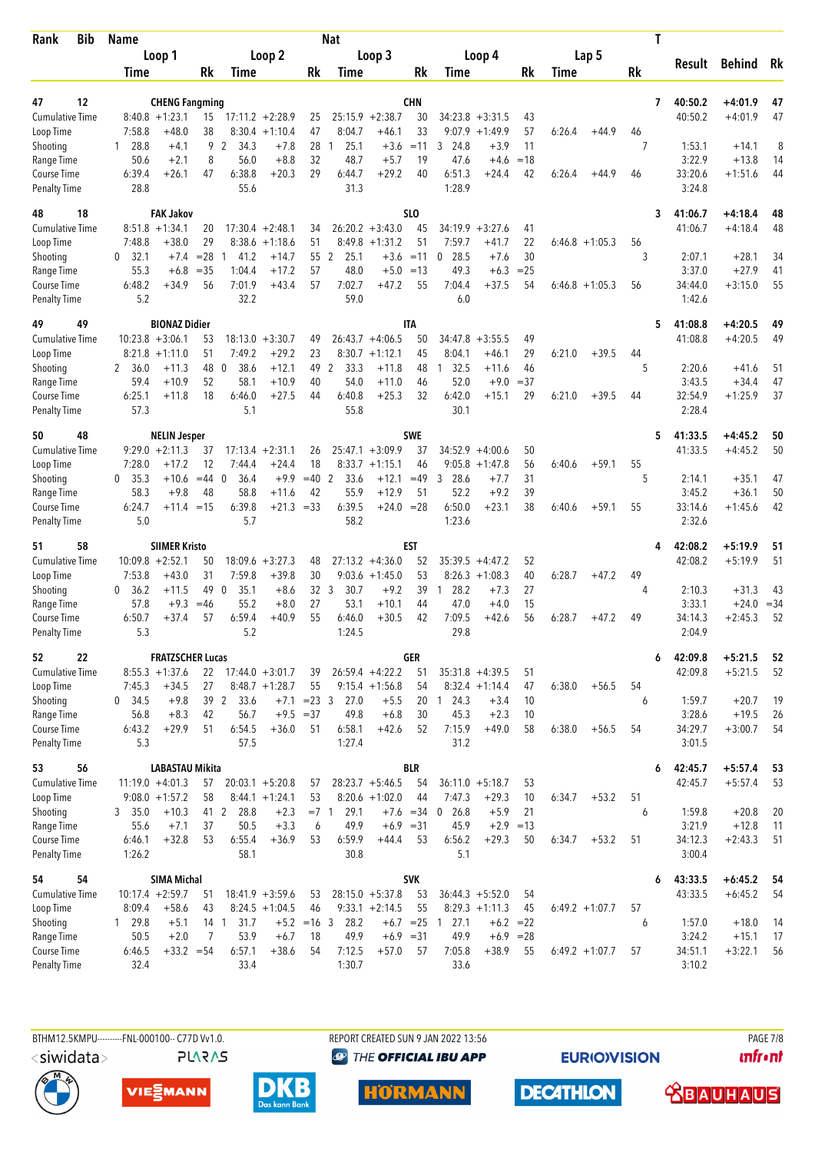| Rank                                | <b>Bib</b> | <b>Name</b>          |                                              |            |                      |                                         |                               | <b>Nat</b>       |                                        |                  |                              |                        |              |                   |         |    | Τ |                    |                        |           |
|-------------------------------------|------------|----------------------|----------------------------------------------|------------|----------------------|-----------------------------------------|-------------------------------|------------------|----------------------------------------|------------------|------------------------------|------------------------|--------------|-------------------|---------|----|---|--------------------|------------------------|-----------|
|                                     |            |                      | Loop 1                                       |            |                      | Loop 2                                  |                               |                  | Loop 3                                 |                  | Loop 4                       |                        |              |                   | Lap 5   |    |   |                    |                        |           |
|                                     |            | Time                 |                                              | Rk         | Time                 |                                         | Rk                            | Time             |                                        | Rk               | Time                         |                        | Rk           | Time              |         | Rk |   | Result             | Behind                 | Rk        |
|                                     |            |                      |                                              |            |                      |                                         |                               |                  |                                        |                  |                              |                        |              |                   |         |    |   |                    |                        |           |
| 47                                  | 12         |                      | <b>CHENG Fangming</b>                        |            |                      |                                         |                               |                  |                                        | <b>CHN</b>       |                              |                        |              |                   |         |    | 7 | 40:50.2            | +4:01.9                | 47        |
| <b>Cumulative Time</b><br>Loop Time |            | 7:58.8               | $8:40.8 + 1:23.1$<br>$+48.0$                 | 15<br>38   | 8:30.4               | $17:11.2 + 2:28.9$<br>$+1:10.4$         | 25<br>47                      | 8:04.7           | $25:15.9 + 2:38.7$<br>$+46.1$          | 30<br>33         | 34:23.8<br>9:07.9            | $+3:31.5$<br>$+1:49.9$ | 43<br>57     | 6:26.4            | $+44.9$ | 46 |   | 40:50.2            | $+4:01.9$              | 47        |
| Shooting                            |            | 28.8<br>1            | $+4.1$                                       | 9          | 2<br>34.3            | $+7.8$                                  | 28                            | 25.1<br>1        | $+3.6$                                 | $=11$            | 24.8<br>3                    | $+3.9$                 | 11           |                   |         | 7  |   | 1:53.1             | $+14.1$                | 8         |
| Range Time                          |            | 50.6                 | $+2.1$                                       | 8          | 56.0                 | $+8.8$                                  | 32                            | 48.7             | $+5.7$                                 | 19               | 47.6                         | $+4.6$                 | $=18$        |                   |         |    |   | 3:22.9             | $+13.8$                | 14        |
| Course Time                         |            | 6:39.4               | $+26.1$                                      | 47         | 6:38.8               | $+20.3$                                 | 29                            | 6:44.7           | $+29.2$                                | 40               | 6:51.3                       | $+24.4$                | 42           | 6:26.4            | $+44.9$ | 46 |   | 33:20.6            | $+1:51.6$              | 44        |
| <b>Penalty Time</b>                 |            | 28.8                 |                                              |            | 55.6                 |                                         |                               | 31.3             |                                        |                  | 1:28.9                       |                        |              |                   |         |    |   | 3:24.8             |                        |           |
| 48                                  | 18         |                      | <b>FAK Jakov</b>                             |            |                      |                                         |                               |                  |                                        | SL <sub>0</sub>  |                              |                        |              |                   |         |    | 3 | 41:06.7            | +4:18.4                | 48        |
| <b>Cumulative Time</b>              |            |                      | $8:51.8 +1:34.1$                             | 20         |                      | $17:30.4 +2:48.1$                       | 34                            |                  | $26:20.2 + 3:43.0$                     | 45               | 34:19.9                      | $+3:27.6$              | 41           |                   |         |    |   | 41:06.7            | $+4:18.4$              | 48        |
| Loop Time                           |            | 7:48.8               | $+38.0$                                      | 29         | 8:38.6               | $+1:18.6$                               | 51                            |                  | $8:49.8 +1:31.2$                       | 51               | 7:59.7                       | +41.7                  | 22           | $6:46.8 +1:05.3$  |         | 56 |   |                    |                        |           |
| Shooting                            |            | 32.1<br>$\mathbf{0}$ | $+7.4$                                       | $= 28$     | 41.2<br>$\mathbf{1}$ | $+14.7$                                 | 55                            | 2<br>25.1        | $+3.6$                                 | $=11$            | 28.5<br>$\mathbf 0$          | $+7.6$                 | 30           |                   |         | 3  |   | 2:07.1             | $+28.1$                | 34        |
| Range Time                          |            | 55.3                 | $+6.8$                                       | $= 35$     | 1:04.4               | $+17.2$                                 | 57                            | 48.0             |                                        | $+5.0 = 13$      | 49.3                         | $+6.3$                 | $=25$        |                   |         |    |   | 3:37.0             | $+27.9$                | 41        |
| Course Time                         |            | 6:48.2               | $+34.9$                                      | 56         | 7:01.9               | $+43.4$                                 | 57                            | 7:02.7           | $+47.2$                                | 55               | 7:04.4                       | $+37.5$                | 54           | $6:46.8 +1:05.3$  |         | 56 |   | 34:44.0            | $+3:15.0$              | 55        |
| <b>Penalty Time</b>                 |            | 5.2                  |                                              |            | 32.2                 |                                         |                               | 59.0             |                                        |                  | 6.0                          |                        |              |                   |         |    |   | 1:42.6             |                        |           |
| 49                                  | 49         |                      | <b>BIONAZ Didier</b>                         |            |                      |                                         |                               |                  |                                        | <b>ITA</b>       |                              |                        |              |                   |         |    | 5 | 41:08.8            | $+4:20.5$              | 49        |
| <b>Cumulative Time</b>              |            |                      | $10:23.8 + 3:06.1$                           | 53         | 18:13.0              | $+3:30.7$                               | 49                            |                  | $26:43.7 + 4:06.5$                     | 50               | 34:47.8                      | $+3:55.5$              | 49           |                   |         |    |   | 41:08.8            | $+4:20.5$              | 49        |
| Loop Time                           |            |                      | $8:21.8 +1:11.0$                             | 51         | 7:49.2               | $+29.2$                                 | 23                            |                  | $8:30.7 +1:12.1$                       | 45               | 8:04.1                       | $+46.1$                | 29           | 6:21.0            | $+39.5$ | 44 |   |                    |                        |           |
| Shooting                            |            | 2 36.0               | $+11.3$                                      | 48         | 38.6<br>0            | $+12.1$                                 | 49 2                          | 33.3             | $+11.8$                                | 48               | 32.5<br>$\mathbf{1}$         | $+11.6$                | 46           |                   |         | 5  |   | 2:20.6             | $+41.6$                | 51        |
| Range Time                          |            | 59.4<br>6:25.1       | $+10.9$                                      | 52<br>18   | 58.1<br>6:46.0       | $+10.9$<br>$+27.5$                      | 40<br>44                      | 54.0<br>6:40.8   | $+11.0$<br>$+25.3$                     | 46<br>32         | 52.0<br>6:42.0               | $+9.0$<br>$+15.1$      | $= 37$<br>29 | 6:21.0            | $+39.5$ | 44 |   | 3:43.5<br>32:54.9  | $+34.4$<br>$+1:25.9$   | 47<br>37  |
| Course Time<br><b>Penalty Time</b>  |            | 57.3                 | $+11.8$                                      |            | 5.1                  |                                         |                               | 55.8             |                                        |                  | 30.1                         |                        |              |                   |         |    |   | 2:28.4             |                        |           |
|                                     |            |                      |                                              |            |                      |                                         |                               |                  |                                        |                  |                              |                        |              |                   |         |    |   |                    |                        |           |
| 50                                  | 48         |                      | <b>NELIN Jesper</b>                          |            |                      |                                         |                               |                  |                                        | <b>SWE</b>       |                              |                        |              |                   |         |    | 5 | 41:33.5            | $+4:45.2$              | 50        |
| <b>Cumulative Time</b><br>Loop Time |            | 7:28.0               | $9:29.0 +2:11.3$<br>$+17.2$                  | 37<br>12   | 7:44.4               | $17:13.4 +2:31.1$<br>$+24.4$            | 26<br>18                      |                  | $25:47.1 + 3:09.9$<br>$8:33.7 +1:15.1$ | 37<br>46         | $34:52.9 + 4:00.6$<br>9:05.8 | $+1:47.8$              | 50<br>56     | 6:40.6            | $+59.1$ | 55 |   | 41:33.5            | $+4:45.2$              | 50        |
| Shooting                            |            | 0, 35.3              | $+10.6$                                      | $=44$ 0    | 36.4                 | $+9.9$                                  | $=40$                         | 2<br>33.6        | $+12.1$                                | $=49$            | 3<br>28.6                    | $+7.7$                 | 31           |                   |         | 5  |   | 2:14.1             | $+35.1$                | 47        |
| Range Time                          |            | 58.3                 | $+9.8$                                       | 48         | 58.8                 | $+11.6$                                 | 42                            | 55.9             | $+12.9$                                | 51               | 52.2                         | $+9.2$                 | 39           |                   |         |    |   | 3:45.2             | $+36.1$                | 50        |
| Course Time                         |            | 6:24.7               | $+11.4 = 15$                                 |            | 6:39.8               | $+21.3 = 33$                            |                               | 6:39.5           | $+24.0 = 28$                           |                  | 6:50.0                       | $+23.1$                | 38           | 6:40.6            | $+59.1$ | 55 |   | 33:14.6            | $+1:45.6$              | 42        |
| <b>Penalty Time</b>                 |            | 5.0                  |                                              |            | 5.7                  |                                         |                               | 58.2             |                                        |                  | 1:23.6                       |                        |              |                   |         |    |   | 2:32.6             |                        |           |
| 51                                  | 58         |                      | <b>SIIMER Kristo</b>                         |            |                      |                                         |                               |                  |                                        | EST              |                              |                        |              |                   |         |    | 4 | 42:08.2            | $+5:19.9$              | 51        |
| <b>Cumulative Time</b>              |            |                      | $10:09.8 + 2:52.1$                           | 50         |                      | $18:09.6 + 3:27.3$                      | 48                            |                  | $27:13.2 +4:36.0$                      | 52               | 35:39.5                      | $+4:47.2$              | 52           |                   |         |    |   | 42:08.2            | $+5:19.9$              | 51        |
| Loop Time                           |            | 7:53.8               | $+43.0$                                      | 31         | 7:59.8               | $+39.8$                                 | 30                            |                  | $9:03.6 +1:45.0$                       | 53               | $8:26.3 +1:08.3$             |                        | 40           | 6:28.7            | $+47.2$ | 49 |   |                    |                        |           |
| Shooting                            |            | 0, 36.2              | $+11.5$                                      | 49         | $\mathbf 0$<br>35.1  | $+8.6$                                  | 32 <sub>3</sub>               | 30.7             | $+9.2$                                 | 39               | 28.2<br>-1                   | $+7.3$                 | 27           |                   |         | 4  |   | 2:10.3             | $+31.3$                | 43        |
| Range Time                          |            | 57.8                 | $+9.3$                                       | $=46$      | 55.2                 | $+8.0$                                  | 27                            | 53.1             | $+10.1$                                | 44               | 47.0                         | $+4.0$                 | 15           |                   |         |    |   | 3:33.1             | $+24.0$                | $= 34$    |
| Course Time                         |            | 6:50.7               | +37.4                                        | 57         | 6:59.4               | $+40.9$                                 | 55                            | 6:46.0           | $+30.5$                                | 42               | 7:09.5                       | $+42.6$                | 56           | 6:28.7            | $+47.2$ | 49 |   | 34:14.3            | $+2:45.3$              | 52        |
| <b>Penalty Time</b>                 |            | 5.3                  |                                              |            | 5.2                  |                                         |                               | 1:24.5           |                                        |                  | 29.8                         |                        |              |                   |         |    |   | 2:04.9             |                        |           |
| 52                                  | 22         |                      | <b>FRATZSCHER Lucas</b>                      |            |                      |                                         |                               |                  |                                        | <b>GER</b>       |                              |                        |              |                   |         |    | 6 | 42:09.8            | $+5:21.5$              | 52        |
| Cumulative Time                     |            |                      | $8:55.3 +1:37.6$                             | 22         |                      | $17:44.0 + 3:01.7$                      | 39                            |                  | $26:59.4 +4:22.2$                      | 51               | $35:31.8 + 4:39.5$           |                        | 51           |                   |         |    |   | 42:09.8            | $+5:21.5$              | 52        |
| Loop Time                           |            | 7:45.3               | $+34.5$                                      | 27         |                      | $8:48.7 +1:28.7$                        | 55                            |                  | $9:15.4 +1:56.8$                       | 54               | $8:32.4 +1:14.4$             |                        | 47           | 6:38.0            | $+56.5$ | 54 |   |                    |                        |           |
| Shooting                            |            | 0, 34.5<br>56.8      | $+9.8$<br>$+8.3$                             | 39 2<br>42 | 33.6<br>56.7         | $+7.1$                                  | $= 23 \quad 3$<br>$+9.5 = 37$ | 27.0<br>49.8     | $+5.5$<br>$+6.8$                       | 30               | 20 1 24.3<br>45.3            | $+3.4$<br>$+2.3$       | 10<br>10     |                   |         | 6  |   | 1:59.7<br>3:28.6   | $+20.7$<br>$+19.5$     | 19<br>26  |
| Range Time<br>Course Time           |            | 6:43.2               | $+29.9$                                      | 51         | 6:54.5               | $+36.0$                                 | 51                            | 6:58.1           | $+42.6$                                | 52               | 7:15.9                       | $+49.0$                | 58           | 6:38.0            | $+56.5$ | 54 |   | 34:29.7            | $+3:00.7$              | 54        |
| <b>Penalty Time</b>                 |            | 5.3                  |                                              |            | 57.5                 |                                         |                               | 1:27.4           |                                        |                  | 31.2                         |                        |              |                   |         |    |   | 3:01.5             |                        |           |
|                                     |            |                      |                                              |            |                      |                                         |                               |                  |                                        |                  |                              |                        |              |                   |         |    |   |                    |                        |           |
| 53<br><b>Cumulative Time</b>        | 56         |                      | <b>LABASTAU Mikita</b><br>$11:19.0 + 4:01.3$ |            |                      |                                         | 57                            |                  | $28:23.7 + 5:46.5$                     | <b>BLR</b><br>54 | $36:11.0 + 5:18.7$           |                        |              |                   |         |    | 6 | 42:45.7<br>42:45.7 | $+5:57.4$<br>$+5:57.4$ | -53<br>53 |
| Loop Time                           |            |                      | $9:08.0 + 1:57.2$                            | 57<br>58   |                      | $20:03.1 + 5:20.8$<br>$8:44.1 + 1:24.1$ | 53                            |                  | $8:20.6 +1:02.0$                       | 44               | 7:47.3                       | $+29.3$                | 53<br>10     | 6:34.7            | $+53.2$ | 51 |   |                    |                        |           |
| Shooting                            |            | 3, 35.0              | $+10.3$                                      | 41 2       | 28.8                 | $+2.3$                                  | $= 7 \quad 1$                 | 29.1             |                                        | $+7.6 = 34$      | 26.8<br>0                    | $+5.9$                 | 21           |                   |         | 6  |   | 1:59.8             | $+20.8$                | 20        |
| Range Time                          |            | 55.6                 | $+7.1$                                       | 37         | 50.5                 | $+3.3$                                  | 6                             | 49.9             | $+6.9 = 31$                            |                  | 45.9                         | $+2.9$                 | $=13$        |                   |         |    |   | 3:21.9             | $+12.8$                | 11        |
| Course Time                         |            | 6:46.1               | $+32.8$                                      | 53         | 6:55.4               | $+36.9$                                 | 53                            | 6:59.9           | $+44.4$                                | 53               | 6:56.2                       | $+29.3$                | 50           | 6:34.7            | $+53.2$ | 51 |   | 34:12.3            | $+2:43.3$              | 51        |
| <b>Penalty Time</b>                 |            | 1:26.2               |                                              |            | 58.1                 |                                         |                               | 30.8             |                                        |                  | 5.1                          |                        |              |                   |         |    |   | 3:00.4             |                        |           |
| 54                                  | 54         |                      | <b>SIMA Michal</b>                           |            |                      |                                         |                               |                  |                                        | <b>SVK</b>       |                              |                        |              |                   |         |    | 6 | 43:33.5            | $+6:45.2$              | - 54      |
| <b>Cumulative Time</b>              |            |                      | $10:17.4 + 2:59.7$                           | 51         |                      | $18:41.9 + 3:59.6$                      | 53                            |                  | $28:15.0 + 5:37.8$                     | 53               | $36:44.3 + 5:52.0$           |                        | 54           |                   |         |    |   | 43:33.5            | $+6:45.2$              | 54        |
| Loop Time                           |            | 8:09.4               | $+58.6$                                      | 43         |                      | $8:24.5 +1:04.5$                        | 46                            |                  | $9:33.1 +2:14.5$                       | 55               | $8:29.3 +1:11.3$             |                        | 45           | $6:49.2 + 1:07.7$ |         | 57 |   |                    |                        |           |
| Shooting                            |            | 1 29.8               | $+5.1$                                       | 14 1       | 31.7                 |                                         | $+5.2 = 16$ 3                 | 28.2             |                                        |                  | $+6.7$ = 25 1 27.1           | $+6.2 = 22$            |              |                   |         | 6  |   | 1:57.0             | $+18.0$                | 14        |
| Range Time                          |            | 50.5                 | $+2.0$                                       | 7          | 53.9                 | $+6.7$                                  | 18                            | 49.9             | $+6.9 = 31$                            |                  | 49.9                         | $+6.9 = 28$            |              |                   |         |    |   | 3:24.2             | $+15.1$                | 17        |
| Course Time                         |            | 6:46.5<br>32.4       | $+33.2 = 54$                                 |            | 6:57.1<br>33.4       | $+38.6$                                 | 54                            | 7:12.5<br>1:30.7 | $+57.0$                                | 57               | 7:05.8<br>33.6               | $+38.9$                | 55           | $6:49.2 +1:07.7$  |         | 57 |   | 34:51.1            | $+3:22.1$              | 56        |
| <b>Penalty Time</b>                 |            |                      |                                              |            |                      |                                         |                               |                  |                                        |                  |                              |                        |              |                   |         |    |   | 3:10.2             |                        |           |

**PLARAS** 

BTHM12.5KMPU---------FNL-000100-- C77D Vv1.0. REPORT CREATED SUN 9 JAN 2022 13:56 PAGE 7/8 **<sup><sup>3</sup>** THE OFFICIAL IBU APP</sup>

**EURIOVISION** 

*<u><u>Infront</u>*</u>